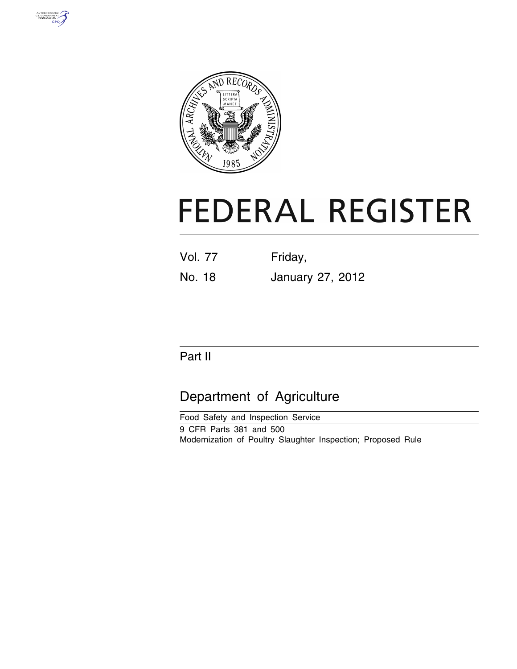



# **FEDERAL REGISTER**

Vol. 77 Friday,

No. 18 January 27, 2012

## Part II

# Department of Agriculture

Food Safety and Inspection Service 9 CFR Parts 381 and 500 Modernization of Poultry Slaughter Inspection; Proposed Rule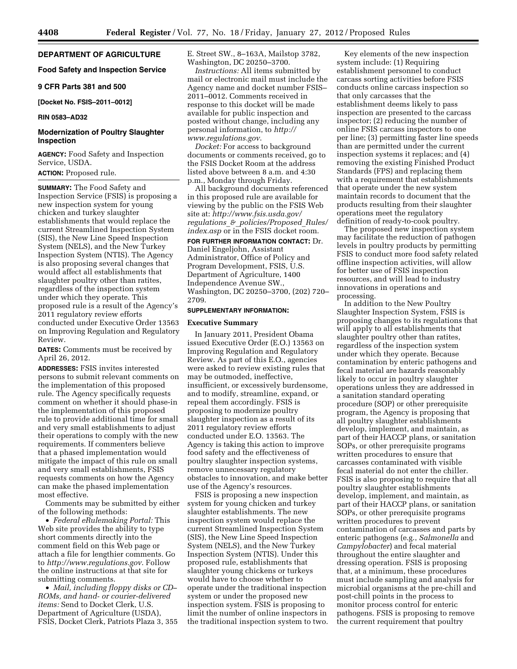#### **DEPARTMENT OF AGRICULTURE**

#### **Food Safety and Inspection Service**

#### **9 CFR Parts 381 and 500**

#### **[Docket No. FSIS–2011–0012]**

#### **RIN 0583–AD32**

#### **Modernization of Poultry Slaughter Inspection**

**AGENCY:** Food Safety and Inspection Service, USDA.

## **ACTION:** Proposed rule.

**SUMMARY:** The Food Safety and Inspection Service (FSIS) is proposing a new inspection system for young chicken and turkey slaughter establishments that would replace the current Streamlined Inspection System (SIS), the New Line Speed Inspection System (NELS), and the New Turkey Inspection System (NTIS). The Agency is also proposing several changes that would affect all establishments that slaughter poultry other than ratites, regardless of the inspection system under which they operate. This proposed rule is a result of the Agency's 2011 regulatory review efforts conducted under Executive Order 13563 on Improving Regulation and Regulatory Review.

**DATES:** Comments must be received by April 26, 2012.

**ADDRESSES:** FSIS invites interested persons to submit relevant comments on the implementation of this proposed rule. The Agency specifically requests comment on whether it should phase-in the implementation of this proposed rule to provide additional time for small and very small establishments to adjust their operations to comply with the new requirements. If commenters believe that a phased implementation would mitigate the impact of this rule on small and very small establishments, FSIS requests comments on how the Agency can make the phased implementation most effective.

Comments may be submitted by either of the following methods:

• *Federal eRulemaking Portal:* This Web site provides the ability to type short comments directly into the comment field on this Web page or attach a file for lengthier comments. Go to *<http://www.regulations.gov>*. Follow the online instructions at that site for submitting comments.

• *Mail, including floppy disks or CD– ROMs, and hand- or courier-delivered items:* Send to Docket Clerk, U.S. Department of Agriculture (USDA), FSIS, Docket Clerk, Patriots Plaza 3, 355 E. Street SW., 8–163A, Mailstop 3782, Washington, DC 20250–3700.

*Instructions:* All items submitted by mail or electronic mail must include the Agency name and docket number FSIS– 2011–0012. Comments received in response to this docket will be made available for public inspection and posted without change, including any personal information, to *[http://](http://www.regulations.gov)  [www.regulations.gov](http://www.regulations.gov)*.

*Docket:* For access to background documents or comments received, go to the FSIS Docket Room at the address listed above between 8 a.m. and 4:30 p.m., Monday through Friday.

All background documents referenced in this proposed rule are available for viewing by the public on the FSIS Web site at: *[http://www.fsis.usda.gov/](http://www.fsis.usda.gov/regulations_&_policies/Proposed_Rules/index.asp) regulations*\_*&*\_*[policies/Proposed](http://www.fsis.usda.gov/regulations_&_policies/Proposed_Rules/index.asp)*\_*Rules/ [index.asp](http://www.fsis.usda.gov/regulations_&_policies/Proposed_Rules/index.asp)* or in the FSIS docket room.

## **FOR FURTHER INFORMATION CONTACT:** Dr.

Daniel Engeljohn, Assistant Administrator, Office of Policy and Program Development, FSIS, U.S. Department of Agriculture, 1400 Independence Avenue SW., Washington, DC 20250–3700, (202) 720– 2709.

## **SUPPLEMENTARY INFORMATION:**

#### **Executive Summary**

In January 2011, President Obama issued Executive Order (E.O.) 13563 on Improving Regulation and Regulatory Review. As part of this E.O., agencies were asked to review existing rules that may be outmoded, ineffective, insufficient, or excessively burdensome, and to modify, streamline, expand, or repeal them accordingly. FSIS is proposing to modernize poultry slaughter inspection as a result of its 2011 regulatory review efforts conducted under E.O. 13563. The Agency is taking this action to improve food safety and the effectiveness of poultry slaughter inspection systems, remove unnecessary regulatory obstacles to innovation, and make better use of the Agency's resources.

FSIS is proposing a new inspection system for young chicken and turkey slaughter establishments. The new inspection system would replace the current Streamlined Inspection System (SIS), the New Line Speed Inspection System (NELS), and the New Turkey Inspection System (NTIS). Under this proposed rule, establishments that slaughter young chickens or turkeys would have to choose whether to operate under the traditional inspection system or under the proposed new inspection system. FSIS is proposing to limit the number of online inspectors in the traditional inspection system to two.

Key elements of the new inspection system include: (1) Requiring establishment personnel to conduct carcass sorting activities before FSIS conducts online carcass inspection so that only carcasses that the establishment deems likely to pass inspection are presented to the carcass inspector; (2) reducing the number of online FSIS carcass inspectors to one per line; (3) permitting faster line speeds than are permitted under the current inspection systems it replaces; and (4) removing the existing Finished Product Standards (FPS) and replacing them with a requirement that establishments that operate under the new system maintain records to document that the products resulting from their slaughter operations meet the regulatory definition of ready-to-cook poultry.

The proposed new inspection system may facilitate the reduction of pathogen levels in poultry products by permitting FSIS to conduct more food safety related offline inspection activities, will allow for better use of FSIS inspection resources, and will lead to industry innovations in operations and processing.

In addition to the New Poultry Slaughter Inspection System, FSIS is proposing changes to its regulations that will apply to all establishments that slaughter poultry other than ratites, regardless of the inspection system under which they operate. Because contamination by enteric pathogens and fecal material are hazards reasonably likely to occur in poultry slaughter operations unless they are addressed in a sanitation standard operating procedure (SOP) or other prerequisite program, the Agency is proposing that all poultry slaughter establishments develop, implement, and maintain, as part of their HACCP plans, or sanitation SOPs, or other prerequisite programs written procedures to ensure that carcasses contaminated with visible fecal material do not enter the chiller. FSIS is also proposing to require that all poultry slaughter establishments develop, implement, and maintain, as part of their HACCP plans, or sanitation SOPs, or other prerequisite programs written procedures to prevent contamination of carcasses and parts by enteric pathogens (e.g., *Salmonella* and *Campylobacter*) and fecal material throughout the entire slaughter and dressing operation. FSIS is proposing that, at a minimum, these procedures must include sampling and analysis for microbial organisms at the pre-chill and post-chill points in the process to monitor process control for enteric pathogens. FSIS is proposing to remove the current requirement that poultry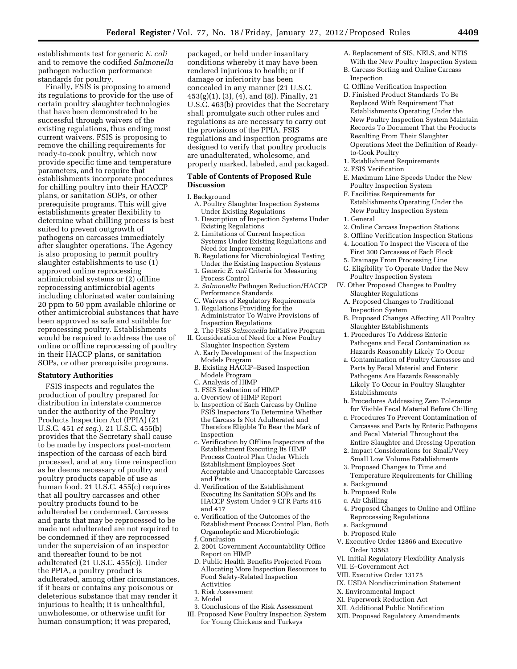establishments test for generic *E. coli*  and to remove the codified *Salmonella*  pathogen reduction performance standards for poultry.

Finally, FSIS is proposing to amend its regulations to provide for the use of certain poultry slaughter technologies that have been demonstrated to be successful through waivers of the existing regulations, thus ending most current waivers. FSIS is proposing to remove the chilling requirements for ready-to-cook poultry, which now provide specific time and temperature parameters, and to require that establishments incorporate procedures for chilling poultry into their HACCP plans, or sanitation SOPs, or other prerequisite programs. This will give establishments greater flexibility to determine what chilling process is best suited to prevent outgrowth of pathogens on carcasses immediately after slaughter operations. The Agency is also proposing to permit poultry slaughter establishments to use (1) approved online reprocessing antimicrobial systems or (2) offline reprocessing antimicrobial agents including chlorinated water containing 20 ppm to 50 ppm available chlorine or other antimicrobial substances that have been approved as safe and suitable for reprocessing poultry. Establishments would be required to address the use of online or offline reprocessing of poultry in their HACCP plans, or sanitation SOPs, or other prerequisite programs.

#### **Statutory Authorities**

FSIS inspects and regulates the production of poultry prepared for distribution in interstate commerce under the authority of the Poultry Products Inspection Act (PPIA) (21 U.S.C. 451 *et seq.*). 21 U.S.C. 455(b) provides that the Secretary shall cause to be made by inspectors post-mortem inspection of the carcass of each bird processed, and at any time reinspection as he deems necessary of poultry and poultry products capable of use as human food. 21 U.S.C. 455(c) requires that all poultry carcasses and other poultry products found to be adulterated be condemned. Carcasses and parts that may be reprocessed to be made not adulterated are not required to be condemned if they are reprocessed under the supervision of an inspector and thereafter found to be not adulterated (21 U.S.C. 455(c)). Under the PPIA, a poultry product is adulterated, among other circumstances, if it bears or contains any poisonous or deleterious substance that may render it injurious to health; it is unhealthful, unwholesome, or otherwise unfit for human consumption; it was prepared,

packaged, or held under insanitary conditions whereby it may have been rendered injurious to health; or if damage or inferiority has been concealed in any manner (21 U.S.C. 453(g)(1), (3), (4), and (8)). Finally, 21 U.S.C. 463(b) provides that the Secretary shall promulgate such other rules and regulations as are necessary to carry out the provisions of the PPIA. FSIS regulations and inspection programs are designed to verify that poultry products are unadulterated, wholesome, and properly marked, labeled, and packaged.

#### **Table of Contents of Proposed Rule Discussion**

I. Background

- A. Poultry Slaughter Inspection Systems Under Existing Regulations
- 1. Description of Inspection Systems Under Existing Regulations
- 2. Limitations of Current Inspection Systems Under Existing Regulations and Need for Improvement
- B. Regulations for Microbiological Testing Under the Existing Inspection Systems
- 1. Generic *E. coli* Criteria for Measuring Process Control
- 2. *Salmonella* Pathogen Reduction/HACCP Performance Standards
- C. Waivers of Regulatory Requirements
- 1. Regulations Providing for the Administrator To Waive Provisions of Inspection Regulations
- 2. The FSIS *Salmonella* Initiative Program II. Consideration of Need for a New Poultry
	- Slaughter Inspection System A. Early Development of the Inspection Models Program
	- B. Existing HACCP–Based Inspection Models Program
	- C. Analysis of HIMP
	- 1. FSIS Evaluation of HIMP
	- a. Overview of HIMP Report
	- b. Inspection of Each Carcass by Online FSIS Inspectors To Determine Whether the Carcass Is Not Adulterated and Therefore Eligible To Bear the Mark of Inspection
	- c. Verification by Offline Inspectors of the Establishment Executing Its HIMP Process Control Plan Under Which Establishment Employees Sort Acceptable and Unacceptable Carcasses and Parts
	- d. Verification of the Establishment Executing Its Sanitation SOPs and Its HACCP System Under 9 CFR Parts 416 and 417
	- e. Verification of the Outcomes of the Establishment Process Control Plan, Both Organoleptic and Microbiologic
	- f. Conclusion
	- 2. 2001 Government Accountability Office Report on HIMP
	- D. Public Health Benefits Projected From Allocating More Inspection Resources to Food Safety-Related Inspection Activities
	- 1. Risk Assessment
	- 2. Model
- 3. Conclusions of the Risk Assessment
- III. Proposed New Poultry Inspection System for Young Chickens and Turkeys
- A. Replacement of SIS, NELS, and NTIS With the New Poultry Inspection System
- B. Carcass Sorting and Online Carcass Inspection
- C. Offline Verification Inspection
- D. Finished Product Standards To Be Replaced With Requirement That Establishments Operating Under the New Poultry Inspection System Maintain Records To Document That the Products Resulting From Their Slaughter Operations Meet the Definition of Readyto-Cook Poultry
- 1. Establishment Requirements
- 2. FSIS Verification
- E. Maximum Line Speeds Under the New Poultry Inspection System
- F. Facilities Requirements for Establishments Operating Under the New Poultry Inspection System
- 1. General
- 2. Online Carcass Inspection Stations
- 3. Offline Verification Inspection Stations 4. Location To Inspect the Viscera of the
- First 300 Carcasses of Each Flock 5. Drainage From Processing Line
- G. Eligibility To Operate Under the New Poultry Inspection System
- IV. Other Proposed Changes to Poultry Slaughter Regulations
	- A. Proposed Changes to Traditional Inspection System
	- B. Proposed Changes Affecting All Poultry Slaughter Establishments
	- 1. Procedures To Address Enteric Pathogens and Fecal Contamination as Hazards Reasonably Likely To Occur
	- a. Contamination of Poultry Carcasses and Parts by Fecal Material and Enteric Pathogens Are Hazards Reasonably Likely To Occur in Poultry Slaughter Establishments
	- b. Procedures Addressing Zero Tolerance for Visible Fecal Material Before Chilling
	- c. Procedures To Prevent Contamination of Carcasses and Parts by Enteric Pathogens and Fecal Material Throughout the Entire Slaughter and Dressing Operation
	- 2. Impact Considerations for Small/Very Small Low Volume Establishments
	- 3. Proposed Changes to Time and Temperature Requirements for Chilling
	- a. Background
	- b. Proposed Rule
	- c. Air Chilling
	- 4. Proposed Changes to Online and Offline Reprocessing Regulations
	- a. Background
	- b. Proposed Rule
- V. Executive Order 12866 and Executive Order 13563
- VI. Initial Regulatory Flexibility Analysis
- VII. E–Government Act
- VIII. Executive Order 13175
- IX. USDA Nondiscrimination Statement
- X. Environmental Impact
- XI. Paperwork Reduction Act
- XII. Additional Public Notification
- XIII. Proposed Regulatory Amendments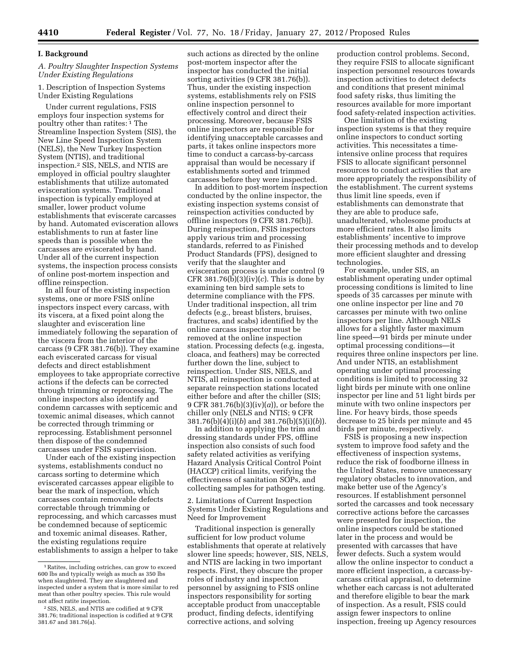#### **I. Background**

#### *A. Poultry Slaughter Inspection Systems Under Existing Regulations*

1. Description of Inspection Systems Under Existing Regulations

Under current regulations, FSIS employs four inspection systems for poultry other than ratites: 1 The Streamline Inspection System (SIS), the New Line Speed Inspection System (NELS), the New Turkey Inspection System (NTIS), and traditional inspection.2 SIS, NELS, and NTIS are employed in official poultry slaughter establishments that utilize automated evisceration systems. Traditional inspection is typically employed at smaller, lower product volume establishments that eviscerate carcasses by hand. Automated evisceration allows establishments to run at faster line speeds than is possible when the carcasses are eviscerated by hand. Under all of the current inspection systems, the inspection process consists of online post-mortem inspection and offline reinspection.

In all four of the existing inspection systems, one or more FSIS online inspectors inspect every carcass, with its viscera, at a fixed point along the slaughter and evisceration line immediately following the separation of the viscera from the interior of the carcass (9 CFR 381.76(b)). They examine each eviscerated carcass for visual defects and direct establishment employees to take appropriate corrective actions if the defects can be corrected through trimming or reprocessing. The online inspectors also identify and condemn carcasses with septicemic and toxemic animal diseases, which cannot be corrected through trimming or reprocessing. Establishment personnel then dispose of the condemned carcasses under FSIS supervision.

Under each of the existing inspection systems, establishments conduct no carcass sorting to determine which eviscerated carcasses appear eligible to bear the mark of inspection, which carcasses contain removable defects correctable through trimming or reprocessing, and which carcasses must be condemned because of septicemic and toxemic animal diseases. Rather, the existing regulations require establishments to assign a helper to take

such actions as directed by the online post-mortem inspector after the inspector has conducted the initial sorting activities (9 CFR 381.76(b)). Thus, under the existing inspection systems, establishments rely on FSIS online inspection personnel to effectively control and direct their processing. Moreover, because FSIS online inspectors are responsible for identifying unacceptable carcasses and parts, it takes online inspectors more time to conduct a carcass-by-carcass appraisal than would be necessary if establishments sorted and trimmed carcasses before they were inspected.

In addition to post-mortem inspection conducted by the online inspector, the existing inspection systems consist of reinspection activities conducted by offline inspectors (9 CFR 381.76(b)). During reinspection, FSIS inspectors apply various trim and processing standards, referred to as Finished Product Standards (FPS), designed to verify that the slaughter and evisceration process is under control (9 CFR 381.76(b)(3)(iv)(*c*). This is done by examining ten bird sample sets to determine compliance with the FPS. Under traditional inspection, all trim defects (e.g., breast blisters, bruises, fractures, and scabs) identified by the online carcass inspector must be removed at the online inspection station. Processing defects (e.g. ingesta, cloaca, and feathers) may be corrected further down the line, subject to reinspection. Under SIS, NELS, and NTIS, all reinspection is conducted at separate reinspection stations located either before and after the chiller (SIS; 9 CFR 381.76(b)(3)(iv)(*a*)), or before the chiller only (NELS and NTIS; 9 CFR 381.76(b)(4)(i)(*b*) and 381.76(b)(5)(i)(*b*)).

In addition to applying the trim and dressing standards under FPS, offline inspection also consists of such food safety related activities as verifying Hazard Analysis Critical Control Point (HACCP) critical limits, verifying the effectiveness of sanitation SOPs, and collecting samples for pathogen testing.

2. Limitations of Current Inspection Systems Under Existing Regulations and Need for Improvement

Traditional inspection is generally sufficient for low product volume establishments that operate at relatively slower line speeds; however, SIS, NELS, and NTIS are lacking in two important respects. First, they obscure the proper roles of industry and inspection personnel by assigning to FSIS online inspectors responsibility for sorting acceptable product from unacceptable product, finding defects, identifying corrective actions, and solving

production control problems. Second, they require FSIS to allocate significant inspection personnel resources towards inspection activities to detect defects and conditions that present minimal food safety risks, thus limiting the resources available for more important food safety-related inspection activities.

One limitation of the existing inspection systems is that they require online inspectors to conduct sorting activities. This necessitates a timeintensive online process that requires FSIS to allocate significant personnel resources to conduct activities that are more appropriately the responsibility of the establishment. The current systems thus limit line speeds, even if establishments can demonstrate that they are able to produce safe, unadulterated, wholesome products at more efficient rates. It also limits establishments' incentive to improve their processing methods and to develop more efficient slaughter and dressing technologies.

For example, under SIS, an establishment operating under optimal processing conditions is limited to line speeds of 35 carcasses per minute with one online inspector per line and 70 carcasses per minute with two online inspectors per line. Although NELS allows for a slightly faster maximum line speed—91 birds per minute under optimal processing conditions—it requires three online inspectors per line. And under NTIS, an establishment operating under optimal processing conditions is limited to processing 32 light birds per minute with one online inspector per line and 51 light birds per minute with two online inspectors per line. For heavy birds, those speeds decrease to 25 birds per minute and 45 birds per minute, respectively.

FSIS is proposing a new inspection system to improve food safety and the effectiveness of inspection systems, reduce the risk of foodborne illness in the United States, remove unnecessary regulatory obstacles to innovation, and make better use of the Agency's resources. If establishment personnel sorted the carcasses and took necessary corrective actions before the carcasses were presented for inspection, the online inspectors could be stationed later in the process and would be presented with carcasses that have fewer defects. Such a system would allow the online inspector to conduct a more efficient inspection, a carcass-bycarcass critical appraisal, to determine whether each carcass is not adulterated and therefore eligible to bear the mark of inspection. As a result, FSIS could assign fewer inspectors to online inspection, freeing up Agency resources

<sup>1</sup>Ratites, including ostriches, can grow to exceed 600 lbs and typically weigh as much as 350 lbs when slaughtered. They are slaughtered and inspected under a system that is more similar to red meat than other poultry species. This rule would not affect ratite inspection.

<sup>2</sup>SIS, NELS, and NTIS are codified at 9 CFR 381.76; traditional inspection is codified at 9 CFR 381.67 and 381.76(a).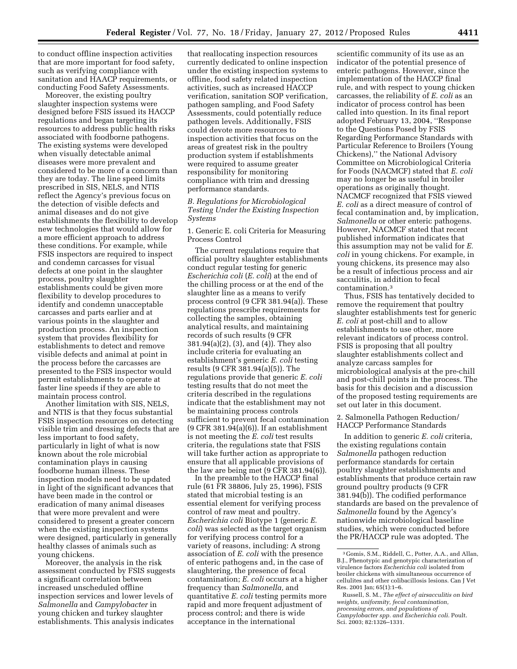to conduct offline inspection activities that are more important for food safety, such as verifying compliance with sanitation and HAACP requirements, or conducting Food Safety Assessments.

Moreover, the existing poultry slaughter inspection systems were designed before FSIS issued its HACCP regulations and began targeting its resources to address public health risks associated with foodborne pathogens. The existing systems were developed when visually detectable animal diseases were more prevalent and considered to be more of a concern than they are today. The line speed limits prescribed in SIS, NELS, and NTIS reflect the Agency's previous focus on the detection of visible defects and animal diseases and do not give establishments the flexibility to develop new technologies that would allow for a more efficient approach to address these conditions. For example, while FSIS inspectors are required to inspect and condemn carcasses for visual defects at one point in the slaughter process, poultry slaughter establishments could be given more flexibility to develop procedures to identify and condemn unacceptable carcasses and parts earlier and at various points in the slaughter and production process. An inspection system that provides flexibility for establishments to detect and remove visible defects and animal at point in the process before the carcasses are presented to the FSIS inspector would permit establishments to operate at faster line speeds if they are able to maintain process control.

Another limitation with SIS, NELS, and NTIS is that they focus substantial FSIS inspection resources on detecting visible trim and dressing defects that are less important to food safety, particularly in light of what is now known about the role microbial contamination plays in causing foodborne human illness. These inspection models need to be updated in light of the significant advances that have been made in the control or eradication of many animal diseases that were more prevalent and were considered to present a greater concern when the existing inspection systems were designed, particularly in generally healthy classes of animals such as young chickens.

Moreover, the analysis in the risk assessment conducted by FSIS suggests a significant correlation between increased unscheduled offline inspection services and lower levels of *Salmonella* and *Campylobacter* in young chicken and turkey slaughter establishments. This analysis indicates

that reallocating inspection resources currently dedicated to online inspection under the existing inspection systems to offline, food safety related inspection activities, such as increased HACCP verification, sanitation SOP verification, pathogen sampling, and Food Safety Assessments, could potentially reduce pathogen levels. Additionally, FSIS could devote more resources to inspection activities that focus on the areas of greatest risk in the poultry production system if establishments were required to assume greater responsibility for monitoring compliance with trim and dressing performance standards.

#### *B. Regulations for Microbiological Testing Under the Existing Inspection Systems*

1. Generic E. coli Criteria for Measuring Process Control

The current regulations require that official poultry slaughter establishments conduct regular testing for generic *Escherichia coli* (*E. coli*) at the end of the chilling process or at the end of the slaughter line as a means to verify process control (9 CFR 381.94(a)). These regulations prescribe requirements for collecting the samples, obtaining analytical results, and maintaining records of such results (9 CFR 381.94(a)(2), (3), and (4)). They also include criteria for evaluating an establishment's generic *E. coli* testing results (9 CFR 381.94(a)(5)). The regulations provide that generic *E. coli*  testing results that do not meet the criteria described in the regulations indicate that the establishment may not be maintaining process controls sufficient to prevent fecal contamination (9 CFR 381.94(a)(6)). If an establishment is not meeting the *E. coli* test results criteria, the regulations state that FSIS will take further action as appropriate to ensure that all applicable provisions of the law are being met (9 CFR 381.94(6)).

In the preamble to the HACCP final rule (61 FR 38806, July 25, 1996), FSIS stated that microbial testing is an essential element for verifying process control of raw meat and poultry. *Escherichia coli* Biotype 1 (generic *E. coli*) was selected as the target organism for verifying process control for a variety of reasons, including: A strong association of *E. coli* with the presence of enteric pathogens and, in the case of slaughtering, the presence of fecal contamination; *E. coli* occurs at a higher frequency than *Salmonella,* and quantitative *E. coli* testing permits more rapid and more frequent adjustment of process control; and there is wide acceptance in the international

scientific community of its use as an indicator of the potential presence of enteric pathogens. However, since the implementation of the HACCP final rule, and with respect to young chicken carcasses, the reliability of *E. coli* as an indicator of process control has been called into question. In its final report adopted February 13, 2004, ''Response to the Questions Posed by FSIS Regarding Performance Standards with Particular Reference to Broilers (Young Chickens),'' the National Advisory Committee on Microbiological Criteria for Foods (NACMCF) stated that *E. coli*  may no longer be as useful in broiler operations as originally thought. NACMCF recognized that FSIS viewed *E. coli* as a direct measure of control of fecal contamination and, by implication, *Salmonella* or other enteric pathogens. However, NACMCF stated that recent published information indicates that this assumption may not be valid for *E. coli* in young chickens. For example, in young chickens, its presence may also be a result of infectious process and air sacculitis, in addition to fecal contamination.3

Thus, FSIS has tentatively decided to remove the requirement that poultry slaughter establishments test for generic *E. coli* at post-chill and to allow establishments to use other, more relevant indicators of process control. FSIS is proposing that all poultry slaughter establishments collect and analyze carcass samples for microbiological analysis at the pre-chill and post-chill points in the process. The basis for this decision and a discussion of the proposed testing requirements are set out later in this document.

2. Salmonella Pathogen Reduction/ HACCP Performance Standards

In addition to generic *E. coli* criteria, the existing regulations contain *Salmonella* pathogen reduction performance standards for certain poultry slaughter establishments and establishments that produce certain raw ground poultry products (9 CFR 381.94(b)). The codified performance standards are based on the prevalence of *Salmonella* found by the Agency's nationwide microbiological baseline studies, which were conducted before the PR/HACCP rule was adopted. The

<sup>3</sup> Gomis, S.M., Riddell, C., Potter, A.A., and Allan, B.J., Phenotypic and genotypic characterization of virulence factors *Escherichia coli* isolated from broiler chickens with simultaneous occurrence of cellulites and other colibacillosis lesions. Can J Vet Res. 2001 Jan; 65(1):1–6.

Russell, S. M., *The effect of airsacculitis on bird weights, uniformity, fecal contamination, processing errors, and populations of Campylobacter spp. and Escherichia coli.* Poult. Sci. 2003; 82:1326–1331.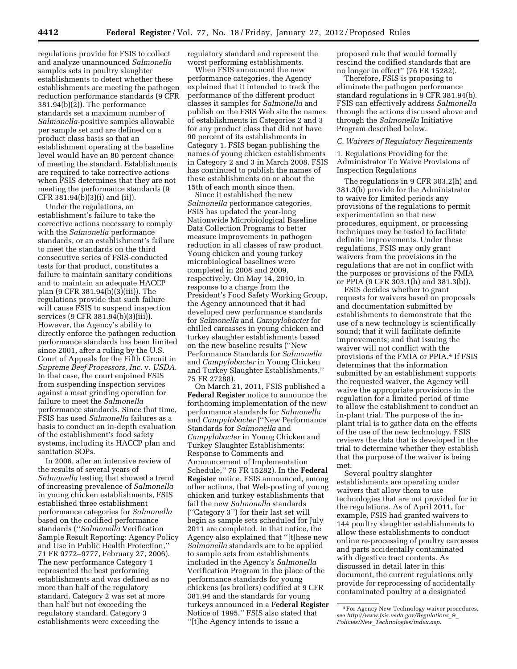regulations provide for FSIS to collect and analyze unannounced *Salmonella*  samples sets in poultry slaughter establishments to detect whether these establishments are meeting the pathogen reduction performance standards (9 CFR 381.94(b)(2)). The performance standards set a maximum number of *Salmonella*-positive samples allowable per sample set and are defined on a product class basis so that an establishment operating at the baseline level would have an 80 percent chance of meeting the standard. Establishments are required to take corrective actions when FSIS determines that they are not meeting the performance standards (9 CFR 381.94(b)(3)(i) and (ii)).

Under the regulations, an establishment's failure to take the corrective actions necessary to comply with the *Salmonella* performance standards, or an establishment's failure to meet the standards on the third consecutive series of FSIS-conducted tests for that product, constitutes a failure to maintain sanitary conditions and to maintain an adequate HACCP plan (9 CFR 381.94(b)(3)(iii)). The regulations provide that such failure will cause FSIS to suspend inspection services (9 CFR 381.94(b)(3)(iii)). However, the Agency's ability to directly enforce the pathogen reduction performance standards has been limited since 2001, after a ruling by the U.S. Court of Appeals for the Fifth Circuit in *Supreme Beef Processors, Inc.* v. *USDA.*  In that case, the court enjoined FSIS from suspending inspection services against a meat grinding operation for failure to meet the *Salmonella*  performance standards. Since that time, FSIS has used *Salmonella* failures as a basis to conduct an in-depth evaluation of the establishment's food safety systems, including its HACCP plan and sanitation SOPs.

In 2006, after an intensive review of the results of several years of *Salmonella* testing that showed a trend of increasing prevalence of *Salmonella*  in young chicken establishments, FSIS established three establishment performance categories for *Salmonella*  based on the codified performance standards (''*Salmonella* Verification Sample Result Reporting: Agency Policy and Use in Public Health Protection,'' 71 FR 9772–9777, February 27, 2006). The new performance Category 1 represented the best performing establishments and was defined as no more than half of the regulatory standard. Category 2 was set at more than half but not exceeding the regulatory standard. Category 3 establishments were exceeding the

regulatory standard and represent the worst performing establishments.

When FSIS announced the new performance categories, the Agency explained that it intended to track the performance of the different product classes it samples for *Salmonella* and publish on the FSIS Web site the names of establishments in Categories 2 and 3 for any product class that did not have 90 percent of its establishments in Category 1. FSIS began publishing the names of young chicken establishments in Category 2 and 3 in March 2008. FSIS has continued to publish the names of these establishments on or about the 15th of each month since then.

Since it established the new *Salmonella* performance categories, FSIS has updated the year-long Nationwide Microbiological Baseline Data Collection Programs to better measure improvements in pathogen reduction in all classes of raw product. Young chicken and young turkey microbiological baselines were completed in 2008 and 2009, respectively. On May 14, 2010, in response to a charge from the President's Food Safety Working Group, the Agency announced that it had developed new performance standards for *Salmonella* and *Campylobacter* for chilled carcasses in young chicken and turkey slaughter establishments based on the new baseline results (''New Performance Standards for *Salmonella*  and *Campylobacter* in Young Chicken and Turkey Slaughter Establishments,'' 75 FR 27288).

On March 21, 2011, FSIS published a **Federal Register** notice to announce the forthcoming implementation of the new performance standards for *Salmonella*  and *Campylobacter* (''New Performance Standards for *Salmonella* and *Campylobacter* in Young Chicken and Turkey Slaughter Establishments: Response to Comments and Announcement of Implementation Schedule,'' 76 FR 15282). In the **Federal Register** notice, FSIS announced, among other actions, that Web-posting of young chicken and turkey establishments that fail the new *Salmonella* standards (''Category 3'') for their last set will begin as sample sets scheduled for July 2011 are completed. In that notice, the Agency also explained that ''[t]hese new *Salmonella* standards are to be applied to sample sets from establishments included in the Agency's *Salmonella*  Verification Program in the place of the performance standards for young chickens (as broilers) codified at 9 CFR 381.94 and the standards for young turkeys announced in a **Federal Register**  Notice of 1995.'' FSIS also stated that ''[t]he Agency intends to issue a

proposed rule that would formally rescind the codified standards that are no longer in effect'' (76 FR 15282).

Therefore, FSIS is proposing to eliminate the pathogen performance standard regulations in 9 CFR 381.94(b). FSIS can effectively address *Salmonella*  through the actions discussed above and through the *Salmonella* Initiative Program described below.

#### *C. Waivers of Regulatory Requirements*

1. Regulations Providing for the Administrator To Waive Provisions of Inspection Regulations

The regulations in 9 CFR 303.2(h) and 381.3(b) provide for the Administrator to waive for limited periods any provisions of the regulations to permit experimentation so that new procedures, equipment, or processing techniques may be tested to facilitate definite improvements. Under these regulations, FSIS may only grant waivers from the provisions in the regulations that are not in conflict with the purposes or provisions of the FMIA or PPIA (9 CFR 303.1(h) and 381.3(b)).

FSIS decides whether to grant requests for waivers based on proposals and documentation submitted by establishments to demonstrate that the use of a new technology is scientifically sound; that it will facilitate definite improvements; and that issuing the waiver will not conflict with the provisions of the FMIA or PPIA.4 If FSIS determines that the information submitted by an establishment supports the requested waiver, the Agency will waive the appropriate provisions in the regulation for a limited period of time to allow the establishment to conduct an in-plant trial. The purpose of the inplant trial is to gather data on the effects of the use of the new technology. FSIS reviews the data that is developed in the trial to determine whether they establish that the purpose of the waiver is being met.

Several poultry slaughter establishments are operating under waivers that allow them to use technologies that are not provided for in the regulations. As of April 2011, for example, FSIS had granted waivers to 144 poultry slaughter establishments to allow these establishments to conduct online re-processing of poultry carcasses and parts accidentally contaminated with digestive tract contents. As discussed in detail later in this document, the current regulations only provide for reprocessing of accidentally contaminated poultry at a designated

<sup>4</sup>For Agency New Technology waiver procedures, see *[http://www.fsis.usda.gov/Regulations](http://www.fsis.usda.gov/Regulations_&_Policies/New_Technologies/index.asp)*\_*&*\_ *Policies/New*\_*[Technologies/index.asp](http://www.fsis.usda.gov/Regulations_&_Policies/New_Technologies/index.asp)*.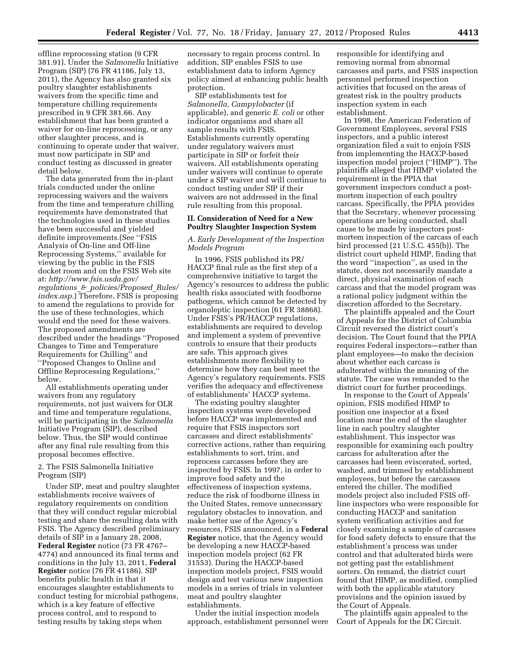offline reprocessing station (9 CFR 381.91). Under the *Salmonella* Initiative Program (SIP) (76 FR 41186, July 13, 2011), the Agency has also granted six poultry slaughter establishments waivers from the specific time and temperature chilling requirements prescribed in 9 CFR 381.66. Any establishment that has been granted a waiver for on-line reprocessing, or any other slaughter process, and is continuing to operate under that waiver, must now participate in SIP and conduct testing as discussed in greater detail below.

The data generated from the in-plant trials conducted under the online reprocessing waivers and the waivers from the time and temperature chilling requirements have demonstrated that the technologies used in these studies have been successful and yielded definite improvements.(See ''FSIS Analysis of On-line and Off-line Reprocessing Systems,'' available for viewing by the public in the FSIS docket room and on the FSIS Web site at: *[http://www.fsis.usda.gov/](http://www.fsis.usda.gov/regulations_&_policies/Proposed_Rules/index.asp)  regulations*\_*&*\_*[policies/Proposed](http://www.fsis.usda.gov/regulations_&_policies/Proposed_Rules/index.asp)*\_*Rules/ [index.asp](http://www.fsis.usda.gov/regulations_&_policies/Proposed_Rules/index.asp)*.) Therefore, FSIS is proposing to amend the regulations to provide for the use of these technologies, which would end the need for these waivers. The proposed amendments are described under the headings ''Proposed Changes to Time and Temperature Requirements for Chilling'' and ''Proposed Changes to Online and Offline Reprocessing Regulations,'' below.

All establishments operating under waivers from any regulatory requirements, not just waivers for OLR and time and temperature regulations, will be participating in the *Salmonella*  Initiative Program (SIP), described below. Thus, the SIP would continue after any final rule resulting from this proposal becomes effective.

#### 2. The FSIS Salmonella Initiative Program (SIP)

Under SIP, meat and poultry slaughter establishments receive waivers of regulatory requirements on condition that they will conduct regular microbial testing and share the resulting data with FSIS. The Agency described preliminary details of SIP in a January 28, 2008, **Federal Register** notice (73 FR 4767– 4774) and announced its final terms and conditions in the July 13, 2011, **Federal Register** notice (76 FR 41186). SIP benefits public health in that it encourages slaughter establishments to conduct testing for microbial pathogens, which is a key feature of effective process control, and to respond to testing results by taking steps when

necessary to regain process control. In addition, SIP enables FSIS to use establishment data to inform Agency policy aimed at enhancing public health protection.

SIP establishments test for *Salmonella, Campylobacter* (if applicable), and generic *E. coli* or other indicator organisms and share all sample results with FSIS. Establishments currently operating under regulatory waivers must participate in SIP or forfeit their waivers. All establishments operating under waivers will continue to operate under a SIP waiver and will continue to conduct testing under SIP if their waivers are not addressed in the final rule resulting from this proposal.

#### **II. Consideration of Need for a New Poultry Slaughter Inspection System**

#### *A. Early Development of the Inspection Models Program*

In 1996, FSIS published its PR/ HACCP final rule as the first step of a comprehensive initiative to target the Agency's resources to address the public health risks associated with foodborne pathogens, which cannot be detected by organoleptic inspection (61 FR 38868). Under FSIS's PR/HACCP regulations, establishments are required to develop and implement a system of preventive controls to ensure that their products are safe. This approach gives establishments more flexibility to determine how they can best meet the Agency's regulatory requirements. FSIS verifies the adequacy and effectiveness of establishments' HACCP systems.

The existing poultry slaughter inspection systems were developed before HACCP was implemented and require that FSIS inspectors sort carcasses and direct establishments' corrective actions, rather than requiring establishments to sort, trim, and reprocess carcasses before they are inspected by FSIS. In 1997, in order to improve food safety and the effectiveness of inspection systems, reduce the risk of foodborne illness in the United States, remove unnecessary regulatory obstacles to innovation, and make better use of the Agency's resources, FSIS announced, in a **Federal Register** notice, that the Agency would be developing a new HACCP-based inspection models project (62 FR 31553). During the HACCP-based inspection models project, FSIS would design and test various new inspection models in a series of trials in volunteer meat and poultry slaughter establishments.

Under the initial inspection models approach, establishment personnel were responsible for identifying and removing normal from abnormal carcasses and parts, and FSIS inspection personnel performed inspection activities that focused on the areas of greatest risk in the poultry products inspection system in each establishment.

In 1998, the American Federation of Government Employees, several FSIS inspectors, and a public interest organization filed a suit to enjoin FSIS from implementing the HACCP-based inspection model project (''HIMP''). The plaintiffs alleged that HIMP violated the requirement in the PPIA that government inspectors conduct a postmortem inspection of each poultry carcass. Specifically, the PPIA provides that the Secretary, whenever processing operations are being conducted, shall cause to be made by inspectors postmortem inspection of the carcass of each bird processed (21 U.S.C. 455(b)). The district court upheld HIMP, finding that the word ''inspection'', as used in the statute, does not necessarily mandate a direct, physical examination of each carcass and that the model program was a rational policy judgment within the discretion afforded to the Secretary.

The plaintiffs appealed and the Court of Appeals for the District of Columbia Circuit reversed the district court's decision. The Court found that the PPIA requires Federal inspectors—rather than plant employees—to make the decision about whether each carcass is adulterated within the meaning of the statute. The case was remanded to the district court for further proceedings.

In response to the Court of Appeals' opinion, FSIS modified HIMP to position one inspector at a fixed location near the end of the slaughter line in each poultry slaughter establishment. This inspector was responsible for examining each poultry carcass for adulteration after the carcasses had been eviscerated, sorted, washed, and trimmed by establishment employees, but before the carcasses entered the chiller. The modified models project also included FSIS offline inspectors who were responsible for conducting HACCP and sanitation system verification activities and for closely examining a sample of carcasses for food safety defects to ensure that the establishment's process was under control and that adulterated birds were not getting past the establishment sorters. On remand, the district court found that HIMP, as modified, complied with both the applicable statutory provisions and the opinion issued by the Court of Appeals.

The plaintiffs again appealed to the Court of Appeals for the DC Circuit.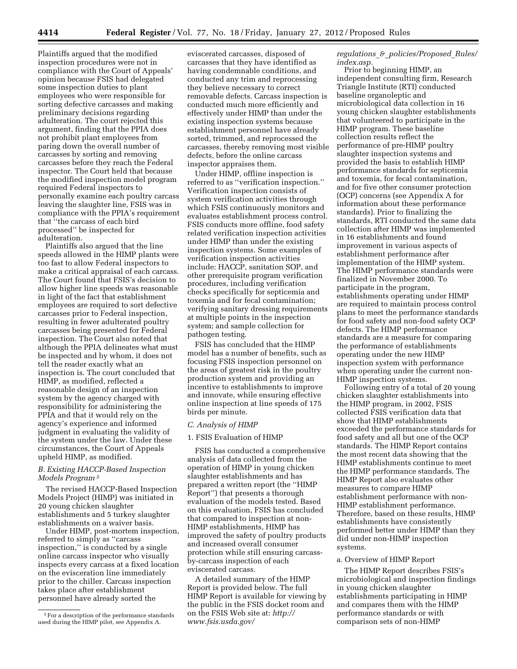Plaintiffs argued that the modified inspection procedures were not in compliance with the Court of Appeals' opinion because FSIS had delegated some inspection duties to plant employees who were responsible for sorting defective carcasses and making preliminary decisions regarding adulteration. The court rejected this argument, finding that the PPIA does not prohibit plant employees from paring down the overall number of carcasses by sorting and removing carcasses before they reach the Federal inspector. The Court held that because the modified inspection model program required Federal inspectors to personally examine each poultry carcass leaving the slaughter line, FSIS was in compliance with the PPIA's requirement that ''the carcass of each bird processed'' be inspected for adulteration.

Plaintiffs also argued that the line speeds allowed in the HIMP plants were too fast to allow Federal inspectors to make a critical appraisal of each carcass. The Court found that FSIS's decision to allow higher line speeds was reasonable in light of the fact that establishment employees are required to sort defective carcasses prior to Federal inspection, resulting in fewer adulterated poultry carcasses being presented for Federal inspection. The Court also noted that although the PPIA delineates what must be inspected and by whom, it does not tell the reader exactly what an inspection is. The court concluded that HIMP, as modified, reflected a reasonable design of an inspection system by the agency charged with responsibility for administering the PPIA and that it would rely on the agency's experience and informed judgment in evaluating the validity of the system under the law. Under these circumstances, the Court of Appeals upheld HIMP, as modified.

### *B. Existing HACCP-Based Inspection Models Program 5*

The revised HACCP-Based Inspection Models Project (HIMP) was initiated in 20 young chicken slaughter establishments and 5 turkey slaughter establishments on a waiver basis.

Under HIMP, post-mortem inspection, referred to simply as ''carcass inspection,'' is conducted by a single online carcass inspector who visually inspects every carcass at a fixed location on the evisceration line immediately prior to the chiller. Carcass inspection takes place after establishment personnel have already sorted the

eviscerated carcasses, disposed of carcasses that they have identified as having condemnable conditions, and conducted any trim and reprocessing they believe necessary to correct removable defects. Carcass inspection is conducted much more efficiently and effectively under HIMP than under the existing inspection systems because establishment personnel have already sorted, trimmed, and reprocessed the carcasses, thereby removing most visible defects, before the online carcass inspector appraises them.

Under HIMP, offline inspection is referred to as ''verification inspection.'' Verification inspection consists of system verification activities through which FSIS continuously monitors and evaluates establishment process control. FSIS conducts more offline, food safety related verification inspection activities under HIMP than under the existing inspection systems. Some examples of verification inspection activities include: HACCP, sanitation SOP, and other prerequisite program verification procedures, including verification checks specifically for septicemia and toxemia and for fecal contamination; verifying sanitary dressing requirements at multiple points in the inspection system; and sample collection for pathogen testing.

FSIS has concluded that the HIMP model has a number of benefits, such as focusing FSIS inspection personnel on the areas of greatest risk in the poultry production system and providing an incentive to establishments to improve and innovate, while ensuring effective online inspection at line speeds of 175 birds per minute.

#### *C. Analysis of HIMP*

#### 1. FSIS Evaluation of HIMP

FSIS has conducted a comprehensive analysis of data collected from the operation of HIMP in young chicken slaughter establishments and has prepared a written report (the ''HIMP Report'') that presents a thorough evaluation of the models tested. Based on this evaluation, FSIS has concluded that compared to inspection at non-HIMP establishments, HIMP has improved the safety of poultry products and increased overall consumer protection while still ensuring carcassby-carcass inspection of each eviscerated carcass.

A detailed summary of the HIMP Report is provided below. The full HIMP Report is available for viewing by the public in the FSIS docket room and on the FSIS Web site at: *[http://](http://www.fsis.usda.gov/regulations_&_policies/Proposed_Rules/index.asp) [www.fsis.usda.gov/](http://www.fsis.usda.gov/regulations_&_policies/Proposed_Rules/index.asp)* 

#### *regulations*\_*&*\_*[policies/Proposed](http://www.fsis.usda.gov/regulations_&_policies/Proposed_Rules/index.asp)*\_*Rules/ [index.asp.](http://www.fsis.usda.gov/regulations_&_policies/Proposed_Rules/index.asp)*

Prior to beginning HIMP, an independent consulting firm, Research Triangle Institute (RTI) conducted baseline organoleptic and microbiological data collection in 16 young chicken slaughter establishments that volunteered to participate in the HIMP program. These baseline collection results reflect the performance of pre-HIMP poultry slaughter inspection systems and provided the basis to establish HIMP performance standards for septicemia and toxemia, for fecal contamination, and for five other consumer protection (OCP) concerns (see Appendix A for information about these performance standards). Prior to finalizing the standards, RTI conducted the same data collection after HIMP was implemented in 16 establishments and found improvement in various aspects of establishment performance after implementation of the HIMP system. The HIMP performance standards were finalized in November 2000. To participate in the program, establishments operating under HIMP are required to maintain process control plans to meet the performance standards for food safety and non-food safety OCP defects. The HIMP performance standards are a measure for comparing the performance of establishments operating under the new HIMP inspection system with performance when operating under the current non-HIMP inspection systems.

Following entry of a total of 20 young chicken slaughter establishments into the HIMP program, in 2002, FSIS collected FSIS verification data that show that HIMP establishments exceeded the performance standards for food safety and all but one of the OCP standards. The HIMP Report contains the most recent data showing that the HIMP establishments continue to meet the HIMP performance standards. The HIMP Report also evaluates other measures to compare HIMP establishment performance with non-HIMP establishment performance. Therefore, based on these results, HIMP establishments have consistently performed better under HIMP than they did under non-HIMP inspection systems.

#### a. Overview of HIMP Report

The HIMP Report describes FSIS's microbiological and inspection findings in young chicken slaughter establishments participating in HIMP and compares them with the HIMP performance standards or with comparison sets of non-HIMP

<sup>5</sup>For a description of the performance standards used during the HIMP pilot, see Appendix A.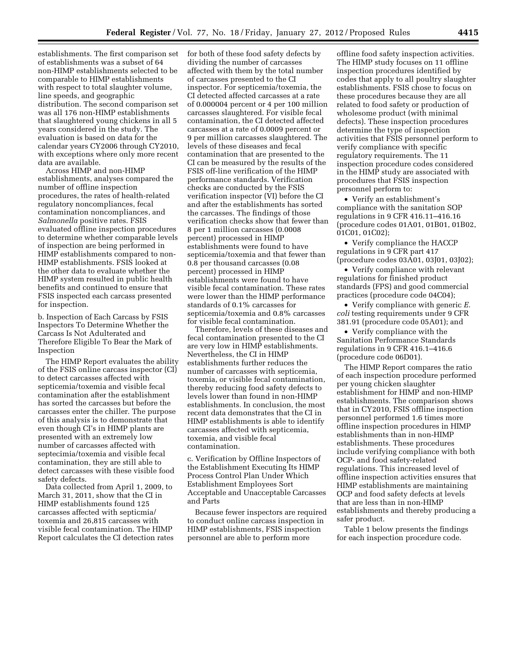establishments. The first comparison set of establishments was a subset of 64 non-HIMP establishments selected to be comparable to HIMP establishments with respect to total slaughter volume, line speeds, and geographic distribution. The second comparison set was all 176 non-HIMP establishments that slaughtered young chickens in all 5 years considered in the study. The evaluation is based on data for the calendar years CY2006 through CY2010, with exceptions where only more recent data are available.

Across HIMP and non-HIMP establishments, analyses compared the number of offline inspection procedures, the rates of health-related regulatory noncompliances, fecal contamination noncompliances, and *Salmonella* positive rates. FSIS evaluated offline inspection procedures to determine whether comparable levels of inspection are being performed in HIMP establishments compared to non-HIMP establishments. FSIS looked at the other data to evaluate whether the HIMP system resulted in public health benefits and continued to ensure that FSIS inspected each carcass presented for inspection.

b. Inspection of Each Carcass by FSIS Inspectors To Determine Whether the Carcass Is Not Adulterated and Therefore Eligible To Bear the Mark of Inspection

The HIMP Report evaluates the ability of the FSIS online carcass inspector (CI) to detect carcasses affected with septicemia/toxemia and visible fecal contamination after the establishment has sorted the carcasses but before the carcasses enter the chiller. The purpose of this analysis is to demonstrate that even though CI's in HIMP plants are presented with an extremely low number of carcasses affected with septecimia/toxemia and visible fecal contamination, they are still able to detect carcasses with these visible food safety defects.

Data collected from April 1, 2009, to March 31, 2011, show that the CI in HIMP establishments found 125 carcasses affected with septicmia/ toxemia and 26,815 carcasses with visible fecal contamination. The HIMP Report calculates the CI detection rates

for both of these food safety defects by dividing the number of carcasses affected with them by the total number of carcasses presented to the CI inspector. For septicemia/toxemia, the CI detected affected carcasses at a rate of 0.000004 percent or 4 per 100 million carcasses slaughtered. For visible fecal contamination, the CI detected affected carcasses at a rate of 0.0009 percent or 9 per million carcasses slaughtered. The levels of these diseases and fecal contamination that are presented to the CI can be measured by the results of the FSIS off-line verification of the HIMP performance standards. Verification checks are conducted by the FSIS verification inspector (VI) before the CI and after the establishments has sorted the carcasses. The findings of those verification checks show that fewer than 8 per 1 million carcasses (0.0008 percent) processed in HIMP establishments were found to have septicemia/toxemia and that fewer than 0.8 per thousand carcasses (0.08 percent) processed in HIMP establishments were found to have visible fecal contamination. These rates were lower than the HIMP performance standards of 0.1% carcasses for septicemia/toxemia and 0.8% carcasses for visible fecal contamination.

Therefore, levels of these diseases and fecal contamination presented to the CI are very low in HIMP establishments. Nevertheless, the CI in HIMP establishments further reduces the number of carcasses with septicemia, toxemia, or visible fecal contamination, thereby reducing food safety defects to levels lower than found in non-HIMP establishments. In conclusion, the most recent data demonstrates that the CI in HIMP establishments is able to identify carcasses affected with septicemia, toxemia, and visible fecal contamination.

c. Verification by Offline Inspectors of the Establishment Executing Its HIMP Process Control Plan Under Which Establishment Employees Sort Acceptable and Unacceptable Carcasses and Parts

Because fewer inspectors are required to conduct online carcass inspection in HIMP establishments, FSIS inspection personnel are able to perform more

offline food safety inspection activities. The HIMP study focuses on 11 offline inspection procedures identified by codes that apply to all poultry slaughter establishments. FSIS chose to focus on these procedures because they are all related to food safety or production of wholesome product (with minimal defects). These inspection procedures determine the type of inspection activities that FSIS personnel perform to verify compliance with specific regulatory requirements. The 11 inspection procedure codes considered in the HIMP study are associated with procedures that FSIS inspection personnel perform to:

• Verify an establishment's compliance with the sanitation SOP regulations in 9 CFR 416.11–416.16 (procedure codes 01A01, 01B01, 01B02, 01C01, 01C02);

• Verify compliance the HACCP regulations in 9 CFR part 417 (procedure codes 03A01, 03J01, 03J02);

• Verify compliance with relevant regulations for finished product standards (FPS) and good commercial practices (procedure code 04C04);

• Verify compliance with generic *E. coli* testing requirements under 9 CFR 381.91 (procedure code 05A01); and

• Verify compliance with the Sanitation Performance Standards regulations in 9 CFR 416.1–416.6 (procedure code 06D01).

The HIMP Report compares the ratio of each inspection procedure performed per young chicken slaughter establishment for HIMP and non-HIMP establishments. The comparison shows that in CY2010, FSIS offline inspection personnel performed 1.6 times more offline inspection procedures in HIMP establishments than in non-HIMP establishments. These procedures include verifying compliance with both OCP- and food safety-related regulations. This increased level of offline inspection activities ensures that HIMP establishments are maintaining OCP and food safety defects at levels that are less than in non-HIMP establishments and thereby producing a safer product.

Table 1 below presents the findings for each inspection procedure code.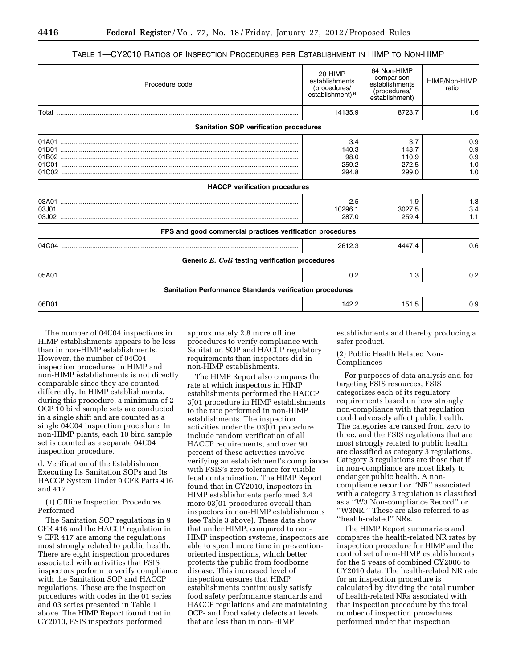| Procedure code                                                  | 20 HIMP<br>establishments<br>(procedures/<br>establishment) <sup>6</sup> | 64 Non-HIMP<br>comparison<br>establishments<br>(procedures/<br>establishment) | HIMP/Non-HIMP<br>ratio          |
|-----------------------------------------------------------------|--------------------------------------------------------------------------|-------------------------------------------------------------------------------|---------------------------------|
|                                                                 | 14135.9                                                                  | 8723.7                                                                        | 1.6                             |
| <b>Sanitation SOP verification procedures</b>                   |                                                                          |                                                                               |                                 |
| 01B02<br>01C01<br>01C02                                         | 3.4<br>140.3<br>98.0<br>259.2<br>294.8                                   | 3.7<br>148.7<br>110.9<br>272.5<br>299.0                                       | 0.9<br>0.9<br>0.9<br>1.0<br>1.0 |
| <b>HACCP</b> verification procedures                            |                                                                          |                                                                               |                                 |
| 03J01                                                           | 2.5<br>10296.1<br>287.0                                                  | 1.9<br>3027.5<br>259.4                                                        | 1.3<br>3.4<br>1.1               |
| FPS and good commercial practices verification procedures       |                                                                          |                                                                               |                                 |
|                                                                 | 2612.3                                                                   | 4447.4                                                                        | 0.6                             |
| Generic E. Coli testing verification procedures                 |                                                                          |                                                                               |                                 |
|                                                                 | 0.2                                                                      | 1.3                                                                           | 0.2                             |
| <b>Sanitation Performance Standards verification procedures</b> |                                                                          |                                                                               |                                 |
| 06D01                                                           | 142.2                                                                    | 151.5                                                                         | 0.9                             |

#### TABLE 1—CY2010 RATIOS OF INSPECTION PROCEDURES PER ESTABLISHMENT IN HIMP TO NON-HIMP

The number of 04C04 inspections in HIMP establishments appears to be less than in non-HIMP establishments. However, the number of 04C04 inspection procedures in HIMP and non-HIMP establishments is not directly comparable since they are counted differently. In HIMP establishments, during this procedure, a minimum of 2 OCP 10 bird sample sets are conducted in a single shift and are counted as a single 04C04 inspection procedure. In non-HIMP plants, each 10 bird sample set is counted as a separate 04C04 inspection procedure.

d. Verification of the Establishment Executing Its Sanitation SOPs and Its HACCP System Under 9 CFR Parts 416 and 417

(1) Offline Inspection Procedures Performed

The Sanitation SOP regulations in 9 CFR 416 and the HACCP regulation in 9 CFR 417 are among the regulations most strongly related to public health. There are eight inspection procedures associated with activities that FSIS inspectors perform to verify compliance with the Sanitation SOP and HACCP regulations. These are the inspection procedures with codes in the 01 series and 03 series presented in Table 1 above. The HIMP Report found that in CY2010, FSIS inspectors performed

approximately 2.8 more offline procedures to verify compliance with Sanitation SOP and HACCP regulatory requirements than inspectors did in non-HIMP establishments.

The HIMP Report also compares the rate at which inspectors in HIMP establishments performed the HACCP 3J01 procedure in HIMP establishments to the rate performed in non-HIMP establishments. The inspection activities under the 03J01 procedure include random verification of all HACCP requirements, and over 90 percent of these activities involve verifying an establishment's compliance with FSIS's zero tolerance for visible fecal contamination. The HIMP Report found that in CY2010, inspectors in HIMP establishments performed 3.4 more 03J01 procedures overall than inspectors in non-HIMP establishments (see Table 3 above). These data show that under HIMP, compared to non-HIMP inspection systems, inspectors are able to spend more time in preventionoriented inspections, which better protects the public from foodborne disease. This increased level of inspection ensures that HIMP establishments continuously satisfy food safety performance standards and HACCP regulations and are maintaining OCP- and food safety defects at levels that are less than in non-HIMP

establishments and thereby producing a safer product.

#### (2) Public Health Related Non-Compliances

For purposes of data analysis and for targeting FSIS resources, FSIS categorizes each of its regulatory requirements based on how strongly non-compliance with that regulation could adversely affect public health. The categories are ranked from zero to three, and the FSIS regulations that are most strongly related to public health are classified as category 3 regulations. Category 3 regulations are those that if in non-compliance are most likely to endanger public health. A noncompliance record or ''NR'' associated with a category 3 regulation is classified as a ''W3 Non-compliance Record'' or ''W3NR.'' These are also referred to as ''health-related'' NRs.

The HIMP Report summarizes and compares the health-related NR rates by inspection procedure for HIMP and the control set of non-HIMP establishments for the 5 years of combined CY2006 to CY2010 data. The health-related NR rate for an inspection procedure is calculated by dividing the total number of health-related NRs associated with that inspection procedure by the total number of inspection procedures performed under that inspection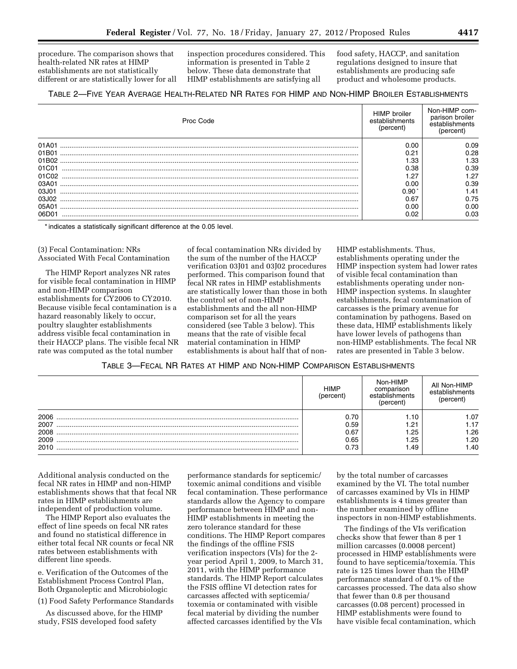procedure. The comparison shows that health-related NR rates at HIMP establishments are not statistically different or are statistically lower for all

inspection procedures considered. This information is presented in Table 2 below. These data demonstrate that HIMP establishments are satisfying all

food safety, HACCP, and sanitation regulations designed to insure that establishments are producing safe product and wholesome products.

## TABLE 2—FIVE YEAR AVERAGE HEALTH-RELATED NR RATES FOR HIMP AND NON-HIMP BROILER ESTABLISHMENTS

| Proc Code | <b>HIMP</b> broiler<br>establishments<br>(percent) | Non-HIMP com-<br>parison broiler<br>establishments<br>(percent |
|-----------|----------------------------------------------------|----------------------------------------------------------------|
| 01A01     | 0.00                                               | 0.09                                                           |
| 01B01     | 0.21                                               | 0.28                                                           |
|           | .33                                                | 1.33                                                           |
| 01C01     | 0.38                                               | 0.39                                                           |
| 01C02     | .27                                                | 1.27                                                           |
| 03A01     | 0.00                                               | 0.39                                                           |
| 03.101    | 0.90                                               | 1.41                                                           |
| 03.102    | 0.67                                               | 0.75                                                           |
| 05A01     | 0.00                                               | 0.00                                                           |
| 06D0      | 0.02                                               | 0.03                                                           |

\* indicates a statistically significant difference at the 0.05 level.

#### (3) Fecal Contamination: NRs Associated With Fecal Contamination

The HIMP Report analyzes NR rates for visible fecal contamination in HIMP and non-HIMP comparison establishments for CY2006 to CY2010. Because visible fecal contamination is a hazard reasonably likely to occur, poultry slaughter establishments address visible fecal contamination in their HACCP plans. The visible fecal NR rate was computed as the total number

of fecal contamination NRs divided by the sum of the number of the HACCP verification 03J01 and 03J02 procedures performed. This comparison found that fecal NR rates in HIMP establishments are statistically lower than those in both the control set of non-HIMP establishments and the all non-HIMP comparison set for all the years considered (see Table 3 below). This means that the rate of visible fecal material contamination in HIMP establishments is about half that of non-

HIMP establishments. Thus, establishments operating under the HIMP inspection system had lower rates of visible fecal contamination than establishments operating under non-HIMP inspection systems. In slaughter establishments, fecal contamination of carcasses is the primary avenue for contamination by pathogens. Based on these data, HIMP establishments likely have lower levels of pathogens than non-HIMP establishments. The fecal NR rates are presented in Table 3 below.

#### TABLE 3—FECAL NR RATES AT HIMP AND NON-HIMP COMPARISON ESTABLISHMENTS

|      | <b>HIMP</b><br>percent | Non-HIMP<br>comparison<br>establishments<br>percent | All Non-HIMP<br>establishments<br>rercent |
|------|------------------------|-----------------------------------------------------|-------------------------------------------|
| 2006 |                        |                                                     | .07                                       |
| 2007 | 0.59                   | .21                                                 | 1.17                                      |
| 2008 | 0.67                   | .25                                                 | .26                                       |
| 2009 | 0.65                   | .25                                                 | 1.20                                      |
| 2010 | 0.73                   | .49                                                 | .40                                       |

Additional analysis conducted on the fecal NR rates in HIMP and non-HIMP establishments shows that that fecal NR rates in HIMP establishments are independent of production volume.

The HIMP Report also evaluates the effect of line speeds on fecal NR rates and found no statistical difference in either total fecal NR counts or fecal NR rates between establishments with different line speeds.

e. Verification of the Outcomes of the Establishment Process Control Plan, Both Organoleptic and Microbiologic

(1) Food Safety Performance Standards

As discussed above, for the HIMP study, FSIS developed food safety

performance standards for septicemic/ toxemic animal conditions and visible fecal contamination. These performance standards allow the Agency to compare performance between HIMP and non-HIMP establishments in meeting the zero tolerance standard for these conditions. The HIMP Report compares the findings of the offline FSIS verification inspectors (VIs) for the 2 year period April 1, 2009, to March 31, 2011, with the HIMP performance standards. The HIMP Report calculates the FSIS offline VI detection rates for carcasses affected with septicemia/ toxemia or contaminated with visible fecal material by dividing the number affected carcasses identified by the VIs

by the total number of carcasses examined by the VI. The total number of carcasses examined by VIs in HIMP establishments is 4 times greater than the number examined by offline inspectors in non-HIMP establishments.

The findings of the VIs verification checks show that fewer than 8 per 1 million carcasses (0.0008 percent) processed in HIMP establishments were found to have septicemia/toxemia. This rate is 125 times lower than the HIMP performance standard of 0.1% of the carcasses processed. The data also show that fewer than 0.8 per thousand carcasses (0.08 percent) processed in HIMP establishments were found to have visible fecal contamination, which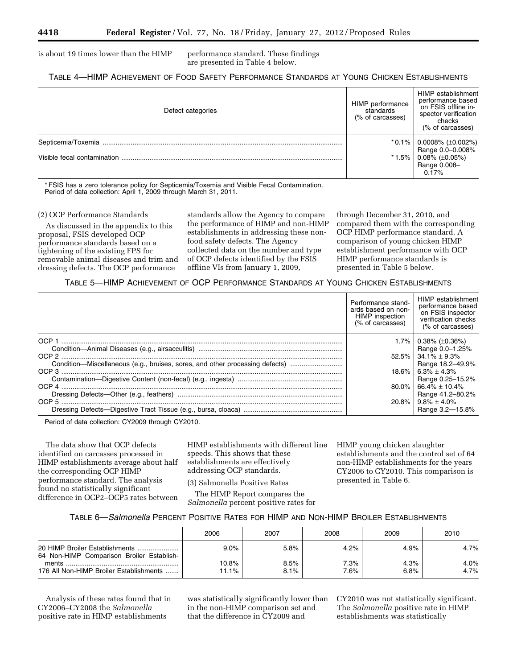is about 19 times lower than the HIMP performance standard. These findings

are presented in Table 4 below.

#### TABLE 4—HIMP ACHIEVEMENT OF FOOD SAFETY PERFORMANCE STANDARDS AT YOUNG CHICKEN ESTABLISHMENTS

| Defect categories           | HIMP performance<br>standards<br>(% of carcasses) | HIMP establishment<br>performance based<br>on FSIS offline in-<br>spector verification<br>checks<br>(% of carcasses) |
|-----------------------------|---------------------------------------------------|----------------------------------------------------------------------------------------------------------------------|
| Septicemia/Toxemia          | $*0.1\%$                                          | $\vert 0.0008\%~(\pm 0.002\%)$                                                                                       |
| Visible fecal contamination | $*1.5\%$                                          | Range 0.0-0.008%<br>$0.08\%~(\pm 0.05\%)$<br>Range 0.008-<br>0.17%                                                   |

\* FSIS has a zero tolerance policy for Septicemia/Toxemia and Visible Fecal Contamination. Period of data collection: April 1, 2009 through March 31, 2011.

#### (2) OCP Performance Standards

As discussed in the appendix to this proposal, FSIS developed OCP performance standards based on a tightening of the existing FPS for removable animal diseases and trim and dressing defects. The OCP performance

standards allow the Agency to compare the performance of HIMP and non-HIMP establishments in addressing these nonfood safety defects. The Agency collected data on the number and type of OCP defects identified by the FSIS offline VIs from January 1, 2009,

through December 31, 2010, and compared them with the corresponding OCP HIMP performance standard. A comparison of young chicken HIMP establishment performance with OCP HIMP performance standards is presented in Table 5 below.

TABLE 5—HIMP ACHIEVEMENT OF OCP PERFORMANCE STANDARDS AT YOUNG CHICKEN ESTABLISHMENTS

|                                                                              | Performance stand-<br>ards based on non-<br>HIMP inspection<br>(% of carcasses) | HIMP establishment<br>performance based<br>on FSIS inspector<br>verification checks<br>(% of carcasses) |
|------------------------------------------------------------------------------|---------------------------------------------------------------------------------|---------------------------------------------------------------------------------------------------------|
| OCP <sub>1</sub>                                                             | $1.7\%$                                                                         | $0.38\%$ ( $\pm 0.36\%$ )<br>Range 0.0-1.25%                                                            |
|                                                                              | $52.5\%$                                                                        | $34.1\% \pm 9.3\%$                                                                                      |
| Condition-Miscellaneous (e.g., bruises, sores, and other processing defects) | 18.6%                                                                           | Range 18.2-49.9%<br>$6.3\% + 4.3\%$                                                                     |
|                                                                              | 80.0%                                                                           | Range 0.25-15.2%<br>$66.4\% \pm 10.4\%$                                                                 |
|                                                                              | 20.8%                                                                           | Range 41.2-80.2%<br>$9.8\% \pm 4.0\%$                                                                   |
|                                                                              |                                                                                 | Range 3.2-15.8%                                                                                         |

Period of data collection: CY2009 through CY2010.

The data show that OCP defects identified on carcasses processed in HIMP establishments average about half the corresponding OCP HIMP performance standard. The analysis found no statistically significant difference in OCP2–OCP5 rates between

HIMP establishments with different line speeds. This shows that these establishments are effectively addressing OCP standards.

(3) Salmonella Positive Rates

The HIMP Report compares the *Salmonella* percent positive rates for HIMP young chicken slaughter establishments and the control set of 64 non-HIMP establishments for the years CY2006 to CY2010. This comparison is presented in Table 6.

#### TABLE 6—*Salmonella* PERCENT POSITIVE RATES FOR HIMP AND NON-HIMP BROILER ESTABLISHMENTS

|                                                                             | 2006  | 2007 | 2008 | 2009 | 2010    |
|-----------------------------------------------------------------------------|-------|------|------|------|---------|
| 20 HIMP Broiler Establishments<br>64 Non-HIMP Comparison Broiler Establish- | 9.0%  | 5.8% | 4.2% | 4.9% | $4.7\%$ |
| ments                                                                       | 10.8% | 8.5% | 7.3% | 4.3% | 4.0%    |
| 176 All Non-HIMP Broiler Establishments                                     | 11.1% | 8.1% | 7.6% | 6.8% | 4.7%    |

Analysis of these rates found that in CY2006–CY2008 the *Salmonella*  positive rate in HIMP establishments

was statistically significantly lower than in the non-HIMP comparison set and that the difference in CY2009 and

CY2010 was not statistically significant. The *Salmonella* positive rate in HIMP establishments was statistically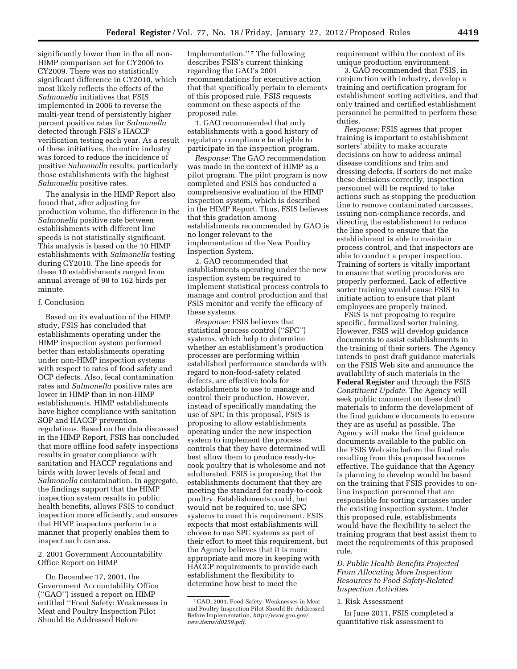significantly lower than in the all non-HIMP comparison set for CY2006 to CY2009. There was no statistically significant difference in CY2010, which most likely reflects the effects of the *Salmonella* initiatives that FSIS implemented in 2006 to reverse the multi-year trend of persistently higher percent positive rates for *Salmonella*  detected through FSIS's HACCP verification testing each year. As a result of these initiatives, the entire industry was forced to reduce the incidence of positive *Salmonella* results, particularly those establishments with the highest *Salmonella* positive rates.

The analysis in the HIMP Report also found that, after adjusting for production volume, the difference in the *Salmonella* positive rate between establishments with different line speeds is not statistically significant. This analysis is based on the 10 HIMP establishments with *Salmonella* testing during CY2010. The line speeds for these 10 establishments ranged from annual average of 98 to 162 birds per minute.

#### f. Conclusion

Based on its evaluation of the HIMP study, FSIS has concluded that establishments operating under the HIMP inspection system performed better than establishments operating under non-HIMP inspection systems with respect to rates of food safety and OCP defects. Also, fecal contamination rates and *Salmonella* positive rates are lower in HIMP than in non-HIMP establishments. HIMP establishments have higher compliance with sanitation SOP and HACCP prevention regulations. Based on the data discussed in the HIMP Report, FSIS has concluded that more offline food safety inspections results in greater compliance with sanitation and HACCP regulations and birds with lower levels of fecal and *Salmonella* contamination. In aggregate, the findings support that the HIMP inspection system results in public health benefits, allows FSIS to conduct inspection more efficiently, and ensures that HIMP inspectors perform in a manner that properly enables them to inspect each carcass.

2. 2001 Government Accountability Office Report on HIMP

On December 17, 2001, the Government Accountability Office (''GAO'') issued a report on HIMP entitled ''Food Safety: Weaknesses in Meat and Poultry Inspection Pilot Should Be Addressed Before

Implementation."<sup>7</sup> The following describes FSIS's current thinking regarding the GAO's 2001 recommendations for executive action that that specifically pertain to elements of this proposed rule. FSIS requests comment on these aspects of the proposed rule.

1. GAO recommended that only establishments with a good history of regulatory compliance be eligible to participate in the inspection program.

*Response:* The GAO recommendation was made in the context of HIMP as a pilot program. The pilot program is now completed and FSIS has conducted a comprehensive evaluation of the HIMP inspection system, which is described in the HIMP Report. Thus, FSIS believes that this gradation among establishments recommended by GAO is no longer relevant to the implementation of the New Poultry Inspection System.

2. GAO recommended that establishments operating under the new inspection system be required to implement statistical process controls to manage and control production and that FSIS monitor and verify the efficacy of these systems.

*Response:* FSIS believes that statistical process control (''SPC'') systems, which help to determine whether an establishment's production processes are performing within established performance standards with regard to non-food-safety related defects, are effective tools for establishments to use to manage and control their production. However, instead of specifically mandating the use of SPC in this proposal, FSIS is proposing to allow establishments operating under the new inspection system to implement the process controls that they have determined will best allow them to produce ready-tocook poultry that is wholesome and not adulterated. FSIS is proposing that the establishments document that they are meeting the standard for ready-to-cook poultry. Establishments could, but would not be required to, use SPC systems to meet this requirement. FSIS expects that most establishments will choose to use SPC systems as part of their effort to meet this requirement, but the Agency believes that it is more appropriate and more in keeping with HACCP requirements to provide each establishment the flexibility to determine how best to meet the

requirement within the context of its unique production environment.

3. GAO recommended that FSIS, in conjunction with industry, develop a training and certification program for establishment sorting activities, and that only trained and certified establishment personnel be permitted to perform these duties.

*Response:* FSIS agrees that proper training is important to establishment sorters' ability to make accurate decisions on how to address animal disease conditions and trim and dressing defects. If sorters do not make these decisions correctly, inspection personnel will be required to take actions such as stopping the production line to remove contaminated carcasses, issuing non-compliance records, and directing the establishment to reduce the line speed to ensure that the establishment is able to maintain process control, and that inspectors are able to conduct a proper inspection. Training of sorters is vitally important to ensure that sorting procedures are properly performed. Lack of effective sorter training would cause FSIS to initiate action to ensure that plant employees are properly trained.

FSIS is not proposing to require specific, formalized sorter training. However, FSIS will develop guidance documents to assist establishments in the training of their sorters. The Agency intends to post draft guidance materials on the FSIS Web site and announce the availability of such materials in the **Federal Register** and through the FSIS *Constituent Update.* The Agency will seek public comment on these draft materials to inform the development of the final guidance documents to ensure they are as useful as possible. The Agency will make the final guidance documents available to the public on the FSIS Web site before the final rule resulting from this proposal becomes effective. The guidance that the Agency is planning to develop would be based on the training that FSIS provides to online inspection personnel that are responsible for sorting carcasses under the existing inspection system. Under this proposed rule, establishments would have the flexibility to select the training program that best assist them to meet the requirements of this proposed rule.

#### *D. Public Health Benefits Projected From Allocating More Inspection Resources to Food Safety-Related Inspection Activities*

1. Risk Assessment

<sup>7</sup> GAO, 2001. Food Safety: Weaknesses in Meat and Poultry Inspection Pilot Should Be Addressed Before Implementation, *[http://www.gao.gov/](http://www.gao.gov/new.items/d0259.pdf) [new.items/d0259.pdf.](http://www.gao.gov/new.items/d0259.pdf)* 

In June 2011, FSIS completed a quantitative risk assessment to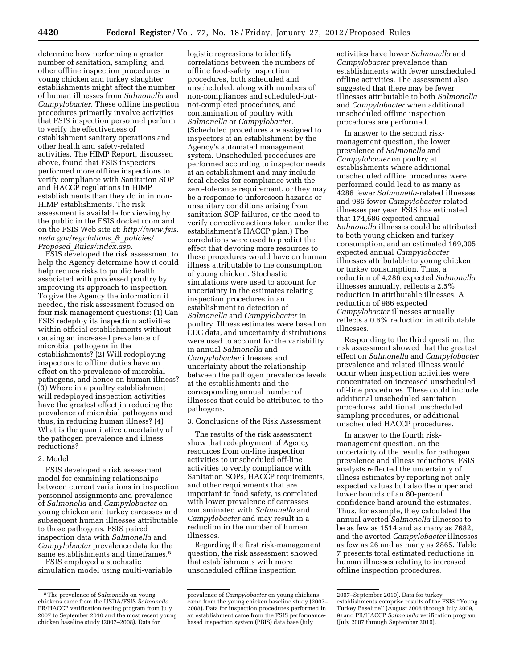determine how performing a greater number of sanitation, sampling, and other offline inspection procedures in young chicken and turkey slaughter establishments might affect the number of human illnesses from *Salmonella* and *Campylobacter.* These offline inspection procedures primarily involve activities that FSIS inspection personnel perform to verify the effectiveness of establishment sanitary operations and other health and safety-related activities. The HIMP Report, discussed above, found that FSIS inspectors performed more offline inspections to verify compliance with Sanitation SOP and HACCP regulations in HIMP establishments than they do in in non-HIMP establishments. The risk assessment is available for viewing by the public in the FSIS docket room and on the FSIS Web site at: *[http://www.fsis.](http://www.fsis.usda.gov/regulations_&_policies/Proposed_Rules/index.asp) [usda.gov/regulations](http://www.fsis.usda.gov/regulations_&_policies/Proposed_Rules/index.asp)*\_*&*\_*policies/ Proposed*\_*[Rules/index.asp.](http://www.fsis.usda.gov/regulations_&_policies/Proposed_Rules/index.asp)* 

FSIS developed the risk assessment to help the Agency determine how it could help reduce risks to public health associated with processed poultry by improving its approach to inspection. To give the Agency the information it needed, the risk assessment focused on four risk management questions: (1) Can FSIS redeploy its inspection activities within official establishments without causing an increased prevalence of microbial pathogens in the establishments? (2) Will redeploying inspectors to offline duties have an effect on the prevalence of microbial pathogens, and hence on human illness? (3) Where in a poultry establishment will redeployed inspection activities have the greatest effect in reducing the prevalence of microbial pathogens and thus, in reducing human illness? (4) What is the quantitative uncertainty of the pathogen prevalence and illness reductions?

#### 2. Model

FSIS developed a risk assessment model for examining relationships between current variations in inspection personnel assignments and prevalence of *Salmonella* and *Campylobacter* on young chicken and turkey carcasses and subsequent human illnesses attributable to those pathogens. FSIS paired inspection data with *Salmonella* and *Campylobacter* prevalence data for the same establishments and timeframes.8

FSIS employed a stochastic simulation model using multi-variable

logistic regressions to identify correlations between the numbers of offline food-safety inspection procedures, both scheduled and unscheduled, along with numbers of non-compliances and scheduled-butnot-completed procedures, and contamination of poultry with *Salmonella* or *Campylobacter.*  (Scheduled procedures are assigned to inspectors at an establishment by the Agency's automated management system. Unscheduled procedures are performed according to inspector needs at an establishment and may include fecal checks for compliance with the zero-tolerance requirement, or they may be a response to unforeseen hazards or unsanitary conditions arising from sanitation SOP failures, or the need to verify corrective actions taken under the establishment's HACCP plan.) The correlations were used to predict the effect that devoting more resources to these procedures would have on human illness attributable to the consumption of young chicken. Stochastic simulations were used to account for uncertainty in the estimates relating inspection procedures in an establishment to detection of *Salmonella* and *Campylobacter* in poultry. Illness estimates were based on CDC data, and uncertainty distributions were used to account for the variability in annual *Salmonella* and *Campylobacter* illnesses and uncertainty about the relationship between the pathogen prevalence levels at the establishments and the corresponding annual number of illnesses that could be attributed to the pathogens.

3. Conclusions of the Risk Assessment

The results of the risk assessment show that redeployment of Agency resources from on-line inspection activities to unscheduled off-line activities to verify compliance with Sanitation SOPs, HACCP requirements, and other requirements that are important to food safety, is correlated with lower prevalence of carcasses contaminated with *Salmonella* and *Campylobacter* and may result in a reduction in the number of human illnesses.

Regarding the first risk-management question, the risk assessment showed that establishments with more unscheduled offline inspection

activities have lower *Salmonella* and *Campylobacter* prevalence than establishments with fewer unscheduled offline activities. The assessment also suggested that there may be fewer illnesses attributable to both *Salmonella*  and *Campylobacter* when additional unscheduled offline inspection procedures are performed.

In answer to the second riskmanagement question, the lower prevalence of *Salmonella* and *Campylobacter* on poultry at establishments where additional unscheduled offline procedures were performed could lead to as many as 4286 fewer *Salmonella*-related illnesses and 986 fewer *Campylobacter*-related illnesses per year. FSIS has estimated that 174,686 expected annual *Salmonella* illnesses could be attributed to both young chicken and turkey consumption, and an estimated 169,005 expected annual *Campylobacter*  illnesses attributable to young chicken or turkey consumption. Thus, a reduction of 4,286 expected *Salmonella*  illnesses annually, reflects a 2.5% reduction in attributable illnesses. A reduction of 986 expected *Campylobacter* illnesses annually reflects a 0.6% reduction in attributable illnesses.

Responding to the third question, the risk assessment showed that the greatest effect on *Salmonella* and *Campylobacter*  prevalence and related illness would occur when inspection activities were concentrated on increased unscheduled off-line procedures. These could include additional unscheduled sanitation procedures, additional unscheduled sampling procedures, or additional unscheduled HACCP procedures.

In answer to the fourth riskmanagement question, on the uncertainty of the results for pathogen prevalence and illness reductions, FSIS analysts reflected the uncertainty of illness estimates by reporting not only expected values but also the upper and lower bounds of an 80-percent confidence band around the estimates. Thus, for example, they calculated the annual averted *Salmonella* illnesses to be as few as 1514 and as many as 7682, and the averted *Campylobacter* illnesses as few as 26 and as many as 2865. Table 7 presents total estimated reductions in human illnesses relating to increased offline inspection procedures.

<sup>8</sup>The prevalence of *Salmonella* on young chickens came from the USDA/FSIS *Salmonella*  PR/HACCP verification testing program from July 2007 to September 2010 and the most recent young chicken baseline study (2007–2008). Data for

prevalence of *Campylobacter* on young chickens came from the young chicken baseline study (2007– 2008). Data for inspection procedures performed in an establishment came from the FSIS performancebased inspection system (PBIS) data base (July

<sup>2007–</sup>September 2010). Data for turkey establishments comprise results of the FSIS ''Young Turkey Baseline'' (August 2008 through July 2009, 9) and PR/HACCP *Salmonella* verification program (July 2007 through September 2010).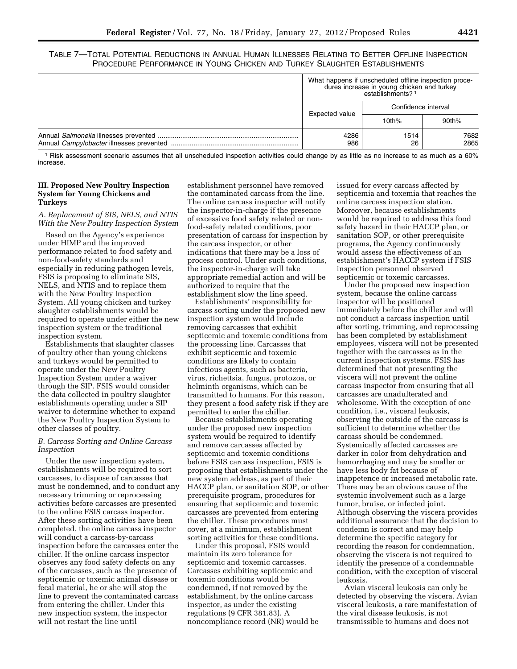TABLE 7—TOTAL POTENTIAL REDUCTIONS IN ANNUAL HUMAN ILLNESSES RELATING TO BETTER OFFLINE INSPECTION PROCEDURE PERFORMANCE IN YOUNG CHICKEN AND TURKEY SLAUGHTER ESTABLISHMENTS

| What happens if unscheduled offline inspection proce-<br>dures increase in young chicken and turkey<br>establishments? 1 |            |              |
|--------------------------------------------------------------------------------------------------------------------------|------------|--------------|
| Confidence interval                                                                                                      |            |              |
| Expected value                                                                                                           | 10th%      | 90th%        |
| 4286<br>986                                                                                                              | 1514<br>26 | 7682<br>2865 |

1 Risk assessment scenario assumes that all unscheduled inspection activities could change by as little as no increase to as much as a 60% increase.

#### **III. Proposed New Poultry Inspection System for Young Chickens and Turkeys**

*A. Replacement of SIS, NELS, and NTIS With the New Poultry Inspection System* 

Based on the Agency's experience under HIMP and the improved performance related to food safety and non-food-safety standards and especially in reducing pathogen levels, FSIS is proposing to eliminate SIS, NELS, and NTIS and to replace them with the New Poultry Inspection System. All young chicken and turkey slaughter establishments would be required to operate under either the new inspection system or the traditional inspection system.

Establishments that slaughter classes of poultry other than young chickens and turkeys would be permitted to operate under the New Poultry Inspection System under a waiver through the SIP. FSIS would consider the data collected in poultry slaughter establishments operating under a SIP waiver to determine whether to expand the New Poultry Inspection System to other classes of poultry.

#### *B. Carcass Sorting and Online Carcass Inspection*

Under the new inspection system, establishments will be required to sort carcasses, to dispose of carcasses that must be condemned, and to conduct any necessary trimming or reprocessing activities before carcasses are presented to the online FSIS carcass inspector. After these sorting activities have been completed, the online carcass inspector will conduct a carcass-by-carcass inspection before the carcasses enter the chiller. If the online carcass inspector observes any food safety defects on any of the carcasses, such as the presence of septicemic or toxemic animal disease or fecal material, he or she will stop the line to prevent the contaminated carcass from entering the chiller. Under this new inspection system, the inspector will not restart the line until

establishment personnel have removed the contaminated carcass from the line. The online carcass inspector will notify the inspector-in-charge if the presence of excessive food safety related or nonfood-safety related conditions, poor presentation of carcass for inspection by the carcass inspector, or other indications that there may be a loss of process control. Under such conditions, the inspector-in-charge will take appropriate remedial action and will be authorized to require that the establishment slow the line speed.

Establishments' responsibility for carcass sorting under the proposed new inspection system would include removing carcasses that exhibit septicemic and toxemic conditions from the processing line. Carcasses that exhibit septicemic and toxemic conditions are likely to contain infectious agents, such as bacteria, virus, richettsia, fungus, protozoa, or helminth organisms, which can be transmitted to humans. For this reason, they present a food safety risk if they are permitted to enter the chiller.

Because establishments operating under the proposed new inspection system would be required to identify and remove carcasses affected by septicemic and toxemic conditions before FSIS carcass inspection, FSIS is proposing that establishments under the new system address, as part of their HACCP plan, or sanitation SOP, or other prerequisite program, procedures for ensuring that septicemic and toxemic carcasses are prevented from entering the chiller. These procedures must cover, at a minimum, establishment sorting activities for these conditions.

Under this proposal, FSIS would maintain its zero tolerance for septicemic and toxemic carcasses. Carcasses exhibiting septicemic and toxemic conditions would be condemned, if not removed by the establishment, by the online carcass inspector, as under the existing regulations (9 CFR 381.83). A noncompliance record (NR) would be

issued for every carcass affected by septicemia and toxemia that reaches the online carcass inspection station. Moreover, because establishments would be required to address this food safety hazard in their HACCP plan, or sanitation SOP, or other prerequisite programs, the Agency continuously would assess the effectiveness of an establishment's HACCP system if FSIS inspection personnel observed septicemic or toxemic carcasses.

Under the proposed new inspection system, because the online carcass inspector will be positioned immediately before the chiller and will not conduct a carcass inspection until after sorting, trimming, and reprocessing has been completed by establishment employees, viscera will not be presented together with the carcasses as in the current inspection systems. FSIS has determined that not presenting the viscera will not prevent the online carcass inspector from ensuring that all carcasses are unadulterated and wholesome. With the exception of one condition, i.e., visceral leukosis, observing the outside of the carcass is sufficient to determine whether the carcass should be condemned. Systemically affected carcasses are darker in color from dehydration and hemorrhaging and may be smaller or have less body fat because of inappetence or increased metabolic rate. There may be an obvious cause of the systemic involvement such as a large tumor, bruise, or infected joint. Although observing the viscera provides additional assurance that the decision to condemn is correct and may help determine the specific category for recording the reason for condemnation, observing the viscera is not required to identify the presence of a condemnable condition, with the exception of visceral leukosis.

Avian visceral leukosis can only be detected by observing the viscera. Avian visceral leukosis, a rare manifestation of the viral disease leukosis, is not transmissible to humans and does not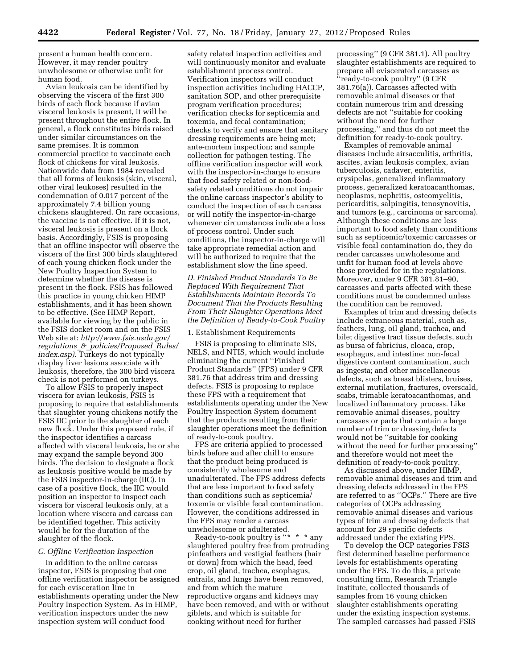present a human health concern. However, it may render poultry unwholesome or otherwise unfit for human food.

Avian leukosis can be identified by observing the viscera of the first 300 birds of each flock because if avian visceral leukosis is present, it will be present throughout the entire flock. In general, a flock constitutes birds raised under similar circumstances on the same premises. It is common commercial practice to vaccinate each flock of chickens for viral leukosis. Nationwide data from 1984 revealed that all forms of leukosis (skin, visceral, other viral leukoses) resulted in the condemnation of 0.017 percent of the approximately 7.4 billion young chickens slaughtered. On rare occasions, the vaccine is not effective. If it is not, visceral leukosis is present on a flock basis. Accordingly, FSIS is proposing that an offline inspector will observe the viscera of the first 300 birds slaughtered of each young chicken flock under the New Poultry Inspection System to determine whether the disease is present in the flock. FSIS has followed this practice in young chicken HIMP establishments, and it has been shown to be effective. (See HIMP Report, available for viewing by the public in the FSIS docket room and on the FSIS Web site at: *[http://www.fsis.usda.gov/](http://www.fsis.usda.gov/regulations_&_policies/Proposed_Rules/index.asp) regulations*\_*&*\_*[policies/Proposed](http://www.fsis.usda.gov/regulations_&_policies/Proposed_Rules/index.asp)*\_*Rules/ [index.asp\)](http://www.fsis.usda.gov/regulations_&_policies/Proposed_Rules/index.asp)*. Turkeys do not typically display liver lesions associate with leukosis, therefore, the 300 bird viscera check is not performed on turkeys.

To allow FSIS to properly inspect viscera for avian leukosis, FSIS is proposing to require that establishments that slaughter young chickens notify the FSIS IIC prior to the slaughter of each new flock. Under this proposed rule, if the inspector identifies a carcass affected with visceral leukosis, he or she may expand the sample beyond 300 birds. The decision to designate a flock as leukosis positive would be made by the FSIS inspector-in-charge (IIC). In case of a positive flock, the IIC would position an inspector to inspect each viscera for visceral leukosis only, at a location where viscera and carcass can be identified together. This activity would be for the duration of the slaughter of the flock.

#### *C. Offline Verification Inspection*

In addition to the online carcass inspector, FSIS is proposing that one offline verification inspector be assigned for each evisceration line in establishments operating under the New Poultry Inspection System. As in HIMP, verification inspectors under the new inspection system will conduct food

safety related inspection activities and will continuously monitor and evaluate establishment process control. Verification inspectors will conduct inspection activities including HACCP, sanitation SOP, and other prerequisite program verification procedures; verification checks for septicemia and toxemia, and fecal contamination; checks to verify and ensure that sanitary dressing requirements are being met; ante-mortem inspection; and sample collection for pathogen testing. The offline verification inspector will work with the inspector-in-charge to ensure that food safety related or non-foodsafety related conditions do not impair the online carcass inspector's ability to conduct the inspection of each carcass or will notify the inspector-in-charge whenever circumstances indicate a loss of process control. Under such conditions, the inspector-in-charge will take appropriate remedial action and will be authorized to require that the establishment slow the line speed.

*D. Finished Product Standards To Be Replaced With Requirement That Establishments Maintain Records To Document That the Products Resulting From Their Slaughter Operations Meet the Definition of Ready-to-Cook Poultry* 

## 1. Establishment Requirements

FSIS is proposing to eliminate SIS, NELS, and NTIS, which would include eliminating the current ''Finished Product Standards'' (FPS) under 9 CFR 381.76 that address trim and dressing defects. FSIS is proposing to replace these FPS with a requirement that establishments operating under the New Poultry Inspection System document that the products resulting from their slaughter operations meet the definition of ready-to-cook poultry.

FPS are criteria applied to processed birds before and after chill to ensure that the product being produced is consistently wholesome and unadulterated. The FPS address defects that are less important to food safety than conditions such as septicemia/ toxemia or visible fecal contamination. However, the conditions addressed in the FPS may render a carcass unwholesome or adulterated.

Ready-to-cook poultry is " $* * *$  any slaughtered poultry free from protruding pinfeathers and vestigial feathers (hair or down) from which the head, feed crop, oil gland, trachea, esophagus, entrails, and lungs have been removed, and from which the mature reproductive organs and kidneys may have been removed, and with or without giblets, and which is suitable for cooking without need for further

processing'' (9 CFR 381.1). All poultry slaughter establishments are required to prepare all eviscerated carcasses as ''ready-to-cook poultry'' (9 CFR 381.76(a)). Carcasses affected with removable animal diseases or that contain numerous trim and dressing defects are not ''suitable for cooking without the need for further processing,'' and thus do not meet the definition for ready-to-cook poultry.

Examples of removable animal diseases include airsacculitis, arthritis, ascites, avian leukosis complex, avian tuberculosis, cadaver, enteritis, erysipelas, generalized inflammatory process, generalized keratoacanthomas, neoplasms, nephritis, osteomyelitis, pericarditis, salpingitis, tenosynovitis, and tumors (e.g., carcinoma or sarcoma). Although these conditions are less important to food safety than conditions such as septicemic/toxemic carcasses or visible fecal contamination do, they do render carcasses unwholesome and unfit for human food at levels above those provided for in the regulations. Moreover, under 9 CFR 381.81–90, carcasses and parts affected with these conditions must be condemned unless the condition can be removed.

Examples of trim and dressing defects include extraneous material, such as, feathers, lung, oil gland, trachea, and bile; digestive tract tissue defects, such as bursa of fabricius, cloaca, crop, esophagus, and intestine; non-fecal digestive content contamination, such as ingesta; and other miscellaneous defects, such as breast blisters, bruises, external mutilation, fractures, overscald, scabs, trimable keratoacanthomas, and localized inflammatory process. Like removable animal diseases, poultry carcasses or parts that contain a large number of trim or dressing defects would not be ''suitable for cooking without the need for further processing'' and therefore would not meet the definition of ready-to-cook poultry.

As discussed above, under HIMP, removable animal diseases and trim and dressing defects addressed in the FPS are referred to as ''OCPs.'' There are five categories of OCPs addressing removable animal diseases and various types of trim and dressing defects that account for 29 specific defects addressed under the existing FPS.

To develop the OCP categories FSIS first determined baseline performance levels for establishments operating under the FPS. To do this, a private consulting firm, Research Triangle Institute, collected thousands of samples from 16 young chicken slaughter establishments operating under the existing inspection systems. The sampled carcasses had passed FSIS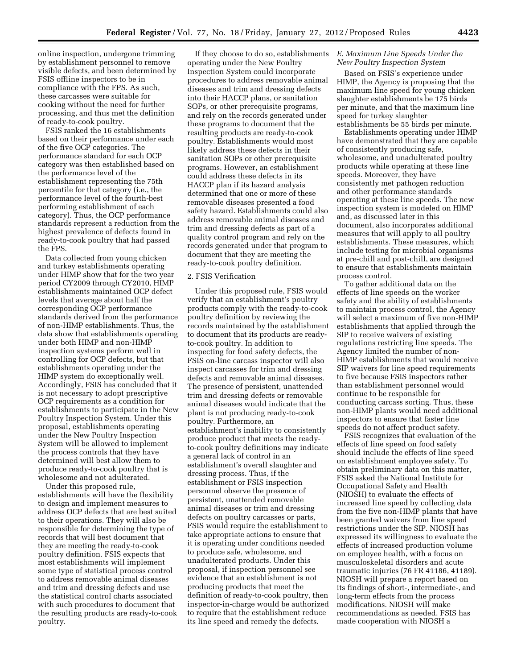online inspection, undergone trimming by establishment personnel to remove visible defects, and been determined by FSIS offline inspectors to be in compliance with the FPS. As such, these carcasses were suitable for cooking without the need for further processing, and thus met the definition of ready-to-cook poultry.

FSIS ranked the 16 establishments based on their performance under each of the five OCP categories. The performance standard for each OCP category was then established based on the performance level of the establishment representing the 75th percentile for that category (i.e., the performance level of the fourth-best performing establishment of each category). Thus, the OCP performance standards represent a reduction from the highest prevalence of defects found in ready-to-cook poultry that had passed the FPS.

Data collected from young chicken and turkey establishments operating under HIMP show that for the two year period CY2009 through CY2010, HIMP establishments maintained OCP defect levels that average about half the corresponding OCP performance standards derived from the performance of non-HIMP establishments. Thus, the data show that establishments operating under both HIMP and non-HIMP inspection systems perform well in controlling for OCP defects, but that establishments operating under the HIMP system do exceptionally well. Accordingly, FSIS has concluded that it is not necessary to adopt prescriptive OCP requirements as a condition for establishments to participate in the New Poultry Inspection System. Under this proposal, establishments operating under the New Poultry Inspection System will be allowed to implement the process controls that they have determined will best allow them to produce ready-to-cook poultry that is wholesome and not adulterated.

Under this proposed rule, establishments will have the flexibility to design and implement measures to address OCP defects that are best suited to their operations. They will also be responsible for determining the type of records that will best document that they are meeting the ready-to-cook poultry definition. FSIS expects that most establishments will implement some type of statistical process control to address removable animal diseases and trim and dressing defects and use the statistical control charts associated with such procedures to document that the resulting products are ready-to-cook poultry.

If they choose to do so, establishments operating under the New Poultry Inspection System could incorporate procedures to address removable animal diseases and trim and dressing defects into their HACCP plans, or sanitation SOPs, or other prerequisite programs, and rely on the records generated under these programs to document that the resulting products are ready-to-cook poultry. Establishments would most likely address these defects in their sanitation SOPs or other prerequisite programs. However, an establishment could address these defects in its HACCP plan if its hazard analysis determined that one or more of these removable diseases presented a food safety hazard. Establishments could also address removable animal diseases and trim and dressing defects as part of a quality control program and rely on the records generated under that program to document that they are meeting the ready-to-cook poultry definition.

#### 2. FSIS Verification

Under this proposed rule, FSIS would verify that an establishment's poultry products comply with the ready-to-cook poultry definition by reviewing the records maintained by the establishment to document that its products are readyto-cook poultry. In addition to inspecting for food safety defects, the FSIS on-line carcass inspector will also inspect carcasses for trim and dressing defects and removable animal diseases. The presence of persistent, unattended trim and dressing defects or removable animal diseases would indicate that the plant is not producing ready-to-cook poultry. Furthermore, an establishment's inability to consistently produce product that meets the readyto-cook poultry definitions may indicate a general lack of control in an establishment's overall slaughter and dressing process. Thus, if the establishment or FSIS inspection personnel observe the presence of persistent, unattended removable animal diseases or trim and dressing defects on poultry carcasses or parts, FSIS would require the establishment to take appropriate actions to ensure that it is operating under conditions needed to produce safe, wholesome, and unadulterated products. Under this proposal, if inspection personnel see evidence that an establishment is not producing products that meet the definition of ready-to-cook poultry, then inspector-in-charge would be authorized to require that the establishment reduce its line speed and remedy the defects.

#### *E. Maximum Line Speeds Under the New Poultry Inspection System*

Based on FSIS's experience under HIMP, the Agency is proposing that the maximum line speed for young chicken slaughter establishments be 175 birds per minute, and that the maximum line speed for turkey slaughter establishments be 55 birds per minute.

Establishments operating under HIMP have demonstrated that they are capable of consistently producing safe, wholesome, and unadulterated poultry products while operating at these line speeds. Moreover, they have consistently met pathogen reduction and other performance standards operating at these line speeds. The new inspection system is modeled on HIMP and, as discussed later in this document, also incorporates additional measures that will apply to all poultry establishments. These measures, which include testing for microbial organisms at pre-chill and post-chill, are designed to ensure that establishments maintain process control.

To gather additional data on the effects of line speeds on the worker safety and the ability of establishments to maintain process control, the Agency will select a maximum of five non-HIMP establishments that applied through the SIP to receive waivers of existing regulations restricting line speeds. The Agency limited the number of non-HIMP establishments that would receive SIP waivers for line speed requirements to five because FSIS inspectors rather than establishment personnel would continue to be responsible for conducting carcass sorting. Thus, these non-HIMP plants would need additional inspectors to ensure that faster line speeds do not affect product safety.

FSIS recognizes that evaluation of the effects of line speed on food safety should include the effects of line speed on establishment employee safety. To obtain preliminary data on this matter, FSIS asked the National Institute for Occupational Safety and Health (NIOSH) to evaluate the effects of increased line speed by collecting data from the five non-HIMP plants that have been granted waivers from line speed restrictions under the SIP. NIOSH has expressed its willingness to evaluate the effects of increased production volume on employee health, with a focus on musculoskeletal disorders and acute traumatic injuries (76 FR 41186, 41189). NIOSH will prepare a report based on its findings of short-, intermediate-, and long-term effects from the process modifications. NIOSH will make recommendations as needed. FSIS has made cooperation with NIOSH a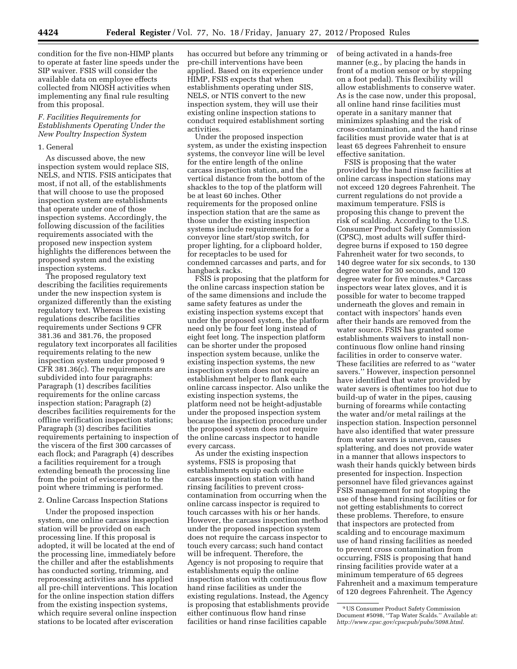condition for the five non-HIMP plants to operate at faster line speeds under the SIP waiver. FSIS will consider the available data on employee effects collected from NIOSH activities when implementing any final rule resulting from this proposal.

#### *F. Facilities Requirements for Establishments Operating Under the New Poultry Inspection System*

#### 1. General

As discussed above, the new inspection system would replace SIS, NELS, and NTIS. FSIS anticipates that most, if not all, of the establishments that will choose to use the proposed inspection system are establishments that operate under one of those inspection systems. Accordingly, the following discussion of the facilities requirements associated with the proposed new inspection system highlights the differences between the proposed system and the existing inspection systems.

The proposed regulatory text describing the facilities requirements under the new inspection system is organized differently than the existing regulatory text. Whereas the existing regulations describe facilities requirements under Sections 9 CFR 381.36 and 381.76, the proposed regulatory text incorporates all facilities requirements relating to the new inspection system under proposed 9 CFR 381.36(c). The requirements are subdivided into four paragraphs: Paragraph (1) describes facilities requirements for the online carcass inspection station; Paragraph (2) describes facilities requirements for the offline verification inspection stations; Paragraph (3) describes facilities requirements pertaining to inspection of the viscera of the first 300 carcasses of each flock; and Paragraph (4) describes a facilities requirement for a trough extending beneath the processing line from the point of evisceration to the point where trimming is performed.

#### 2. Online Carcass Inspection Stations

Under the proposed inspection system, one online carcass inspection station will be provided on each processing line. If this proposal is adopted, it will be located at the end of the processing line, immediately before the chiller and after the establishments has conducted sorting, trimming, and reprocessing activities and has applied all pre-chill interventions. This location for the online inspection station differs from the existing inspection systems, which require several online inspection stations to be located after evisceration

has occurred but before any trimming or pre-chill interventions have been applied. Based on its experience under HIMP, FSIS expects that when establishments operating under SIS, NELS, or NTIS convert to the new inspection system, they will use their existing online inspection stations to conduct required establishment sorting activities.

Under the proposed inspection system, as under the existing inspection systems, the conveyor line will be level for the entire length of the online carcass inspection station, and the vertical distance from the bottom of the shackles to the top of the platform will be at least 60 inches. Other requirements for the proposed online inspection station that are the same as those under the existing inspection systems include requirements for a conveyor line start/stop switch, for proper lighting, for a clipboard holder, for receptacles to be used for condemned carcasses and parts, and for hangback racks.

FSIS is proposing that the platform for the online carcass inspection station be of the same dimensions and include the same safety features as under the existing inspection systems except that under the proposed system, the platform need only be four feet long instead of eight feet long. The inspection platform can be shorter under the proposed inspection system because, unlike the existing inspection systems, the new inspection system does not require an establishment helper to flank each online carcass inspector. Also unlike the existing inspection systems, the platform need not be height-adjustable under the proposed inspection system because the inspection procedure under the proposed system does not require the online carcass inspector to handle every carcass.

As under the existing inspection systems, FSIS is proposing that establishments equip each online carcass inspection station with hand rinsing facilities to prevent crosscontamination from occurring when the online carcass inspector is required to touch carcasses with his or her hands. However, the carcass inspection method under the proposed inspection system does not require the carcass inspector to touch every carcass; such hand contact will be infrequent. Therefore, the Agency is not proposing to require that establishments equip the online inspection station with continuous flow hand rinse facilities as under the existing regulations. Instead, the Agency is proposing that establishments provide either continuous flow hand rinse facilities or hand rinse facilities capable

of being activated in a hands-free manner (e.g., by placing the hands in front of a motion sensor or by stepping on a foot pedal). This flexibility will allow establishments to conserve water. As is the case now, under this proposal, all online hand rinse facilities must operate in a sanitary manner that minimizes splashing and the risk of cross-contamination, and the hand rinse facilities must provide water that is at least 65 degrees Fahrenheit to ensure effective sanitation.

FSIS is proposing that the water provided by the hand rinse facilities at online carcass inspection stations may not exceed 120 degrees Fahrenheit. The current regulations do not provide a maximum temperature. FSIS is proposing this change to prevent the risk of scalding. According to the U.S. Consumer Product Safety Commission (CPSC), most adults will suffer thirddegree burns if exposed to 150 degree Fahrenheit water for two seconds, to 140 degree water for six seconds, to 130 degree water for 30 seconds, and 120 degree water for five minutes.9 Carcass inspectors wear latex gloves, and it is possible for water to become trapped underneath the gloves and remain in contact with inspectors' hands even after their hands are removed from the water source. FSIS has granted some establishments waivers to install noncontinuous flow online hand rinsing facilities in order to conserve water. These facilities are referred to as ''water savers.'' However, inspection personnel have identified that water provided by water savers is oftentimes too hot due to build-up of water in the pipes, causing burning of forearms while contacting the water and/or metal railings at the inspection station. Inspection personnel have also identified that water pressure from water savers is uneven, causes splattering, and does not provide water in a manner that allows inspectors to wash their hands quickly between birds presented for inspection. Inspection personnel have filed grievances against FSIS management for not stopping the use of these hand rinsing facilities or for not getting establishments to correct these problems. Therefore, to ensure that inspectors are protected from scalding and to encourage maximum use of hand rinsing facilities as needed to prevent cross contamination from occurring, FSIS is proposing that hand rinsing facilities provide water at a minimum temperature of 65 degrees Fahrenheit and a maximum temperature of 120 degrees Fahrenheit. The Agency

<sup>9</sup>US Consumer Product Safety Commission Document #5098, ''Tap Water Scalds.'' Available at: *<http://www.cpsc.gov/cpscpub/pubs/5098.html>*.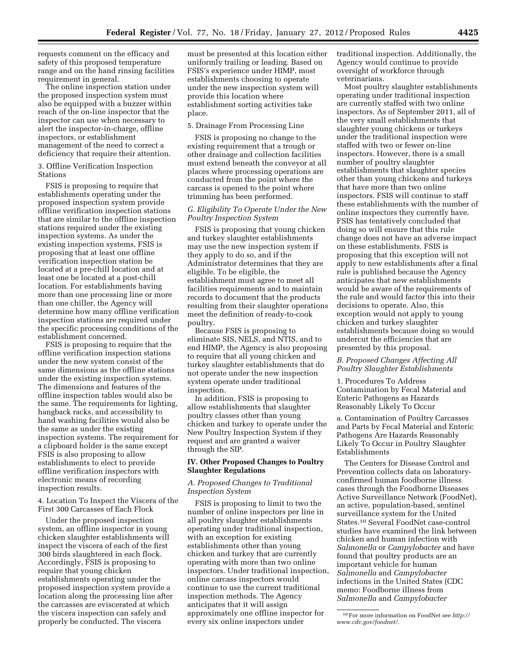requests comment on the efficacy and safety of this proposed temperature range and on the hand rinsing facilities requirement in general.

The online inspection station under the proposed inspection system must also be equipped with a buzzer within reach of the on-line inspector that the inspector can use when necessary to alert the inspector-in-charge, offline inspectors, or establishment management of the need to correct a deficiency that require their attention.

#### 3. Offline Verification Inspection Stations

FSIS is proposing to require that establishments operating under the proposed inspection system provide offline verification inspection stations that are similar to the offline inspection stations required under the existing inspection systems. As under the existing inspection systems, FSIS is proposing that at least one offline verification inspection station be located at a pre-chill location and at least one be located at a post-chill location. For establishments having more than one processing line or more than one chiller, the Agency will determine how many offline verification inspection stations are required under the specific processing conditions of the establishment concerned.

FSIS is proposing to require that the offline verification inspection stations under the new system consist of the same dimensions as the offline stations under the existing inspection systems. The dimensions and features of the offline inspection tables would also be the same. The requirements for lighting, hangback racks, and accessibility to hand washing facilities would also be the same as under the existing inspection systems. The requirement for a clipboard holder is the same except FSIS is also proposing to allow establishments to elect to provide offline verification inspectors with electronic means of recording inspection results.

4. Location To Inspect the Viscera of the First 300 Carcasses of Each Flock

Under the proposed inspection system, an offline inspector in young chicken slaughter establishments will inspect the viscera of each of the first 300 birds slaughtered in each flock. Accordingly, FSIS is proposing to require that young chicken establishments operating under the proposed inspection system provide a location along the processing line after the carcasses are eviscerated at which the viscera inspection can safely and properly be conducted. The viscera

must be presented at this location either uniformly trailing or leading. Based on FSIS's experience under HIMP, most establishments choosing to operate under the new inspection system will provide this location where establishment sorting activities take place.

#### 5. Drainage From Processing Line

FSIS is proposing no change to the existing requirement that a trough or other drainage and collection facilities must extend beneath the conveyor at all places where processing operations are conducted from the point where the carcass is opened to the point where trimming has been performed.

#### *G. Eligibility To Operate Under the New Poultry Inspection System*

FSIS is proposing that young chicken and turkey slaughter establishments may use the new inspection system if they apply to do so, and if the Administrator determines that they are eligible. To be eligible, the establishment must agree to meet all facilities requirements and to maintain records to document that the products resulting from their slaughter operations meet the definition of ready-to-cook poultry.

Because FSIS is proposing to eliminate SIS, NELS, and NTIS, and to end HIMP, the Agency is also proposing to require that all young chicken and turkey slaughter establishments that do not operate under the new inspection system operate under traditional inspection.

In addition, FSIS is proposing to allow establishments that slaughter poultry classes other than young chicken and turkey to operate under the New Poultry Inspection System if they request and are granted a waiver through the SIP.

#### **IV. Other Proposed Changes to Poultry Slaughter Regulations**

#### *A. Proposed Changes to Traditional Inspection System*

FSIS is proposing to limit to two the number of online inspectors per line in all poultry slaughter establishments operating under traditional inspection, with an exception for existing establishments other than young chicken and turkey that are currently operating with more than two online inspectors. Under traditional inspection, online carcass inspectors would continue to use the current traditional inspection methods. The Agency anticipates that it will assign approximately one offline inspector for every six online inspectors under

traditional inspection. Additionally, the Agency would continue to provide oversight of workforce through veterinarians.

Most poultry slaughter establishments operating under traditional inspection are currently staffed with two online inspectors. As of September 2011, all of the very small establishments that slaughter young chickens or turkeys under the traditional inspection were staffed with two or fewer on-line inspectors. However, there is a small number of poultry slaughter establishments that slaughter species other than young chickens and turkeys that have more than two online inspectors. FSIS will continue to staff these establishments with the number of online inspectors they currently have. FSIS has tentatively concluded that doing so will ensure that this rule change does not have an adverse impact on these establishments. FSIS is proposing that this exception will not apply to new establishments after a final rule is published because the Agency anticipates that new establishments would be aware of the requirements of the rule and would factor this into their decisions to operate. Also, this exception would not apply to young chicken and turkey slaughter establishments because doing so would undercut the efficiencies that are presented by this proposal.

## *B. Proposed Changes Affecting All Poultry Slaughter Establishments*

1. Procedures To Address Contamination by Fecal Material and Enteric Pathogens as Hazards Reasonably Likely To Occur

a. Contamination of Poultry Carcasses and Parts by Fecal Material and Enteric Pathogens Are Hazards Reasonably Likely To Occur in Poultry Slaughter Establishments

The Centers for Disease Control and Prevention collects data on laboratoryconfirmed human foodborne illness cases through the Foodborne Diseases Active Surveillance Network (FoodNet), an active, population-based, sentinel surveillance system for the United States.10 Several FoodNet case-control studies have examined the link between chicken and human infection with *Salmonella* or *Campylobacter* and have found that poultry products are an important vehicle for human *Salmonella* and *Campylobacter*  infections in the United States (CDC memo: Foodborne illness from *Salmonella* and *Campylobacter* 

<sup>10</sup>For more information on FoodNet see *[http://](http://www.cdc.gov/foodnet/) [www.cdc.gov/foodnet/](http://www.cdc.gov/foodnet/)*.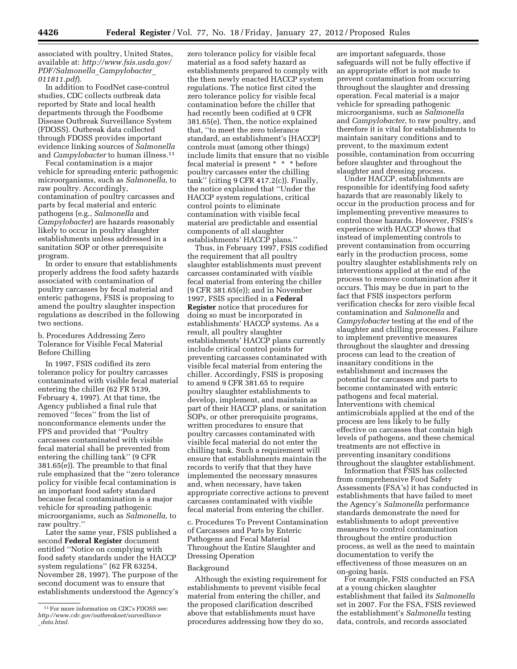associated with poultry, United States, available at: *[http://www.fsis.usda.gov/](http://www.fsis.usda.gov/PDF/Salmonella_Campylobacter_011811.pdf) [PDF/Salmonella](http://www.fsis.usda.gov/PDF/Salmonella_Campylobacter_011811.pdf)*\_*Campylobacter*\_ *[011811.pdf](http://www.fsis.usda.gov/PDF/Salmonella_Campylobacter_011811.pdf)*).

In addition to FoodNet case-control studies, CDC collects outbreak data reported by State and local health departments through the Foodbome Disease Outbreak Surveillance System (FDOSS). Outbreak data collected through FDOSS provides important evidence linking sources of *Salmonella*  and *Campylobacter* to human illness.11

Fecal contamination is a major vehicle for spreading enteric pathogenic microorganisms, such as *Salmonella,* to raw poultry. Accordingly, contamination of poultry carcasses and parts by fecal material and enteric pathogens (e.g., *Salmonella* and *Campylobacter*) are hazards reasonably likely to occur in poultry slaughter establishments unless addressed in a sanitation SOP or other prerequisite program.

In order to ensure that establishments properly address the food safety hazards associated with contamination of poultry carcasses by fecal material and enteric pathogens, FSIS is proposing to amend the poultry slaughter inspection regulations as described in the following two sections.

b. Procedures Addressing Zero Tolerance for Visible Fecal Material Before Chilling

In 1997, FSIS codified its zero tolerance policy for poultry carcasses contaminated with visible fecal material entering the chiller (62 FR 5139, February 4, 1997). At that time, the Agency published a final rule that removed ''feces'' from the list of nonconformance elements under the FPS and provided that ''Poultry carcasses contaminated with visible fecal material shall be prevented from entering the chilling tank'' (9 CFR 381.65(e)). The preamble to that final rule emphasized that the ''zero tolerance policy for visible fecal contamination is an important food safety standard because fecal contamination is a major vehicle for spreading pathogenic microorganisms, such as *Salmonella,* to raw poultry.''

Later the same year, FSIS published a second **Federal Register** document entitled ''Notice on complying with food safety standards under the HACCP system regulations'' (62 FR 63254, November 28, 1997). The purpose of the second document was to ensure that establishments understood the Agency's

zero tolerance policy for visible fecal material as a food safety hazard as establishments prepared to comply with the then newly enacted HACCP system regulations. The notice first cited the zero tolerance policy for visible fecal contamination before the chiller that had recently been codified at 9 CFR 381.65(e). Then, the notice explained that, ''to meet the zero tolerance standard, an establishment's [HACCP] controls must (among other things) include limits that ensure that no visible fecal material is present \* \* \* before poultry carcasses enter the chilling tank'' (citing 9 CFR 417.2(c)). Finally, the notice explained that ''Under the HACCP system regulations, critical control points to eliminate contamination with visible fecal material are predictable and essential components of all slaughter establishments' HACCP plans.''

Thus, in February 1997, FSIS codified the requirement that all poultry slaughter establishments must prevent carcasses contaminated with visible fecal material from entering the chiller (9 CFR 381.65(e)); and in November 1997, FSIS specified in a **Federal Register** notice that procedures for doing so must be incorporated in establishments' HACCP systems. As a result, all poultry slaughter establishments' HACCP plans currently include critical control points for preventing carcasses contaminated with visible fecal material from entering the chiller. Accordingly, FSIS is proposing to amend 9 CFR 381.65 to require poultry slaughter establishments to develop, implement, and maintain as part of their HACCP plans, or sanitation SOPs, or other prerequisite programs, written procedures to ensure that poultry carcasses contaminated with visible fecal material do not enter the chilling tank. Such a requirement will ensure that establishments maintain the records to verify that that they have implemented the necessary measures and, when necessary, have taken appropriate corrective actions to prevent carcasses contaminated with visible fecal material from entering the chiller.

c. Procedures To Prevent Contamination of Carcasses and Parts by Enteric Pathogens and Fecal Material Throughout the Entire Slaughter and Dressing Operation

#### Background

Although the existing requirement for establishments to prevent visible fecal material from entering the chiller, and the proposed clarification described above that establishments must have procedures addressing how they do so,

are important safeguards, those safeguards will not be fully effective if an appropriate effort is not made to prevent contamination from occurring throughout the slaughter and dressing operation. Fecal material is a major vehicle for spreading pathogenic microorganisms, such as *Salmonella*  and *Campylobacter,* to raw poultry, and therefore it is vital for establishments to maintain sanitary conditions and to prevent, to the maximum extent possible, contamination from occurring before slaughter and throughout the slaughter and dressing process.

Under HACCP, establishments are responsible for identifying food safety hazards that are reasonably likely to occur in the production process and for implementing preventive measures to control those hazards. However, FSIS's experience with HACCP shows that instead of implementing controls to prevent contamination from occurring early in the production process, some poultry slaughter establishments rely on interventions applied at the end of the process to remove contamination after it occurs. This may be due in part to the fact that FSIS inspectors perform verification checks for zero visible fecal contamination and *Salmonella* and *Campylobacter* testing at the end of the slaughter and chilling processes. Failure to implement preventive measures throughout the slaughter and dressing process can lead to the creation of insanitary conditions in the establishment and increases the potential for carcasses and parts to become contaminated with enteric pathogens and fecal material. Interventions with chemical antimicrobials applied at the end of the process are less likely to be fully effective on carcasses that contain high levels of pathogens, and these chemical treatments are not effective in preventing insanitary conditions throughout the slaughter establishment.

Information that FSIS has collected from comprehensive Food Safety Assessments (FSA's) it has conducted in establishments that have failed to meet the Agency's *Salmonella* performance standards demonstrate the need for establishments to adopt preventive measures to control contamination throughout the entire production process, as well as the need to maintain documentation to verify the effectiveness of those measures on an on-going basis.

For example, FSIS conducted an FSA at a young chicken slaughter establishment that failed its *Salmonella*  set in 2007. For the FSA, FSIS reviewed the establishment's *Salmonella* testing data, controls, and records associated

<sup>11</sup>For more information on CDC's FDOSS see: *[http://www.cdc.gov/outbreaknet/surveillance](http://www.cdc.gov/outbreaknet/surveillance_data.html)* \_*[data.html](http://www.cdc.gov/outbreaknet/surveillance_data.html)*.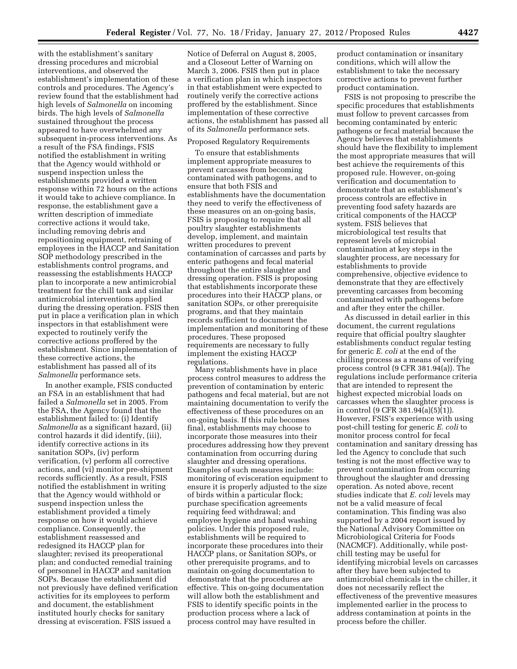with the establishment's sanitary dressing procedures and microbial interventions, and observed the establishment's implementation of these controls and procedures. The Agency's review found that the establishment had high levels of *Salmonella* on incoming birds. The high levels of *Salmonella*  sustained throughout the process appeared to have overwhelmed any subsequent in-process interventions. As a result of the FSA findings, FSIS notified the establishment in writing that the Agency would withhold or suspend inspection unless the establishments provided a written response within 72 hours on the actions it would take to achieve compliance. In response, the establishment gave a written description of immediate corrective actions it would take, including removing debris and repositioning equipment, retraining of employees in the HACCP and Sanitation SOP methodology prescribed in the establishments control programs, and reassessing the establishments HACCP plan to incorporate a new antimicrobial treatment for the chill tank and similar antimicrobial interventions applied during the dressing operation. FSIS then put in place a verification plan in which inspectors in that establishment were expected to routinely verify the corrective actions proffered by the establishment. Since implementation of these corrective actions, the establishment has passed all of its *Salmonella* performance sets.

In another example, FSIS conducted an FSA in an establishment that had failed a *Salmonella* set in 2005. From the FSA, the Agency found that the establishment failed to: (i) Identify *Salmonella* as a significant hazard, (ii) control hazards it did identify, (iii), identify corrective actions in its sanitation SOPs, (iv) perform verification, (v) perform all corrective actions, and (vi) monitor pre-shipment records sufficiently. As a result, FSIS notified the establishment in writing that the Agency would withhold or suspend inspection unless the establishment provided a timely response on how it would achieve compliance. Consequently, the establishment reassessed and redesigned its HACCP plan for slaughter; revised its preoperational plan; and conducted remedial training of personnel in HACCP and sanitation SOPs. Because the establishment did not previously have defined verification activities for its employees to perform and document, the establishment instituted hourly checks for sanitary dressing at evisceration. FSIS issued a

Notice of Deferral on August 8, 2005, and a Closeout Letter of Warning on March 3, 2006. FSIS then put in place a verification plan in which inspectors in that establishment were expected to routinely verify the corrective actions proffered by the establishment. Since implementation of these corrective actions, the establishment has passed all of its *Salmonella* performance sets.

#### Proposed Regulatory Requirements

To ensure that establishments implement appropriate measures to prevent carcasses from becoming contaminated with pathogens, and to ensure that both FSIS and establishments have the documentation they need to verify the effectiveness of these measures on an on-going basis, FSIS is proposing to require that all poultry slaughter establishments develop, implement, and maintain written procedures to prevent contamination of carcasses and parts by enteric pathogens and fecal material throughout the entire slaughter and dressing operation. FSIS is proposing that establishments incorporate these procedures into their HACCP plans, or sanitation SOPs, or other prerequisite programs, and that they maintain records sufficient to document the implementation and monitoring of these procedures. These proposed requirements are necessary to fully implement the existing HACCP regulations.

Many establishments have in place process control measures to address the prevention of contamination by enteric pathogens and fecal material, but are not maintaining documentation to verify the effectiveness of these procedures on an on-going basis. If this rule becomes final, establishments may choose to incorporate those measures into their procedures addressing how they prevent contamination from occurring during slaughter and dressing operations. Examples of such measures include: monitoring of evisceration equipment to ensure it is properly adjusted to the size of birds within a particular flock; purchase specification agreements requiring feed withdrawal; and employee hygiene and hand washing policies. Under this proposed rule, establishments will be required to incorporate these procedures into their HACCP plans, or Sanitation SOPs, or other prerequisite programs, and to maintain on-going documentation to demonstrate that the procedures are effective. This on-going documentation will allow both the establishment and FSIS to identify specific points in the production process where a lack of process control may have resulted in

product contamination or insanitary conditions, which will allow the establishment to take the necessary corrective actions to prevent further product contamination.

FSIS is not proposing to prescribe the specific procedures that establishments must follow to prevent carcasses from becoming contaminated by enteric pathogens or fecal material because the Agency believes that establishments should have the flexibility to implement the most appropriate measures that will best achieve the requirements of this proposed rule. However, on-going verification and documentation to demonstrate that an establishment's process controls are effective in preventing food safety hazards are critical components of the HACCP system. FSIS believes that microbiological test results that represent levels of microbial contamination at key steps in the slaughter process, are necessary for establishments to provide comprehensive, objective evidence to demonstrate that they are effectively preventing carcasses from becoming contaminated with pathogens before and after they enter the chiller.

As discussed in detail earlier in this document, the current regulations require that official poultry slaughter establishments conduct regular testing for generic *E. coli* at the end of the chilling process as a means of verifying process control (9 CFR 381.94(a)). The regulations include performance criteria that are intended to represent the highest expected microbial loads on carcasses when the slaughter process is in control (9 CFR 381.94(a)(5)(1)). However, FSIS's experience with using post-chill testing for generic *E. coli* to monitor process control for fecal contamination and sanitary dressing has led the Agency to conclude that such testing is not the most effective way to prevent contamination from occurring throughout the slaughter and dressing operation. As noted above, recent studies indicate that *E. coli* levels may not be a valid measure of fecal contamination. This finding was also supported by a 2004 report issued by the National Advisory Committee on Microbiological Criteria for Foods (NACMCF). Additionally, while postchill testing may be useful for identifying microbial levels on carcasses after they have been subjected to antimicrobial chemicals in the chiller, it does not necessarily reflect the effectiveness of the preventive measures implemented earlier in the process to address contamination at points in the process before the chiller.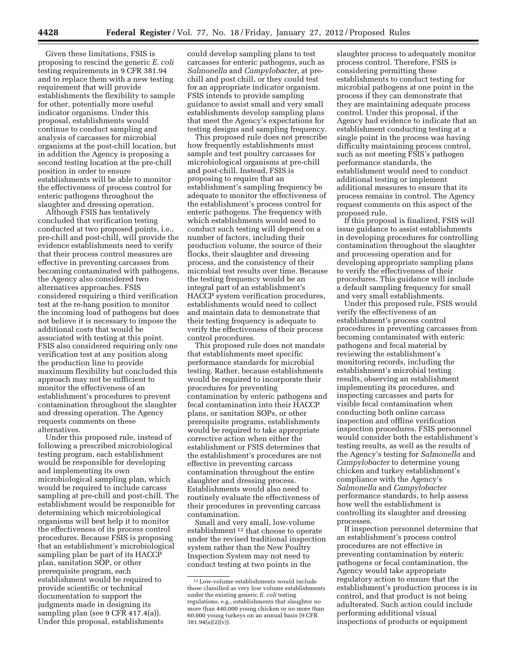Given these limitations, FSIS is proposing to rescind the generic *E. coli*  testing requirements in 9 CFR 381.94 and to replace them with a new testing requirement that will provide establishments the flexibility to sample for other, potentially more useful indicator organisms. Under this proposal, establishments would continue to conduct sampling and analysis of carcasses for microbial organisms at the post-chill location, but in addition the Agency is proposing a second testing location at the pre-chill position in order to ensure establishments will be able to monitor the effectiveness of process control for enteric pathogens throughout the slaughter and dressing operation.

Although FSIS has tentatively concluded that verification testing conducted at two proposed points, i.e., pre-chill and post-chill, will provide the evidence establishments need to verify that their process control measures are effective in preventing carcasses from becoming contaminated with pathogens, the Agency also considered two alternatives approaches. FSIS considered requiring a third verification test at the re-hang position to monitor the incoming load of pathogens but does not believe it is necessary to impose the additional costs that would be associated with testing at this point. FSIS also considered requiring only one verification test at any position along the production line to provide maximum flexibility but concluded this approach may not be sufficient to monitor the effectiveness of an establishment's procedures to prevent contamination throughout the slaughter and dressing operation. The Agency requests comments on these alternatives.

Under this proposed rule, instead of following a prescribed microbiological testing program, each establishment would be responsible for developing and implementing its own microbiological sampling plan, which would be required to include carcass sampling at pre-chill and post-chill. The establishment would be responsible for determining which microbiological organisms will best help it to monitor the effectiveness of its process control procedures. Because FSIS is proposing that an establishment's microbiological sampling plan be part of its HACCP plan, sanitation SOP, or other prerequisite program, each establishment would be required to provide scientific or technical documentation to support the judgments made in designing its sampling plan (see 9 CFR 417.4(a)). Under this proposal, establishments

could develop sampling plans to test carcasses for enteric pathogens, such as *Salmonella* and *Campylobacter,* at prechill and post chill, or they could test for an appropriate indicator organism. FSIS intends to provide sampling guidance to assist small and very small establishments develop sampling plans that meet the Agency's expectations for testing designs and sampling frequency.

This proposed rule does not prescribe how frequently establishments must sample and test poultry carcasses for microbiological organisms at pre-chill and post-chill. Instead, FSIS is proposing to require that an establishment's sampling frequency be adequate to monitor the effectiveness of the establishment's process control for enteric pathogens. The frequency with which establishments would need to conduct such testing will depend on a number of factors, including their production volume, the source of their flocks, their slaughter and dressing process, and the consistency of their microbial test results over time. Because the testing frequency would be an integral part of an establishment's HACCP system verification procedures, establishments would need to collect and maintain data to demonstrate that their testing frequency is adequate to verify the effectiveness of their process control procedures.

This proposed rule does not mandate that establishments meet specific performance standards for microbial testing. Rather, because establishments would be required to incorporate their procedures for preventing contamination by enteric pathogens and fecal contamination into their HACCP plans, or sanitation SOPs, or other prerequisite programs, establishments would be required to take appropriate corrective action when either the establishment or FSIS determines that the establishment's procedures are not effective in preventing carcass contamination throughout the entire slaughter and dressing process. Establishments would also need to routinely evaluate the effectiveness of their procedures in preventing carcass contamination.

Small and very small, low-volume establishment 12 that choose to operate under the revised traditional inspection system rather than the New Poultry Inspection System may not need to conduct testing at two points in the

slaughter process to adequately monitor process control. Therefore, FSIS is considering permitting these establishments to conduct testing for microbial pathogens at one point in the process if they can demonstrate that they are maintaining adequate process control. Under this proposal, if the Agency had evidence to indicate that an establishment conducting testing at a single point in the process was having difficulty maintaining process control, such as not meeting FSIS's pathogen performance standards, the establishment would need to conduct additional testing or implement additional measures to ensure that its process remains in control. The Agency request comments on this aspect of the proposed rule.

If this proposal is finalized, FSIS will issue guidance to assist establishments in developing procedures for controlling contamination throughout the slaughter and processing operation and for developing appropriate sampling plans to verify the effectiveness of their procedures. This guidance will include a default sampling frequency for small and very small establishments.

Under this proposed rule, FSIS would verify the effectiveness of an establishment's process control procedures in preventing carcasses from becoming contaminated with enteric pathogens and fecal material by reviewing the establishment's monitoring records, including the establishment's microbial testing results, observing an establishment implementing its procedures, and inspecting carcasses and parts for visible fecal contamination when conducting both online carcass inspection and offline verification inspection procedures. FSIS personnel would consider both the establishment's testing results, as well as the results of the Agency's testing for *Salmonella* and *Campylobacter* to determine young chicken and turkey establishment's compliance with the Agency's *Salmonella* and *Campylobacter*  performance standards, to help assess how well the establishment is controlling its slaughter and dressing processes.

If inspection personnel determine that an establishment's process control procedures are not effective in preventing contamination by enteric pathogens or fecal contamination, the Agency would take appropriate regulatory action to ensure that the establishment's production process is in control, and that product is not being adulterated. Such action could include performing additional visual inspections of products or equipment

<sup>12</sup>Low-volume establishments would include those classified as very low volume establishments under the existing generic *E. coli* testing regulations, e.g., establishments that slaughter no more than 440,000 young chicken or no more than 60,000 young turkeys on an annual basis (9 CFR  $381.94(a)(2)(v)$ ).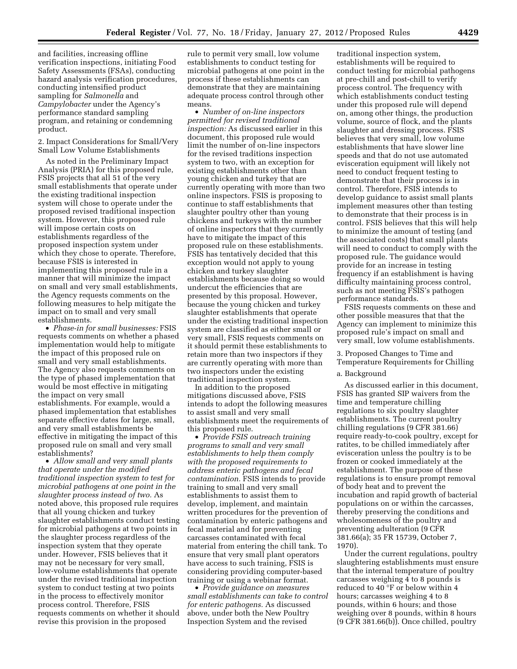and facilities, increasing offline verification inspections, initiating Food Safety Assessments (FSAs), conducting hazard analysis verification procedures, conducting intensified product sampling for *Salmonella* and *Campylobacter* under the Agency's performance standard sampling program, and retaining or condemning product.

2. Impact Considerations for Small/Very Small Low Volume Establishments

As noted in the Preliminary Impact Analysis (PRIA) for this proposed rule, FSIS projects that all 51 of the very small establishments that operate under the existing traditional inspection system will chose to operate under the proposed revised traditional inspection system. However, this proposed rule will impose certain costs on establishments regardless of the proposed inspection system under which they chose to operate. Therefore, because FSIS is interested in implementing this proposed rule in a manner that will minimize the impact on small and very small establishments, the Agency requests comments on the following measures to help mitigate the impact on to small and very small establishments.

• *Phase-in for small businesses:* FSIS requests comments on whether a phased implementation would help to mitigate the impact of this proposed rule on small and very small establishments. The Agency also requests comments on the type of phased implementation that would be most effective in mitigating the impact on very small establishments. For example, would a phased implementation that establishes separate effective dates for large, small, and very small establishments be effective in mitigating the impact of this proposed rule on small and very small establishments?

• *Allow small and very small plants that operate under the modified traditional inspection system to test for microbial pathogens at one point in the slaughter process instead of two.* As noted above, this proposed rule requires that all young chicken and turkey slaughter establishments conduct testing for microbial pathogens at two points in the slaughter process regardless of the inspection system that they operate under. However, FSIS believes that it may not be necessary for very small, low-volume establishments that operate under the revised traditional inspection system to conduct testing at two points in the process to effectively monitor process control. Therefore, FSIS requests comments on whether it should revise this provision in the proposed

rule to permit very small, low volume establishments to conduct testing for microbial pathogens at one point in the process if these establishments can demonstrate that they are maintaining adequate process control through other means.

• *Number of on-line inspectors permitted for revised traditional inspection:* As discussed earlier in this document, this proposed rule would limit the number of on-line inspectors for the revised traditions inspection system to two, with an exception for existing establishments other than young chicken and turkey that are currently operating with more than two online inspectors. FSIS is proposing to continue to staff establishments that slaughter poultry other than young chickens and turkeys with the number of online inspectors that they currently have to mitigate the impact of this proposed rule on these establishments. FSIS has tentatively decided that this exception would not apply to young chicken and turkey slaughter establishments because doing so would undercut the efficiencies that are presented by this proposal. However, because the young chicken and turkey slaughter establishments that operate under the existing traditional inspection system are classified as either small or very small, FSIS requests comments on it should permit these establishments to retain more than two inspectors if they are currently operating with more than two inspectors under the existing traditional inspection system.

In addition to the proposed mitigations discussed above, FSIS intends to adopt the following measures to assist small and very small establishments meet the requirements of this proposed rule.

• *Provide FSIS outreach training programs to small and very small establishments to help them comply with the proposed requirements to address enteric pathogens and fecal contamination.* FSIS intends to provide training to small and very small establishments to assist them to develop, implement, and maintain written procedures for the prevention of contamination by enteric pathogens and fecal material and for preventing carcasses contaminated with fecal material from entering the chill tank. To ensure that very small plant operators have access to such training, FSIS is considering providing computer-based training or using a webinar format.

• *Provide guidance on measures small establishments can take to control for enteric pathogens.* As discussed above, under both the New Poultry Inspection System and the revised

traditional inspection system, establishments will be required to conduct testing for microbial pathogens at pre-chill and post-chill to verify process control. The frequency with which establishments conduct testing under this proposed rule will depend on, among other things, the production volume, source of flock, and the plants slaughter and dressing process. FSIS believes that very small, low volume establishments that have slower line speeds and that do not use automated evisceration equipment will likely not need to conduct frequent testing to demonstrate that their process is in control. Therefore, FSIS intends to develop guidance to assist small plants implement measures other than testing to demonstrate that their process is in control. FSIS believes that this will help to minimize the amount of testing (and the associated costs) that small plants will need to conduct to comply with the proposed rule. The guidance would provide for an increase in testing frequency if an establishment is having difficulty maintaining process control, such as not meeting FSIS's pathogen performance standards.

FSIS requests comments on these and other possible measures that that the Agency can implement to minimize this proposed rule's impact on small and very small, low volume establishments.

3. Proposed Changes to Time and Temperature Requirements for Chilling

#### a. Background

As discussed earlier in this document, FSIS has granted SIP waivers from the time and temperature chilling regulations to six poultry slaughter establishments. The current poultry chilling regulations (9 CFR 381.66) require ready-to-cook poultry, except for ratites, to be chilled immediately after evisceration unless the poultry is to be frozen or cooked immediately at the establishment. The purpose of these regulations is to ensure prompt removal of body heat and to prevent the incubation and rapid growth of bacterial populations on or within the carcasses, thereby preserving the conditions and wholesomeness of the poultry and preventing adulteration (9 CFR 381.66(a); 35 FR 15739, October 7, 1970).

Under the current regulations, poultry slaughtering establishments must ensure that the internal temperature of poultry carcasses weighing 4 to 8 pounds is reduced to 40 °F or below within 4 hours; carcasses weighing 4 to 8 pounds, within 6 hours; and those weighing over 8 pounds, within 8 hours (9 CFR 381.66(b)). Once chilled, poultry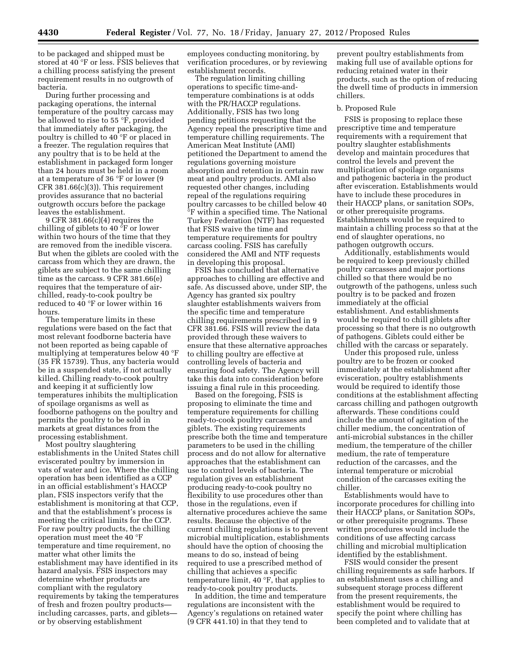to be packaged and shipped must be stored at 40 °F or less. FSIS believes that a chilling process satisfying the present requirement results in no outgrowth of bacteria.

During further processing and packaging operations, the internal temperature of the poultry carcass may be allowed to rise to 55 °F, provided that immediately after packaging, the poultry is chilled to 40 °F or placed in a freezer. The regulation requires that any poultry that is to be held at the establishment in packaged form longer than 24 hours must be held in a room at a temperature of 36 °F or lower (9  $CFR 381.66(c)(3)$ . This requirement provides assurance that no bacterial outgrowth occurs before the package leaves the establishment.

9 CFR 381.66(c)(4) requires the chilling of giblets to 40 °F or lower within two hours of the time that they are removed from the inedible viscera. But when the giblets are cooled with the carcass from which they are drawn, the giblets are subject to the same chilling time as the carcass. 9 CFR 381.66(e) requires that the temperature of airchilled, ready-to-cook poultry be reduced to 40 °F or lower within 16 hours.

The temperature limits in these regulations were based on the fact that most relevant foodborne bacteria have not been reported as being capable of multiplying at temperatures below 40 °F (35 FR 15739). Thus, any bacteria would be in a suspended state, if not actually killed. Chilling ready-to-cook poultry and keeping it at sufficiently low temperatures inhibits the multiplication of spoilage organisms as well as foodborne pathogens on the poultry and permits the poultry to be sold in markets at great distances from the processing establishment.

Most poultry slaughtering establishments in the United States chill eviscerated poultry by immersion in vats of water and ice. Where the chilling operation has been identified as a CCP in an official establishment's HACCP plan, FSIS inspectors verify that the establishment is monitoring at that CCP, and that the establishment's process is meeting the critical limits for the CCP. For raw poultry products, the chilling operation must meet the 40 °F temperature and time requirement, no matter what other limits the establishment may have identified in its hazard analysis. FSIS inspectors may determine whether products are compliant with the regulatory requirements by taking the temperatures of fresh and frozen poultry products including carcasses, parts, and giblets or by observing establishment

employees conducting monitoring, by verification procedures, or by reviewing establishment records.

The regulation limiting chilling operations to specific time-andtemperature combinations is at odds with the PR/HACCP regulations. Additionally, FSIS has two long pending petitions requesting that the Agency repeal the prescriptive time and temperature chilling requirements. The American Meat Institute (AMI) petitioned the Department to amend the regulations governing moisture absorption and retention in certain raw meat and poultry products. AMI also requested other changes, including repeal of the regulations requiring poultry carcasses to be chilled below 40 °F within a specified time. The National Turkey Federation (NTF) has requested that FSIS waive the time and temperature requirements for poultry carcass cooling. FSIS has carefully considered the AMI and NTF requests in developing this proposal.

FSIS has concluded that alternative approaches to chilling are effective and safe. As discussed above, under SIP, the Agency has granted six poultry slaughter establishments waivers from the specific time and temperature chilling requirements prescribed in 9 CFR 381.66. FSIS will review the data provided through these waivers to ensure that these alternative approaches to chilling poultry are effective at controlling levels of bacteria and ensuring food safety. The Agency will take this data into consideration before issuing a final rule in this proceeding.

Based on the foregoing, FSIS is proposing to eliminate the time and temperature requirements for chilling ready-to-cook poultry carcasses and giblets. The existing requirements prescribe both the time and temperature parameters to be used in the chilling process and do not allow for alternative approaches that the establishment can use to control levels of bacteria. The regulation gives an establishment producing ready-to-cook poultry no flexibility to use procedures other than those in the regulations, even if alternative procedures achieve the same results. Because the objective of the current chilling regulations is to prevent microbial multiplication, establishments should have the option of choosing the means to do so, instead of being required to use a prescribed method of chilling that achieves a specific temperature limit, 40 °F, that applies to ready-to-cook poultry products.

In addition, the time and temperature regulations are inconsistent with the Agency's regulations on retained water (9 CFR 441.10) in that they tend to

prevent poultry establishments from making full use of available options for reducing retained water in their products, such as the option of reducing the dwell time of products in immersion chillers.

#### b. Proposed Rule

FSIS is proposing to replace these prescriptive time and temperature requirements with a requirement that poultry slaughter establishments develop and maintain procedures that control the levels and prevent the multiplication of spoilage organisms and pathogenic bacteria in the product after evisceration. Establishments would have to include these procedures in their HACCP plans, or sanitation SOPs, or other prerequisite programs. Establishments would be required to maintain a chilling process so that at the end of slaughter operations, no pathogen outgrowth occurs.

Additionally, establishments would be required to keep previously chilled poultry carcasses and major portions chilled so that there would be no outgrowth of the pathogens, unless such poultry is to be packed and frozen immediately at the official establishment. And establishments would be required to chill giblets after processing so that there is no outgrowth of pathogens. Giblets could either be chilled with the carcass or separately.

Under this proposed rule, unless poultry are to be frozen or cooked immediately at the establishment after evisceration, poultry establishments would be required to identify those conditions at the establishment affecting carcass chilling and pathogen outgrowth afterwards. These conditions could include the amount of agitation of the chiller medium, the concentration of anti-microbial substances in the chiller medium, the temperature of the chiller medium, the rate of temperature reduction of the carcasses, and the internal temperature or microbial condition of the carcasses exiting the chiller.

Establishments would have to incorporate procedures for chilling into their HACCP plans, or Sanitation SOPs, or other prerequisite programs. These written procedures would include the conditions of use affecting carcass chilling and microbial multiplication identified by the establishment.

FSIS would consider the present chilling requirements as safe harbors. If an establishment uses a chilling and subsequent storage process different from the present requirements, the establishment would be required to specify the point where chilling has been completed and to validate that at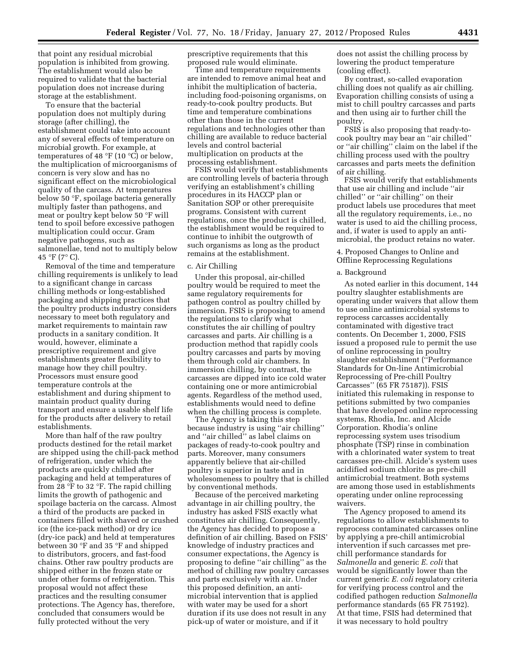that point any residual microbial population is inhibited from growing. The establishment would also be required to validate that the bacterial population does not increase during storage at the establishment.

To ensure that the bacterial population does not multiply during storage (after chilling), the establishment could take into account any of several effects of temperature on microbial growth. For example, at temperatures of 48  $\mathrm{PF}$  (10  $\mathrm{C}$ ) or below, the multiplication of microorganisms of concern is very slow and has no significant effect on the microbiological quality of the carcass. At temperatures below 50 °F, spoilage bacteria generally multiply faster than pathogens, and meat or poultry kept below 50 °F will tend to spoil before excessive pathogen multiplication could occur. Gram negative pathogens, such as salmonellae, tend not to multiply below 45 °F (7° C).

Removal of the time and temperature chilling requirements is unlikely to lead to a significant change in carcass chilling methods or long-established packaging and shipping practices that the poultry products industry considers necessary to meet both regulatory and market requirements to maintain raw products in a sanitary condition. It would, however, eliminate a prescriptive requirement and give establishments greater flexibility to manage how they chill poultry. Processors must ensure good temperature controls at the establishment and during shipment to maintain product quality during transport and ensure a usable shelf life for the products after delivery to retail establishments.

More than half of the raw poultry products destined for the retail market are shipped using the chill-pack method of refrigeration, under which the products are quickly chilled after packaging and held at temperatures of from 28 °F to 32 °F. The rapid chilling limits the growth of pathogenic and spoilage bacteria on the carcass. Almost a third of the products are packed in containers filled with shaved or crushed ice (the ice-pack method) or dry ice (dry-ice pack) and held at temperatures between 30 °F and 35 °F and shipped to distributors, grocers, and fast-food chains. Other raw poultry products are shipped either in the frozen state or under other forms of refrigeration. This proposal would not affect these practices and the resulting consumer protections. The Agency has, therefore, concluded that consumers would be fully protected without the very

prescriptive requirements that this proposed rule would eliminate.

Time and temperature requirements are intended to remove animal heat and inhibit the multiplication of bacteria, including food-poisoning organisms, on ready-to-cook poultry products. But time and temperature combinations other than those in the current regulations and technologies other than chilling are available to reduce bacterial levels and control bacterial multiplication on products at the processing establishment.

FSIS would verify that establishments are controlling levels of bacteria through verifying an establishment's chilling procedures in its HACCP plan or Sanitation SOP or other prerequisite programs. Consistent with current regulations, once the product is chilled, the establishment would be required to continue to inhibit the outgrowth of such organisms as long as the product remains at the establishment.

#### c. Air Chilling

Under this proposal, air-chilled poultry would be required to meet the same regulatory requirements for pathogen control as poultry chilled by immersion. FSIS is proposing to amend the regulations to clarify what constitutes the air chilling of poultry carcasses and parts. Air chilling is a production method that rapidly cools poultry carcasses and parts by moving them through cold air chambers. In immersion chilling, by contrast, the carcasses are dipped into ice cold water containing one or more antimicrobial agents. Regardless of the method used, establishments would need to define when the chilling process is complete.

The Agency is taking this step because industry is using ''air chilling'' and ''air chilled'' as label claims on packages of ready-to-cook poultry and parts. Moreover, many consumers apparently believe that air-chilled poultry is superior in taste and in wholesomeness to poultry that is chilled by conventional methods.

Because of the perceived marketing advantage in air chilling poultry, the industry has asked FSIS exactly what constitutes air chilling. Consequently, the Agency has decided to propose a definition of air chilling. Based on FSIS' knowledge of industry practices and consumer expectations, the Agency is proposing to define ''air chilling'' as the method of chilling raw poultry carcasses and parts exclusively with air. Under this proposed definition, an antimicrobial intervention that is applied with water may be used for a short duration if its use does not result in any pick-up of water or moisture, and if it

does not assist the chilling process by lowering the product temperature (cooling effect).

By contrast, so-called evaporation chilling does not qualify as air chilling. Evaporation chilling consists of using a mist to chill poultry carcasses and parts and then using air to further chill the poultry.

FSIS is also proposing that ready-tocook poultry may bear an ''air chilled'' or ''air chilling'' claim on the label if the chilling process used with the poultry carcasses and parts meets the definition of air chilling.

FSIS would verify that establishments that use air chilling and include ''air chilled'' or ''air chilling'' on their product labels use procedures that meet all the regulatory requirements, i.e., no water is used to aid the chilling process, and, if water is used to apply an antimicrobial, the product retains no water.

4. Proposed Changes to Online and Offline Reprocessing Regulations

#### a. Background

As noted earlier in this document, 144 poultry slaughter establishments are operating under waivers that allow them to use online antimicrobial systems to reprocess carcasses accidentally contaminated with digestive tract contents. On December 1, 2000, FSIS issued a proposed rule to permit the use of online reprocessing in poultry slaughter establishment (''Performance Standards for On-line Antimicrobial Reprocessing of Pre-chill Poultry Carcasses'' (65 FR 75187)). FSIS initiated this rulemaking in response to petitions submitted by two companies that have developed online reprocessing systems, Rhodia, Inc. and Alcide Corporation. Rhodia's online reprocessing system uses trisodium phosphate (TSP) rinse in combination with a chlorinated water system to treat carcasses pre-chill. Alcide's system uses acidified sodium chlorite as pre-chill antimicrobial treatment. Both systems are among those used in establishments operating under online reprocessing waivers.

The Agency proposed to amend its regulations to allow establishments to reprocess contaminated carcasses online by applying a pre-chill antimicrobial intervention if such carcasses met prechill performance standards for *Salmonella* and generic *E. coli* that would be significantly lower than the current generic *E. coli* regulatory criteria for verifying process control and the codified pathogen reduction *Salmonella*  performance standards (65 FR 75192). At that time, FSIS had determined that it was necessary to hold poultry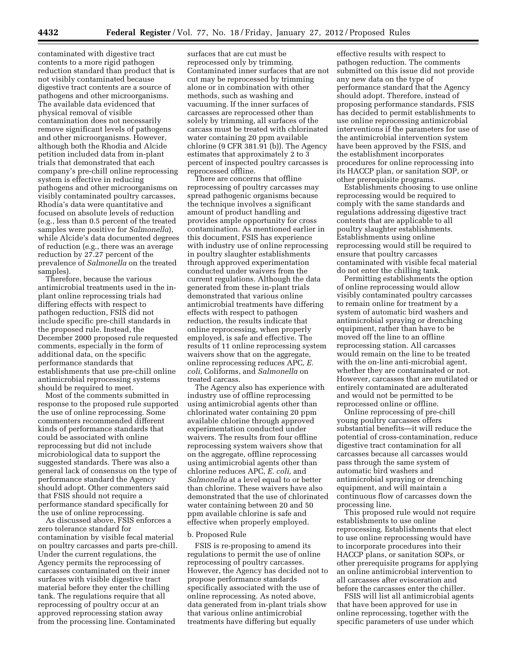contaminated with digestive tract contents to a more rigid pathogen reduction standard than product that is not visibly contaminated because digestive tract contents are a source of pathogens and other microorganisms. The available data evidenced that physical removal of visible contamination does not necessarily remove significant levels of pathogens and other microorganisms. However, although both the Rhodia and Alcide petition included data from in-plant trials that demonstrated that each company's pre-chill online reprocessing system is effective in reducing pathogens and other microorganisms on visibly contaminated poultry carcasses, Rhodia's data were quantitative and focused on absolute levels of reduction (e.g., less than 0.5 percent of the treated samples were positive for *Salmonella*), while Alcide's data documented degrees of reduction (e.g., there was an average reduction by 27.27 percent of the prevalence of *Salmonella* on the treated samples).

Therefore, because the various antimicrobial treatments used in the inplant online reprocessing trials had differing effects with respect to pathogen reduction, FSIS did not include specific pre-chill standards in the proposed rule. Instead, the December 2000 proposed rule requested comments, especially in the form of additional data, on the specific performance standards that establishments that use pre-chill online antimicrobial reprocessing systems should be required to meet.

Most of the comments submitted in response to the proposed rule supported the use of online reprocessing. Some commenters recommended different kinds of performance standards that could be associated with online reprocessing but did not include microbiological data to support the suggested standards. There was also a general lack of consensus on the type of performance standard the Agency should adopt. Other commenters said that FSIS should not require a performance standard specifically for the use of online reprocessing.

As discussed above, FSIS enforces a zero tolerance standard for contamination by visible fecal material on poultry carcasses and parts pre-chill. Under the current regulations, the Agency permits the reprocessing of carcasses contaminated on their inner surfaces with visible digestive tract material before they enter the chilling tank. The regulations require that all reprocessing of poultry occur at an approved reprocessing station away from the processing line. Contaminated

surfaces that are cut must be reprocessed only by trimming. Contaminated inner surfaces that are not cut may be reprocessed by trimming alone or in combination with other methods, such as washing and vacuuming. If the inner surfaces of carcasses are reprocessed other than solely by trimming, all surfaces of the carcass must be treated with chlorinated water containing 20 ppm available chlorine (9 CFR 381.91 (b)). The Agency estimates that approximately 2 to 3 percent of inspected poultry carcasses is reprocessed offline.

There are concerns that offline reprocessing of poultry carcasses may spread pathogenic organisms because the technique involves a significant amount of product handling and provides ample opportunity for cross contamination. As mentioned earlier in this document, FSIS has experience with industry use of online reprocessing in poultry slaughter establishments through approved experimentation conducted under waivers from the current regulations. Although the data generated from these in-plant trials demonstrated that various online antimicrobial treatments have differing effects with respect to pathogen reduction, the results indicate that online reprocessing, when properly employed, is safe and effective. The results of 11 online reprocessing system waivers show that on the aggregate, online reprocessing reduces APC, *E. coli,* Coliforms, and *Salmonella* on treated carcass.

The Agency also has experience with industry use of offline reprocessing using antimicrobial agents other than chlorinated water containing 20 ppm available chlorine through approved experimentation conducted under waivers. The results from four offline reprocessing system waivers show that on the aggregate, offline reprocessing using antimicrobial agents other than chlorine reduces APC, *E. coli,* and *Salmonella* at a level equal to or better than chlorine. These waivers have also demonstrated that the use of chlorinated water containing between 20 and 50 ppm available chlorine is safe and effective when properly employed.

#### b. Proposed Rule

FSIS is re-proposing to amend its regulations to permit the use of online reprocessing of poultry carcasses. However, the Agency has decided not to propose performance standards specifically associated with the use of online reprocessing. As noted above, data generated from in-plant trials show that various online antimicrobial treatments have differing but equally

effective results with respect to pathogen reduction. The comments submitted on this issue did not provide any new data on the type of performance standard that the Agency should adopt. Therefore, instead of proposing performance standards, FSIS has decided to permit establishments to use online reprocessing antimicrobial interventions if the parameters for use of the antimicrobial intervention system have been approved by the FSIS, and the establishment incorporates procedures for online reprocessing into its HACCP plan, or sanitation SOP, or other prerequisite programs.

Establishments choosing to use online reprocessing would be required to comply with the same standards and regulations addressing digestive tract contents that are applicable to all poultry slaughter establishments. Establishments using online reprocessing would still be required to ensure that poultry carcasses contaminated with visible fecal material do not enter the chilling tank.

Permitting establishments the option of online reprocessing would allow visibly contaminated poultry carcasses to remain online for treatment by a system of automatic bird washers and antimicrobial spraying or drenching equipment, rather than have to be moved off the line to an offline reprocessing station. All carcasses would remain on the line to be treated with the on-line anti-microbial agent, whether they are contaminated or not. However, carcasses that are mutilated or entirely contaminated are adulterated and would not be permitted to be reprocessed online or offline.

Online reprocessing of pre-chill young poultry carcasses offers substantial benefits—it will reduce the potential of cross-contamination, reduce digestive tract contamination for all carcasses because all carcasses would pass through the same system of automatic bird washers and antimicrobial spraying or drenching equipment, and will maintain a continuous flow of carcasses down the processing line.

This proposed rule would not require establishments to use online reprocessing. Establishments that elect to use online reprocessing would have to incorporate procedures into their HACCP plans, or sanitation SOPs, or other prerequisite programs for applying an online antimicrobial intervention to all carcasses after evisceration and before the carcasses enter the chiller.

FSIS will list all antimicrobial agents that have been approved for use in online reprocessing, together with the specific parameters of use under which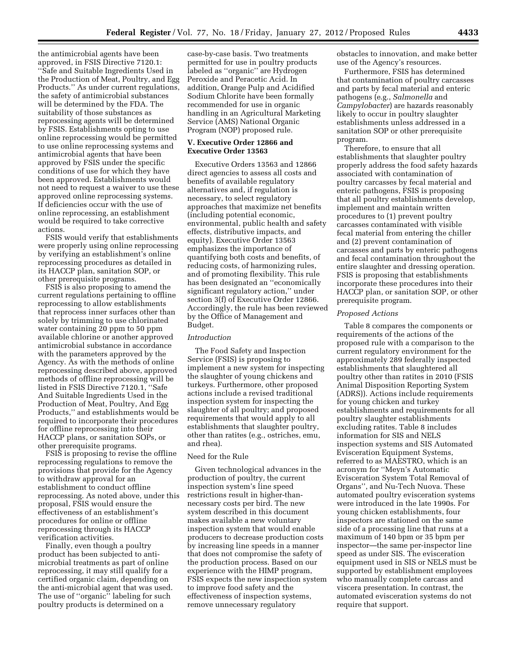the antimicrobial agents have been approved, in FSIS Directive 7120.1: ''Safe and Suitable Ingredients Used in the Production of Meat, Poultry, and Egg Products.'' As under current regulations, the safety of antimicrobial substances will be determined by the FDA. The suitability of those substances as reprocessing agents will be determined by FSIS. Establishments opting to use online reprocessing would be permitted to use online reprocessing systems and antimicrobial agents that have been approved by FSIS under the specific conditions of use for which they have been approved. Establishments would not need to request a waiver to use these approved online reprocessing systems. If deficiencies occur with the use of online reprocessing, an establishment would be required to take corrective actions.

FSIS would verify that establishments were properly using online reprocessing by verifying an establishment's online reprocessing procedures as detailed in its HACCP plan, sanitation SOP, or other prerequisite programs.

FSIS is also proposing to amend the current regulations pertaining to offline reprocessing to allow establishments that reprocess inner surfaces other than solely by trimming to use chlorinated water containing 20 ppm to 50 ppm available chlorine or another approved antimicrobial substance in accordance with the parameters approved by the Agency. As with the methods of online reprocessing described above, approved methods of offline reprocessing will be listed in FSIS Directive 7120.1, "Safe And Suitable Ingredients Used in the Production of Meat, Poultry, And Egg Products,'' and establishments would be required to incorporate their procedures for offline reprocessing into their HACCP plans, or sanitation SOPs, or other prerequisite programs.

FSIS is proposing to revise the offline reprocessing regulations to remove the provisions that provide for the Agency to withdraw approval for an establishment to conduct offline reprocessing. As noted above, under this proposal, FSIS would ensure the effectiveness of an establishment's procedures for online or offline reprocessing through its HACCP verification activities.

Finally, even though a poultry product has been subjected to antimicrobial treatments as part of online reprocessing, it may still qualify for a certified organic claim, depending on the anti-microbial agent that was used. The use of ''organic'' labeling for such poultry products is determined on a

case-by-case basis. Two treatments permitted for use in poultry products labeled as ''organic'' are Hydrogen Peroxide and Peracetic Acid. In addition, Orange Pulp and Acidified Sodium Chlorite have been formally recommended for use in organic handling in an Agricultural Marketing Service (AMS) National Organic Program (NOP) proposed rule.

#### **V. Executive Order 12866 and Executive Order 13563**

Executive Orders 13563 and 12866 direct agencies to assess all costs and benefits of available regulatory alternatives and, if regulation is necessary, to select regulatory approaches that maximize net benefits (including potential economic, environmental, public health and safety effects, distributive impacts, and equity). Executive Order 13563 emphasizes the importance of quantifying both costs and benefits, of reducing costs, of harmonizing rules, and of promoting flexibility. This rule has been designated an ''economically significant regulatory action,'' under section 3(f) of Executive Order 12866. Accordingly, the rule has been reviewed by the Office of Management and Budget.

#### *Introduction*

The Food Safety and Inspection Service (FSIS) is proposing to implement a new system for inspecting the slaughter of young chickens and turkeys. Furthermore, other proposed actions include a revised traditional inspection system for inspecting the slaughter of all poultry; and proposed requirements that would apply to all establishments that slaughter poultry, other than ratites (e.g., ostriches, emu, and rhea).

#### Need for the Rule

Given technological advances in the production of poultry, the current inspection system's line speed restrictions result in higher-thannecessary costs per bird. The new system described in this document makes available a new voluntary inspection system that would enable producers to decrease production costs by increasing line speeds in a manner that does not compromise the safety of the production process. Based on our experience with the HIMP program, FSIS expects the new inspection system to improve food safety and the effectiveness of inspection systems, remove unnecessary regulatory

obstacles to innovation, and make better use of the Agency's resources.

Furthermore, FSIS has determined that contamination of poultry carcasses and parts by fecal material and enteric pathogens (e.g., *Salmonella* and *Campylobacter*) are hazards reasonably likely to occur in poultry slaughter establishments unless addressed in a sanitation SOP or other prerequisite program.

Therefore, to ensure that all establishments that slaughter poultry properly address the food safety hazards associated with contamination of poultry carcasses by fecal material and enteric pathogens, FSIS is proposing that all poultry establishments develop, implement and maintain written procedures to (1) prevent poultry carcasses contaminated with visible fecal material from entering the chiller and (2) prevent contamination of carcasses and parts by enteric pathogens and fecal contamination throughout the entire slaughter and dressing operation. FSIS is proposing that establishments incorporate these procedures into their HACCP plan, or sanitation SOP, or other prerequisite program.

#### *Proposed Actions*

Table 8 compares the components or requirements of the actions of the proposed rule with a comparison to the current regulatory environment for the approximately 289 federally inspected establishments that slaughtered all poultry other than ratites in 2010 (FSIS Animal Disposition Reporting System (ADRS)). Actions include requirements for young chicken and turkey establishments and requirements for all poultry slaughter establishments excluding ratites. Table 8 includes information for SIS and NELS inspection systems and SIS Automated Evisceration Equipment Systems, referred to as MAESTRO, which is an acronym for ''Meyn's Automatic Evisceration System Total Removal of Organs'', and Nu-Tech Nuova. These automated poultry evisceration systems were introduced in the late 1990s. For young chicken establishments, four inspectors are stationed on the same side of a processing line that runs at a maximum of 140 bpm or 35 bpm per inspector—the same per-inspector line speed as under SIS. The evisceration equipment used in SIS or NELS must be supported by establishment employees who manually complete carcass and viscera presentation. In contrast, the automated evisceration systems do not require that support.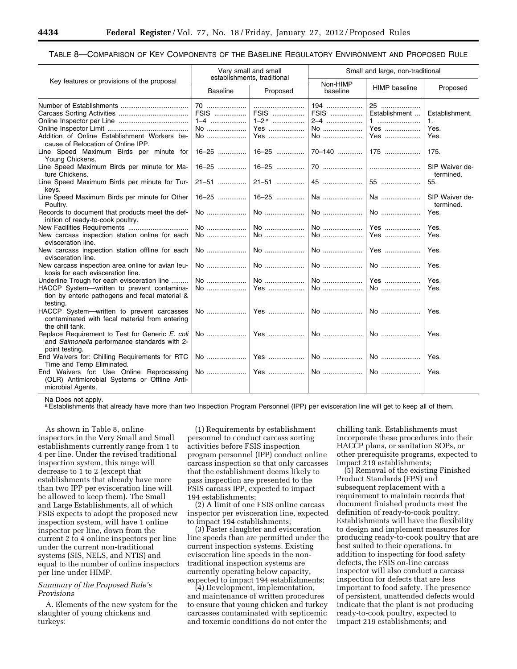#### TABLE 8—COMPARISON OF KEY COMPONENTS OF THE BASELINE REGULATORY ENVIRONMENT AND PROPOSED RULE

|                                                                                                                   | Very small and small<br>establishments, traditional |                                          |                                | Small and large, non-traditional       |                                      |
|-------------------------------------------------------------------------------------------------------------------|-----------------------------------------------------|------------------------------------------|--------------------------------|----------------------------------------|--------------------------------------|
| Key features or provisions of the proposal                                                                        | <b>Baseline</b>                                     | Proposed                                 | Non-HIMP<br>baseline           | <b>HIMP</b> baseline                   | Proposed                             |
| Addition of Online Establishment Workers be-<br>cause of Relocation of Online IPP.                                | 70<br>FSIS<br>$1 - 4$<br>No<br>No                   | FSIS<br>$1-2$ <sup>a</sup><br>Yes<br>Yes | 194<br>FSIS<br>2-4<br>No<br>No | 25<br>Establishment<br>1<br>Yes<br>Yes | Establishment.<br>1.<br>Yes.<br>Yes. |
| Line Speed Maximum Birds per minute for<br>Young Chickens.                                                        | $16 - 25$                                           | 16–25                                    |                                |                                        | 175.                                 |
| Line Speed Maximum Birds per minute for Ma-<br>ture Chickens.                                                     | 16-25                                               | 16–25                                    |                                |                                        | SIP Waiver de-<br>termined.          |
| Line Speed Maximum Birds per minute for Tur-<br>keys.                                                             | $21 - 51$                                           | 21-51                                    | 45                             | 55                                     | 55.                                  |
| Line Speed Maximum Birds per minute for Other<br>Poultry.                                                         | 16-25                                               |                                          |                                | Na                                     | SIP Waiver de-<br>termined.          |
| Records to document that products meet the def-<br>inition of ready-to-cook poultry.                              | No                                                  | No                                       | No                             | No                                     | Yes.                                 |
|                                                                                                                   | No                                                  | No                                       | No                             | Yes                                    | Yes.                                 |
| New carcass inspection station online for each<br>evisceration line.                                              | No                                                  | No                                       | No                             | Yes                                    | Yes.                                 |
| New carcass inspection station offline for each<br>evisceration line.                                             | No                                                  |                                          | No                             | Yes                                    | Yes.                                 |
| New carcass inspection area online for avian leu-<br>kosis for each evisceration line.                            | No                                                  | No                                       | No                             | No                                     | Yes.                                 |
| Underline Trough for each evisceration line                                                                       | No                                                  | No                                       | No                             | Yes                                    | Yes.                                 |
| HACCP System-written to prevent contamina-<br>tion by enteric pathogens and fecal material &<br>testina.          | No                                                  | Yes                                      | No                             | No                                     | Yes.                                 |
| HACCP System-written to prevent carcasses<br>contaminated with fecal material from entering<br>the chill tank.    | No                                                  | Yes                                      | No                             | No                                     | Yes.                                 |
| Replace Requirement to Test for Generic E. coli<br>and Salmonella performance standards with 2-<br>point testing. | No                                                  | Yes                                      | No                             | No                                     | Yes.                                 |
| End Waivers for: Chilling Requirements for RTC<br>Time and Temp Eliminated.                                       | No                                                  |                                          | No                             | No                                     | Yes.                                 |
| End Waivers for: Use Online Reprocessing<br>(OLR) Antimicrobial Systems or Offline Anti-<br>microbial Agents.     |                                                     |                                          |                                | No                                     | Yes.                                 |

Na Does not apply.

a Establishments that already have more than two Inspection Program Personnel (IPP) per evisceration line will get to keep all of them.

As shown in Table 8, online inspectors in the Very Small and Small establishments currently range from 1 to 4 per line. Under the revised traditional inspection system, this range will decrease to 1 to 2 (except that establishments that already have more than two IPP per evisceration line will be allowed to keep them). The Small and Large Establishments, all of which FSIS expects to adopt the proposed new inspection system, will have 1 online inspector per line, down from the current 2 to 4 online inspectors per line under the current non-traditional systems (SIS, NELS, and NTIS) and equal to the number of online inspectors per line under HIMP.

#### *Summary of the Proposed Rule's Provisions*

A. Elements of the new system for the slaughter of young chickens and turkeys:

(1) Requirements by establishment personnel to conduct carcass sorting activities before FSIS inspection program personnel (IPP) conduct online carcass inspection so that only carcasses that the establishment deems likely to pass inspection are presented to the FSIS carcass IPP, expected to impact 194 establishments;

(2) A limit of one FSIS online carcass inspector per evisceration line, expected to impact 194 establishments;

(3) Faster slaughter and evisceration line speeds than are permitted under the current inspection systems. Existing evisceration line speeds in the nontraditional inspection systems are currently operating below capacity, expected to impact 194 establishments;

(4) Development, implementation, and maintenance of written procedures to ensure that young chicken and turkey carcasses contaminated with septicemic and toxemic conditions do not enter the

chilling tank. Establishments must incorporate these procedures into their HACCP plans, or sanitation SOPs, or other prerequisite programs, expected to impact 219 establishments;

(5) Removal of the existing Finished Product Standards (FPS) and subsequent replacement with a requirement to maintain records that document finished products meet the definition of ready-to-cook poultry. Establishments will have the flexibility to design and implement measures for producing ready-to-cook poultry that are best suited to their operations. In addition to inspecting for food safety defects, the FSIS on-line carcass inspector will also conduct a carcass inspection for defects that are less important to food safety. The presence of persistent, unattended defects would indicate that the plant is not producing ready-to-cook poultry, expected to impact 219 establishments; and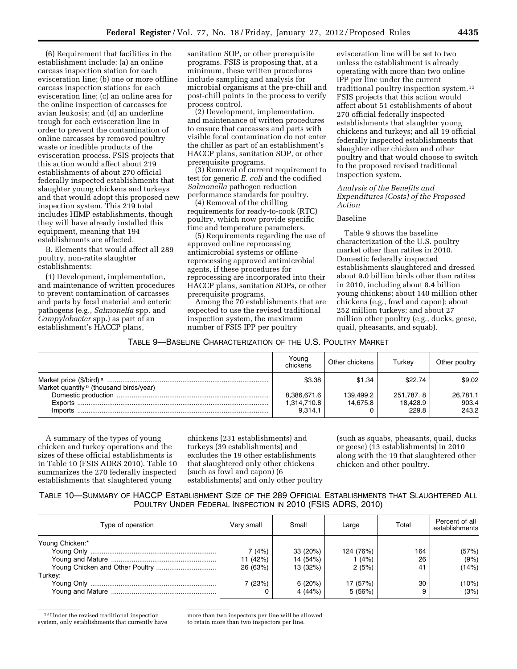(6) Requirement that facilities in the establishment include: (a) an online carcass inspection station for each evisceration line; (b) one or more offline carcass inspection stations for each evisceration line; (c) an online area for the online inspection of carcasses for avian leukosis; and (d) an underline trough for each evisceration line in order to prevent the contamination of online carcasses by removed poultry waste or inedible products of the evisceration process. FSIS projects that this action would affect about 219 establishments of about 270 official federally inspected establishments that slaughter young chickens and turkeys and that would adopt this proposed new inspection system. This 219 total includes HIMP establishments, though they will have already installed this equipment, meaning that 194 establishments are affected.

B. Elements that would affect all 289 poultry, non-ratite slaughter establishments:

(1) Development, implementation, and maintenance of written procedures to prevent contamination of carcasses and parts by fecal material and enteric pathogens (e.g., *Salmonella* spp. and *Campylobacter* spp.) as part of an establishment's HACCP plans,

sanitation SOP, or other prerequisite programs. FSIS is proposing that, at a minimum, these written procedures include sampling and analysis for microbial organisms at the pre-chill and post-chill points in the process to verify process control.

(2) Development, implementation, and maintenance of written procedures to ensure that carcasses and parts with visible fecal contamination do not enter the chiller as part of an establishment's HACCP plans, sanitation SOP, or other prerequisite programs.

(3) Removal of current requirement to test for generic *E. coli* and the codified *Salmonella* pathogen reduction performance standards for poultry.

(4) Removal of the chilling requirements for ready-to-cook (RTC) poultry, which now provide specific time and temperature parameters.

(5) Requirements regarding the use of approved online reprocessing antimicrobial systems or offline reprocessing approved antimicrobial agents, if these procedures for reprocessing are incorporated into their HACCP plans, sanitation SOPs, or other prerequisite programs.

Among the 70 establishments that are expected to use the revised traditional inspection system, the maximum number of FSIS IPP per poultry

evisceration line will be set to two unless the establishment is already operating with more than two online IPP per line under the current traditional poultry inspection system.13 FSIS projects that this action would affect about 51 establishments of about 270 official federally inspected establishments that slaughter young chickens and turkeys; and all 19 official federally inspected establishments that slaughter other chicken and other poultry and that would choose to switch to the proposed revised traditional inspection system.

#### *Analysis of the Benefits and Expenditures (Costs) of the Proposed Action*

#### Baseline

Table 9 shows the baseline characterization of the U.S. poultry market other than ratites in 2010. Domestic federally inspected establishments slaughtered and dressed about 9.0 billion birds other than ratites in 2010, including about 8.4 billion young chickens; about 140 million other chickens (e.g., fowl and capon); about 252 million turkeys; and about 27 million other poultry (e.g., ducks, geese, quail, pheasants, and squab).

| Table 9—Baseline Characterization of the U.S. Poultry Market |  |
|--------------------------------------------------------------|--|
|--------------------------------------------------------------|--|

|                                                    | Young<br>chickens          | Other chickens        | Turkey                | Other poultry     |
|----------------------------------------------------|----------------------------|-----------------------|-----------------------|-------------------|
| Market quantity <sup>b</sup> (thousand birds/year) | \$3.38                     | \$1.34                | \$22.74               | \$9.02            |
|                                                    | 8,386,671.6<br>1,314,710.8 | 139,499.2<br>14.675.8 | 251.787.8<br>18.428.9 | 26.781.1<br>903.4 |
| Imports                                            | 9.314.1                    |                       | 229.8                 | 243.2             |

A summary of the types of young chicken and turkey operations and the sizes of these official establishments is in Table 10 (FSIS ADRS 2010). Table 10 summarizes the 270 federally inspected establishments that slaughtered young

chickens (231 establishments) and turkeys (39 establishments) and excludes the 19 other establishments that slaughtered only other chickens (such as fowl and capon) (6 establishments) and only other poultry

(such as squabs, pheasants, quail, ducks or geese) (13 establishments) in 2010 along with the 19 that slaughtered other chicken and other poultry.

## TABLE 10—SUMMARY OF HACCP ESTABLISHMENT SIZE OF THE 289 OFFICIAL ESTABLISHMENTS THAT SLAUGHTERED ALL POULTRY UNDER FEDERAL INSPECTION IN 2010 (FSIS ADRS, 2010)

| Type of operation | Very small | Small    | Large     | Total | Percent of all<br>establishments |
|-------------------|------------|----------|-----------|-------|----------------------------------|
| Young Chicken:*   |            |          |           |       |                                  |
|                   | 7 (4%)     | 33 (20%) | 124 (76%) | 164   | (57%)                            |
|                   | 11 (42%)   | 14 (54%) | (4%)      | 26    | (9%)                             |
|                   | 26 (63%)   | 13 (32%) | 2(5%)     | 41    | (14%)                            |
| Turkev:           |            |          |           |       |                                  |
|                   | 7(23%)     | 6(20%)   | 17 (57%)  | 30    | (10%)                            |
|                   |            | 4(44%)   | 5(56%)    |       | (3%)                             |

13Under the revised traditional inspection system, only establishments that currently have

more than two inspectors per line will be allowed to retain more than two inspectors per line.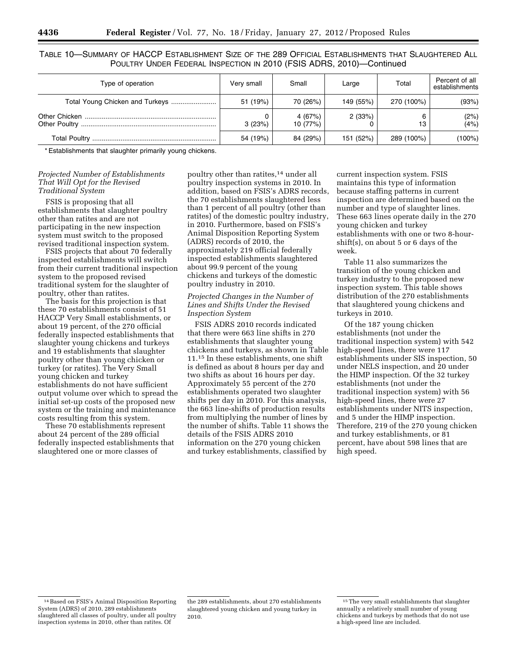TABLE 10—SUMMARY OF HACCP ESTABLISHMENT SIZE OF THE 289 OFFICIAL ESTABLISHMENTS THAT SLAUGHTERED ALL POULTRY UNDER FEDERAL INSPECTION IN 2010 (FSIS ADRS, 2010)—Continued

| Type of operation               | Very small | Small             | Large     | Total      | Percent of all<br>establishments |
|---------------------------------|------------|-------------------|-----------|------------|----------------------------------|
| Total Young Chicken and Turkeys | 51 (19%)   | 70 (26%)          | 149 (55%) | 270 (100%) | (93%)                            |
|                                 | 3(23%)     | 4(67%)<br>10(77%) | 2(33%)    | 13         | (2%)<br>(4%)                     |
|                                 | 54 (19%)   | 84 (29%)          | 151 (52%) | 289 (100%) | $(100\%)$                        |

\* Establishments that slaughter primarily young chickens.

#### *Projected Number of Establishments That Will Opt for the Revised Traditional System*

FSIS is proposing that all establishments that slaughter poultry other than ratites and are not participating in the new inspection system must switch to the proposed revised traditional inspection system.

FSIS projects that about 70 federally inspected establishments will switch from their current traditional inspection system to the proposed revised traditional system for the slaughter of poultry, other than ratites.

The basis for this projection is that these 70 establishments consist of 51 HACCP Very Small establishments, or about 19 percent, of the 270 official federally inspected establishments that slaughter young chickens and turkeys and 19 establishments that slaughter poultry other than young chicken or turkey (or ratites). The Very Small young chicken and turkey establishments do not have sufficient output volume over which to spread the initial set-up costs of the proposed new system or the training and maintenance costs resulting from this system.

These 70 establishments represent about 24 percent of the 289 official federally inspected establishments that slaughtered one or more classes of

poultry other than ratites,14 under all poultry inspection systems in 2010. In addition, based on FSIS's ADRS records, the 70 establishments slaughtered less than 1 percent of all poultry (other than ratites) of the domestic poultry industry, in 2010. Furthermore, based on FSIS's Animal Disposition Reporting System (ADRS) records of 2010, the approximately 219 official federally inspected establishments slaughtered about 99.9 percent of the young chickens and turkeys of the domestic poultry industry in 2010.

#### *Projected Changes in the Number of Lines and Shifts Under the Revised Inspection System*

FSIS ADRS 2010 records indicated that there were 663 line shifts in 270 establishments that slaughter young chickens and turkeys, as shown in Table 11.15 In these establishments, one shift is defined as about 8 hours per day and two shifts as about 16 hours per day. Approximately 55 percent of the 270 establishments operated two slaughter shifts per day in 2010. For this analysis, the 663 line-shifts of production results from multiplying the number of lines by the number of shifts. Table 11 shows the details of the FSIS ADRS 2010 information on the 270 young chicken and turkey establishments, classified by

current inspection system. FSIS maintains this type of information because staffing patterns in current inspection are determined based on the number and type of slaughter lines. These 663 lines operate daily in the 270 young chicken and turkey establishments with one or two 8-hourshift(s), on about 5 or 6 days of the week.

Table 11 also summarizes the transition of the young chicken and turkey industry to the proposed new inspection system. This table shows distribution of the 270 establishments that slaughtered young chickens and turkeys in 2010.

Of the 187 young chicken establishments (not under the traditional inspection system) with 542 high-speed lines, there were 117 establishments under SIS inspection, 50 under NELS inspection, and 20 under the HIMP inspection. Of the 32 turkey establishments (not under the traditional inspection system) with 56 high-speed lines, there were 27 establishments under NITS inspection, and 5 under the HIMP inspection. Therefore, 219 of the 270 young chicken and turkey establishments, or 81 percent, have about 598 lines that are high speed.

<sup>14</sup>Based on FSIS's Animal Disposition Reporting System (ADRS) of 2010, 289 establishments slaughtered all classes of poultry, under all poultry inspection systems in 2010, other than ratites. Of

the 289 establishments, about 270 establishments slaughtered young chicken and young turkey in 2010.

<sup>15</sup>The very small establishments that slaughter annually a relatively small number of young chickens and turkeys by methods that do not use a high-speed line are included.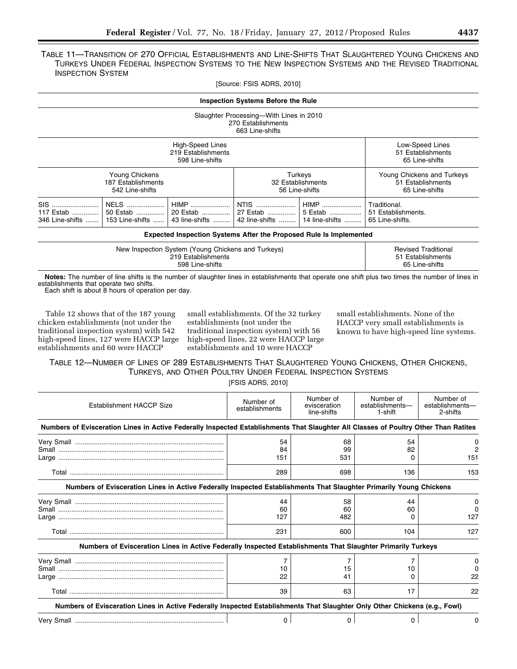## TABLE 11—TRANSITION OF 270 OFFICIAL ESTABLISHMENTS AND LINE-SHIFTS THAT SLAUGHTERED YOUNG CHICKENS AND TURKEYS UNDER FEDERAL INSPECTION SYSTEMS TO THE NEW INSPECTION SYSTEMS AND THE REVISED TRADITIONAL INSPECTION SYSTEM

[Source: FSIS ADRS, 2010]

| <b>Inspection Systems Before the Rule</b>                                                                                                                                                                   |  |                                                                   |                                                       |  |
|-------------------------------------------------------------------------------------------------------------------------------------------------------------------------------------------------------------|--|-------------------------------------------------------------------|-------------------------------------------------------|--|
| Slaughter Processing-With Lines in 2010<br>270 Establishments<br>663 Line-shifts                                                                                                                            |  |                                                                   |                                                       |  |
| Low-Speed Lines<br>High-Speed Lines<br>219 Establishments<br>51 Establishments<br>598 Line-shifts<br>65 Line-shifts                                                                                         |  |                                                                   |                                                       |  |
| Young Chickens<br>Turkeys<br>187 Establishments<br>32 Establishments<br>56 Line-shifts<br>542 Line-shifts                                                                                                   |  | Young Chickens and Turkeys<br>51 Establishments<br>65 Line-shifts |                                                       |  |
| SIS<br>NTIS<br>NELS   <br>HIMP<br>HIMP<br>5 Estab<br>117 Estab   <br>50 Estab    20 Estab   <br>27 Estab   <br>346 Line-shifts    153 Line-shifts   <br>43 line-shifts   <br>42 line-shifts  14 line-shifts |  |                                                                   | Traditional.<br>51 Establishments.<br>65 Line-shifts. |  |
| <b>Expected Inspection Systems After the Proposed Rule Is Implemented</b>                                                                                                                                   |  |                                                                   |                                                       |  |

| New Inspection System (Young Chickens and Turkeys) | <b>Revised Traditional</b> |
|----------------------------------------------------|----------------------------|
| 219 Establishments                                 | 51 Establishments          |
| 598 Line-shifts                                    | 65 Line-shifts             |

**Notes:** The number of line shifts is the number of slaughter lines in establishments that operate one shift plus two times the number of lines in establishments that operate two shifts.

Each shift is about 8 hours of operation per day.

Table 12 shows that of the 187 young chicken establishments (not under the traditional inspection system) with 542 high-speed lines, 127 were HACCP large establishments and 60 were HACCP

small establishments. Of the 32 turkey establishments (not under the traditional inspection system) with 56 high-speed lines, 22 were HACCP large establishments and 10 were HACCP

small establishments. None of the HACCP very small establishments is known to have high-speed line systems.

TABLE 12—NUMBER OF LINES OF 289 ESTABLISHMENTS THAT SLAUGHTERED YOUNG CHICKENS, OTHER CHICKENS, TURKEYS, AND OTHER POULTRY UNDER FEDERAL INSPECTION SYSTEMS [FSIS ADRS, 2010]

| Establishment HACCP Size                                                                                                            | Number of<br>establishments | Number of<br>evisceration<br>line-shifts | Number of<br>establishments-<br>1-shift | Number of<br>establishments-<br>2-shifts |
|-------------------------------------------------------------------------------------------------------------------------------------|-----------------------------|------------------------------------------|-----------------------------------------|------------------------------------------|
| Numbers of Evisceration Lines in Active Federally Inspected Establishments That Slaughter All Classes of Poultry Other Than Ratites |                             |                                          |                                         |                                          |
|                                                                                                                                     | 54<br>84                    | 68<br>99                                 | 54<br>82                                | $\Omega$<br>2                            |
|                                                                                                                                     | 151                         | 531                                      |                                         | 151                                      |
|                                                                                                                                     | 289                         | 698                                      | 136                                     | 153                                      |
| Numbers of Evisceration Lines in Active Federally Inspected Establishments That Slaughter Primarily Young Chickens                  |                             |                                          |                                         |                                          |
|                                                                                                                                     | 44                          | 58                                       | 44                                      | $\Omega$                                 |
|                                                                                                                                     | 60<br>127                   | 60<br>482                                | 60                                      | $\Omega$<br>127                          |
|                                                                                                                                     | 231                         | 600                                      | 104                                     | 127                                      |
| Numbers of Evisceration Lines in Active Federally Inspected Establishments That Slaughter Primarily Turkeys                         |                             |                                          |                                         |                                          |
|                                                                                                                                     |                             |                                          |                                         | 0                                        |
|                                                                                                                                     | 10                          | 15                                       | 10                                      |                                          |
|                                                                                                                                     | 22                          | 41                                       |                                         | 22                                       |
|                                                                                                                                     | 39                          | 63                                       | 17                                      | 22                                       |
| Numbers of Evisceration Lines in Active Federally Inspected Establishments That Slaughter Only Other Chickens (e.g., Fowl)          |                             |                                          |                                         |                                          |
|                                                                                                                                     | $\Omega$                    | 0                                        | 0                                       | 0                                        |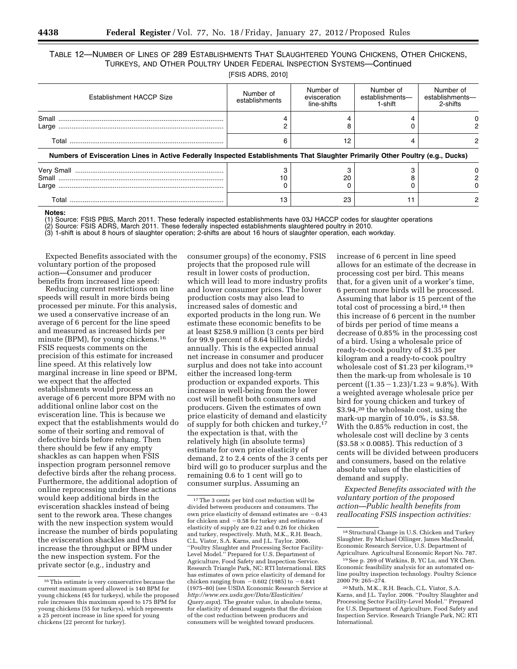## TABLE 12—NUMBER OF LINES OF 289 ESTABLISHMENTS THAT SLAUGHTERED YOUNG CHICKENS, OTHER CHICKENS, TURKEYS, AND OTHER POULTRY UNDER FEDERAL INSPECTION SYSTEMS—Continued

|  | [FSIS ADRS, 2010] |  |
|--|-------------------|--|
|--|-------------------|--|

| Establishment HACCP Size                                                                                                        | Number of<br>establishments | Number of<br>evisceration<br>line-shifts | Number of<br>establishments-<br>1-shift | Number of<br>establishments-<br>2-shifts |
|---------------------------------------------------------------------------------------------------------------------------------|-----------------------------|------------------------------------------|-----------------------------------------|------------------------------------------|
|                                                                                                                                 |                             |                                          |                                         |                                          |
|                                                                                                                                 |                             | 12                                       |                                         |                                          |
| Numbers of Evisceration Lines in Active Federally Inspected Establishments That Slaughter Primarily Other Poultry (e.g., Ducks) |                             |                                          |                                         |                                          |
|                                                                                                                                 |                             | 20                                       |                                         |                                          |
|                                                                                                                                 | 13                          | 23                                       |                                         |                                          |

#### **Notes:**

(1) Source: FSIS PBIS, March 2011. These federally inspected establishments have 03J HACCP codes for slaughter operations

Source: FSIS ADRS, March 2011. These federally inspected establishments slaughtered poultry in 2010.

(3) 1-shift is about 8 hours of slaughter operation; 2-shifts are about 16 hours of slaughter operation, each workday.

Expected Benefits associated with the voluntary portion of the proposed action—Consumer and producer benefits from increased line speed:

Reducing current restrictions on line speeds will result in more birds being processed per minute. For this analysis, we used a conservative increase of an average of 6 percent for the line speed and measured as increased birds per minute (BPM), for young chickens.16 FSIS requests comments on the precision of this estimate for increased line speed. At this relatively low marginal increase in line speed or BPM, we expect that the affected establishments would process an average of 6 percent more BPM with no additional online labor cost on the evisceration line. This is because we expect that the establishments would do some of their sorting and removal of defective birds before rehang. Then there should be few if any empty shackles as can happen when FSIS inspection program personnel remove defective birds after the rehang process. Furthermore, the additional adoption of online reprocessing under these actions would keep additional birds in the evisceration shackles instead of being sent to the rework area. These changes with the new inspection system would increase the number of birds populating the evisceration shackles and thus increase the throughput or BPM under the new inspection system. For the private sector (e.g., industry and

consumer groups) of the economy, FSIS projects that the proposed rule will result in lower costs of production, which will lead to more industry profits and lower consumer prices. The lower production costs may also lead to increased sales of domestic and exported products in the long run. We estimate these economic benefits to be at least \$258.9 million (3 cents per bird for 99.9 percent of 8.64 billion birds) annually. This is the expected annual net increase in consumer and producer surplus and does not take into account either the increased long-term production or expanded exports. This increase in well-being from the lower cost will benefit both consumers and producers. Given the estimates of own price elasticity of demand and elasticity of supply for both chicken and turkey,17 the expectation is that, with the relatively high (in absolute terms) estimate for own price elasticity of demand, 2 to 2.4 cents of the 3 cents per bird will go to producer surplus and the remaining 0.6 to 1 cent will go to consumer surplus. Assuming an

increase of 6 percent in line speed allows for an estimate of the decrease in processing cost per bird. This means that, for a given unit of a worker's time, 6 percent more birds will be processed. Assuming that labor is 15 percent of the total cost of processing a bird,<sup>18</sup> then this increase of 6 percent in the number of birds per period of time means a decrease of 0.85% in the processing cost of a bird. Using a wholesale price of ready-to-cook poultry of \$1.35 per kilogram and a ready-to-cook poultry wholesale cost of \$1.23 per kilogram,19 then the mark-up from wholesale is 10 percent  $((1.35 - 1.23)/1.23 = 9.8\%)$ . With a weighted average wholesale price per bird for young chicken and turkey of \$3.94,20 the wholesale cost, using the mark-up margin of 10.0%, is \$3.58. With the 0.85% reduction in cost, the wholesale cost will decline by 3 cents  $($3.58 \times 0.0085)$ . This reduction of 3 cents will be divided between producers and consumers, based on the relative absolute values of the elasticities of demand and supply.

*Expected Benefits associated with the voluntary portion of the proposed action—Public health benefits from reallocating FSIS inspection activities:* 

<sup>16</sup>This estimate is very conservative because the current maximum speed allowed is 140 BPM for young chickens (45 for turkeys), while the proposed rule increases this maximum speed to 175 BPM for young chickens (55 for turkeys), which represents a 25 percent increase in line speed for young chickens (22 percent for turkey).

<sup>17</sup>The 3 cents per bird cost reduction will be divided between producers and consumers. The own price elasticity of demand estimates are  $-0.43$ for chicken and  $-0.58$  for turkey and estimates of elasticity of supply are 0.22 and 0.26 for chicken and turkey, respectively. Muth, M.K., R.H. Beach, C.L. Viator, S.A. Karns, and J.L. Taylor. 2006. ''Poultry Slaughter and Processing Sector Facility-Level Model.'' Prepared for U.S. Department of Agriculture, Food Safety and Inspection Service. Research Triangle Park, NC: RTI International. ERS has estimates of own price elasticity of demand for chicken ranging from  $-0.602$  (1985) to  $-0.841$ (1975–80) (see USDA Economic Research Service at *[http://www.ers.usda.gov/Data/Elasticities/](http://www.ers.usda.gov/Data/Elasticities/Query.aspx) [Query.aspx](http://www.ers.usda.gov/Data/Elasticities/Query.aspx)*). The greater value, in absolute terms, for elasticity of demand suggests that the division of the cost reduction between producers and consumers will be weighted toward producers.

<sup>18</sup>Structural Change in U.S. Chicken and Turkey Slaughter. By Michael Ollinger, James MacDonald, Economic Research Service, U.S. Department of Agriculture. Agricultural Economic Report No. 787.

<sup>19</sup>See p. 269 of Watkins, B, YC Lu, and YR Chen. Economic feasibility analysis for an automated online poultry inspection technology. Poultry Science 2000 79: 265–274.

<sup>20</sup>Muth, M.K., R.H. Beach, C.L. Viator, S.A. Karns, and J.L. Taylor. 2006. ''Poultry Slaughter and Processing Sector Facility-Level Model.'' Prepared for U.S. Department of Agriculture, Food Safety and Inspection Service. Research Triangle Park, NC: RTI International.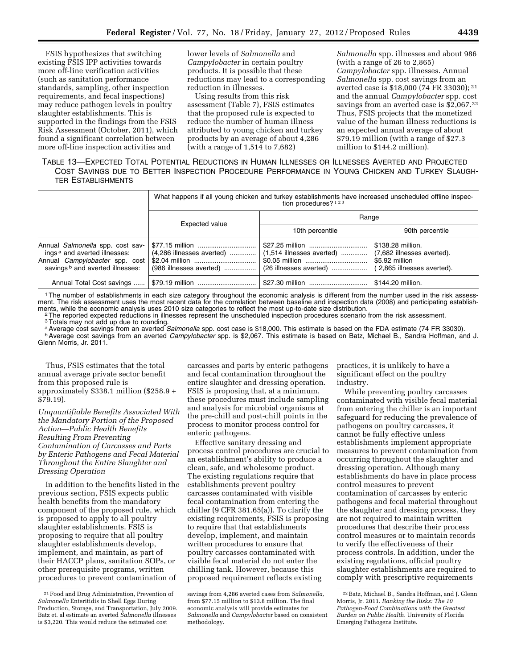FSIS hypothesizes that switching existing FSIS IPP activities towards more off-line verification activities (such as sanitation performance standards, sampling, other inspection requirements, and fecal inspections) may reduce pathogen levels in poultry slaughter establishments. This is supported in the findings from the FSIS Risk Assessment (October, 2011), which found a significant correlation between more off-line inspection activities and

lower levels of *Salmonella* and *Campylobacter* in certain poultry products. It is possible that these reductions may lead to a corresponding reduction in illnesses.

Using results from this risk assessment (Table 7), FSIS estimates that the proposed rule is expected to reduce the number of human illness attributed to young chicken and turkey products by an average of about 4,286 (with a range of 1,514 to 7,682)

*Salmonella* spp. illnesses and about 986 (with a range of 26 to 2,865) *Campylobacter* spp. illnesses. Annual *Salmonella* spp. cost savings from an averted case is \$18,000 (74 FR 33030); 21 and the annual *Campylobacter* spp. cost savings from an averted case is \$2,067.<sup>22</sup> Thus, FSIS projects that the monetized value of the human illness reductions is an expected annual average of about \$79.19 million (with a range of \$27.3 million to \$144.2 million).

## TABLE 13—EXPECTED TOTAL POTENTIAL REDUCTIONS IN HUMAN ILLNESSES OR ILLNESSES AVERTED AND PROJECTED COST SAVINGS DUE TO BETTER INSPECTION PROCEDURE PERFORMANCE IN YOUNG CHICKEN AND TURKEY SLAUGH-TER ESTABLISHMENTS

|                                                                                                                                                                      | What happens if all young chicken and turkey establishments have increased unscheduled offline inspec-<br>tion procedures? $123$ |                                                                          |                                                                                                 |  |
|----------------------------------------------------------------------------------------------------------------------------------------------------------------------|----------------------------------------------------------------------------------------------------------------------------------|--------------------------------------------------------------------------|-------------------------------------------------------------------------------------------------|--|
|                                                                                                                                                                      |                                                                                                                                  |                                                                          | Range                                                                                           |  |
|                                                                                                                                                                      | Expected value                                                                                                                   | 10th percentile                                                          | 90th percentile                                                                                 |  |
| Annual Salmonella spp. cost sav-<br>ings <sup>a</sup> and averted illnesses:<br>Annual <i>Campylobacter</i> spp. cost<br>savings <sup>b</sup> and averted illnesses: | \$77.15 million<br>(4,286 illnesses averted)<br>(986 illnesses averted)                                                          | \$27.25 million<br>$(1,514$ illnesses averted)<br>(26 illnesses averted) | \$138.28 million.<br>(7,682 illnesses averted).<br>\$5.92 million<br>(2,865 illnesses averted). |  |
| Annual Total Cost savings                                                                                                                                            | \$79.19 million                                                                                                                  |                                                                          | \$144.20 million.                                                                               |  |

1The number of establishments in each size category throughout the economic analysis is different from the number used in the risk assessment. The risk assessment uses the most recent data for the correlation between baseline and inspection data (2008) and participating establish-

ments, while the economic analysis uses 2010 size categories to reflect the most up-to-date size distribution.<br><sup>2</sup> The reported expected reductions in illnesses represent the unscheduled inspection procedures scenario from

<sup>b</sup> Average cost savings from an averted *Campylobacter* spp. is \$2,067. This estimate is based on Batz, Michael B., Sandra Hoffman, and J. Glenn Morris, Jr. 2011.

Thus, FSIS estimates that the total annual average private sector benefit from this proposed rule is approximately \$338.1 million (\$258.9 + \$79.19).

*Unquantifiable Benefits Associated With the Mandatory Portion of the Proposed Action—Public Health Benefits Resulting From Preventing Contamination of Carcasses and Parts by Enteric Pathogens and Fecal Material Throughout the Entire Slaughter and Dressing Operation* 

In addition to the benefits listed in the previous section, FSIS expects public health benefits from the mandatory component of the proposed rule, which is proposed to apply to all poultry slaughter establishments. FSIS is proposing to require that all poultry slaughter establishments develop, implement, and maintain, as part of their HACCP plans, sanitation SOPs, or other prerequisite programs, written procedures to prevent contamination of

carcasses and parts by enteric pathogens and fecal contamination throughout the entire slaughter and dressing operation. FSIS is proposing that, at a minimum, these procedures must include sampling and analysis for microbial organisms at the pre-chill and post-chill points in the process to monitor process control for enteric pathogens.

Effective sanitary dressing and process control procedures are crucial to an establishment's ability to produce a clean, safe, and wholesome product. The existing regulations require that establishments prevent poultry carcasses contaminated with visible fecal contamination from entering the chiller (9 CFR 381.65(a)). To clarify the existing requirements, FSIS is proposing to require that that establishments develop, implement, and maintain written procedures to ensure that poultry carcasses contaminated with visible fecal material do not enter the chilling tank. However, because this proposed requirement reflects existing

practices, it is unlikely to have a significant effect on the poultry industry.

While preventing poultry carcasses contaminated with visible fecal material from entering the chiller is an important safeguard for reducing the prevalence of pathogens on poultry carcasses, it cannot be fully effective unless establishments implement appropriate measures to prevent contamination from occurring throughout the slaughter and dressing operation. Although many establishments do have in place process control measures to prevent contamination of carcasses by enteric pathogens and fecal material throughout the slaughter and dressing process, they are not required to maintain written procedures that describe their process control measures or to maintain records to verify the effectiveness of their process controls. In addition, under the existing regulations, official poultry slaughter establishments are required to comply with prescriptive requirements

<sup>21</sup>Food and Drug Administration, Prevention of *Salmonella* Enteritidis in Shell Eggs During Production, Storage, and Transportation, July 2009. Batz et. al estimate an averted *Salmonella* illnesse is \$3,220. This would reduce the estimated cost

savings from 4,286 averted cases from *Salmonella,*  from \$77.15 million to \$13.8 million. The final economic analysis will provide estimates for *Salmonella* and *Campylobacter* based on consistent methodology.

<sup>22</sup>Batz, Michael B., Sandra Hoffman, and J. Glenn Morris, Jr. 2011. *Ranking the Risks: The 10 Pathogen-Food Combinations with the Greatest Burden on Public Health.* University of Florida Emerging Pathogens Institute.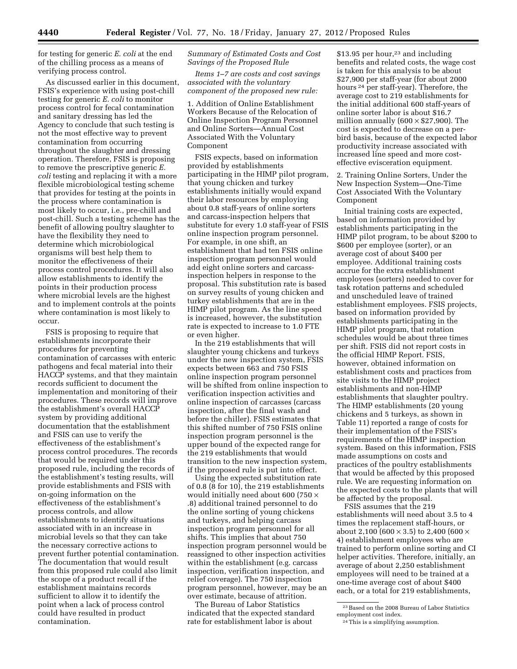for testing for generic *E. coli* at the end of the chilling process as a means of verifying process control.

As discussed earlier in this document, FSIS's experience with using post-chill testing for generic *E. coli* to monitor process control for fecal contamination and sanitary dressing has led the Agency to conclude that such testing is not the most effective way to prevent contamination from occurring throughout the slaughter and dressing operation. Therefore, FSIS is proposing to remove the prescriptive generic *E. coli* testing and replacing it with a more flexible microbiological testing scheme that provides for testing at the points in the process where contamination is most likely to occur, i.e., pre-chill and post-chill. Such a testing scheme has the benefit of allowing poultry slaughter to have the flexibility they need to determine which microbiological organisms will best help them to monitor the effectiveness of their process control procedures. It will also allow establishments to identify the points in their production process where microbial levels are the highest and to implement controls at the points where contamination is most likely to occur.

FSIS is proposing to require that establishments incorporate their procedures for preventing contamination of carcasses with enteric pathogens and fecal material into their HACCP systems, and that they maintain records sufficient to document the implementation and monitoring of their procedures. These records will improve the establishment's overall HACCP system by providing additional documentation that the establishment and FSIS can use to verify the effectiveness of the establishment's process control procedures. The records that would be required under this proposed rule, including the records of the establishment's testing results, will provide establishments and FSIS with on-going information on the effectiveness of the establishment's process controls, and allow establishments to identify situations associated with in an increase in microbial levels so that they can take the necessary corrective actions to prevent further potential contamination. The documentation that would result from this proposed rule could also limit the scope of a product recall if the establishment maintains records sufficient to allow it to identify the point when a lack of process control could have resulted in product contamination.

#### *Summary of Estimated Costs and Cost Savings of the Proposed Rule*

*Items 1–7 are costs and cost savings associated with the voluntary component of the proposed new rule:* 

1. Addition of Online Establishment Workers Because of the Relocation of Online Inspection Program Personnel and Online Sorters—Annual Cost Associated With the Voluntary Component

FSIS expects, based on information provided by establishments participating in the HIMP pilot program, that young chicken and turkey establishments initially would expand their labor resources by employing about 0.8 staff-years of online sorters and carcass-inspection helpers that substitute for every 1.0 staff-year of FSIS online inspection program personnel. For example, in one shift, an establishment that had ten FSIS online inspection program personnel would add eight online sorters and carcassinspection helpers in response to the proposal. This substitution rate is based on survey results of young chicken and turkey establishments that are in the HIMP pilot program. As the line speed is increased, however, the substitution rate is expected to increase to 1.0 FTE or even higher.

In the 219 establishments that will slaughter young chickens and turkeys under the new inspection system, FSIS expects between 663 and 750 FSIS online inspection program personnel will be shifted from online inspection to verification inspection activities and online inspection of carcasses (carcass inspection, after the final wash and before the chiller). FSIS estimates that this shifted number of 750 FSIS online inspection program personnel is the upper bound of the expected range for the 219 establishments that would transition to the new inspection system, if the proposed rule is put into effect.

Using the expected substitution rate of 0.8 (8 for 10), the 219 establishments would initially need about 600 (750  $\times$ .8) additional trained personnel to do the online sorting of young chickens and turkeys, and helping carcass inspection program personnel for all shifts. This implies that about 750 inspection program personnel would be reassigned to other inspection activities within the establishment (e.g. carcass inspection, verification inspection, and relief coverage). The 750 inspection program personnel, however, may be an over estimate, because of attrition.

The Bureau of Labor Statistics indicated that the expected standard rate for establishment labor is about

 $$13.95$  per hour,<sup>23</sup> and including benefits and related costs, the wage cost is taken for this analysis to be about \$27,900 per staff-year (for about 2000 hours 24 per staff-year). Therefore, the average cost to 219 establishments for the initial additional 600 staff-years of online sorter labor is about \$16.7 million annually  $(600 \times $27,900)$ . The cost is expected to decrease on a perbird basis, because of the expected labor productivity increase associated with increased line speed and more costeffective evisceration equipment.

2. Training Online Sorters, Under the New Inspection System—One-Time Cost Associated With the Voluntary Component

Initial training costs are expected, based on information provided by establishments participating in the HIMP pilot program, to be about \$200 to \$600 per employee (sorter), or an average cost of about \$400 per employee. Additional training costs accrue for the extra establishment employees (sorters) needed to cover for task rotation patterns and scheduled and unscheduled leave of trained establishment employees. FSIS projects, based on information provided by establishments participating in the HIMP pilot program, that rotation schedules would be about three times per shift. FSIS did not report costs in the official HIMP Report. FSIS, however, obtained information on establishment costs and practices from site visits to the HIMP project establishments and non-HIMP establishments that slaughter poultry. The HIMP establishments (20 young chickens and 5 turkeys, as shown in Table 11) reported a range of costs for their implementation of the FSIS's requirements of the HIMP inspection system. Based on this information, FSIS made assumptions on costs and practices of the poultry establishments that would be affected by this proposed rule. We are requesting information on the expected costs to the plants that will be affected by the proposal.

FSIS assumes that the 219 establishments will need about 3.5 to 4 times the replacement staff-hours, or about 2,100 (600  $\times$  3.5) to 2,400 (600  $\times$ 4) establishment employees who are trained to perform online sorting and CI helper activities. Therefore, initially, an average of about 2,250 establishment employees will need to be trained at a one-time average cost of about \$400 each, or a total for 219 establishments,

 $^{\rm 23}\,$  Based on the 2008 Bureau of Labor Statistics employment cost index.

<sup>24</sup>This is a simplifying assumption.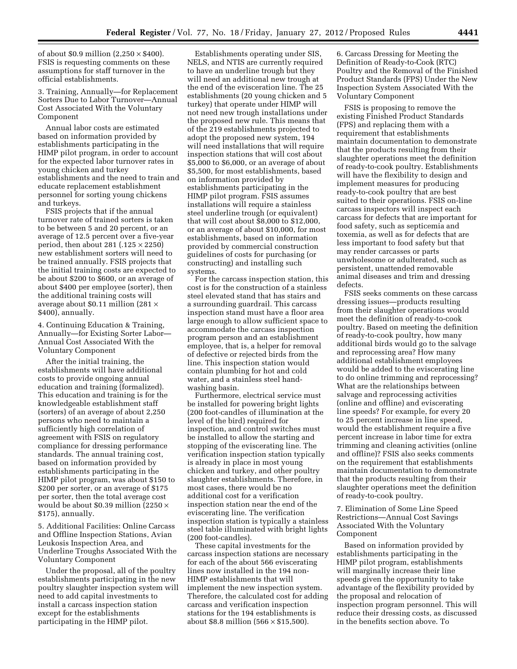of about \$0.9 million  $(2,250 \times $400)$ . FSIS is requesting comments on these assumptions for staff turnover in the official establishments.

3. Training, Annually—for Replacement Sorters Due to Labor Turnover—Annual Cost Associated With the Voluntary Component

Annual labor costs are estimated based on information provided by establishments participating in the HIMP pilot program, in order to account for the expected labor turnover rates in young chicken and turkey establishments and the need to train and educate replacement establishment personnel for sorting young chickens and turkeys.

FSIS projects that if the annual turnover rate of trained sorters is taken to be between 5 and 20 percent, or an average of 12.5 percent over a five-year period, then about 281 (.125  $\times$  2250) new establishment sorters will need to be trained annually. FSIS projects that the initial training costs are expected to be about \$200 to \$600, or an average of about \$400 per employee (sorter), then the additional training costs will average about \$0.11 million (281  $\times$ \$400), annually.

4. Continuing Education & Training, Annually—for Existing Sorter Labor— Annual Cost Associated With the Voluntary Component

After the initial training, the establishments will have additional costs to provide ongoing annual education and training (formalized). This education and training is for the knowledgeable establishment staff (sorters) of an average of about 2,250 persons who need to maintain a sufficiently high correlation of agreement with FSIS on regulatory compliance for dressing performance standards. The annual training cost, based on information provided by establishments participating in the HIMP pilot program, was about \$150 to \$200 per sorter, or an average of \$175 per sorter, then the total average cost would be about \$0.39 million (2250  $\times$ \$175), annually.

5. Additional Facilities: Online Carcass and Offline Inspection Stations, Avian Leukosis Inspection Area, and Underline Troughs Associated With the Voluntary Component

Under the proposal, all of the poultry establishments participating in the new poultry slaughter inspection system will need to add capital investments to install a carcass inspection station except for the establishments participating in the HIMP pilot.

Establishments operating under SIS, NELS, and NTIS are currently required to have an underline trough but they will need an additional new trough at the end of the evisceration line. The 25 establishments (20 young chicken and 5 turkey) that operate under HIMP will not need new trough installations under the proposed new rule. This means that of the 219 establishments projected to adopt the proposed new system, 194 will need installations that will require inspection stations that will cost about \$5,000 to \$6,000, or an average of about \$5,500, for most establishments, based on information provided by establishments participating in the HIMP pilot program. FSIS assumes installations will require a stainless steel underline trough (or equivalent) that will cost about \$8,000 to \$12,000, or an average of about \$10,000, for most establishments, based on information provided by commercial construction guidelines of costs for purchasing (or constructing) and installing such systems.

For the carcass inspection station, this cost is for the construction of a stainless steel elevated stand that has stairs and a surrounding guardrail. This carcass inspection stand must have a floor area large enough to allow sufficient space to accommodate the carcass inspection program person and an establishment employee, that is, a helper for removal of defective or rejected birds from the line. This inspection station would contain plumbing for hot and cold water, and a stainless steel handwashing basin.

Furthermore, electrical service must be installed for powering bright lights (200 foot-candles of illumination at the level of the bird) required for inspection, and control switches must be installed to allow the starting and stopping of the eviscerating line. The verification inspection station typically is already in place in most young chicken and turkey, and other poultry slaughter establishments. Therefore, in most cases, there would be no additional cost for a verification inspection station near the end of the eviscerating line. The verification inspection station is typically a stainless steel table illuminated with bright lights (200 foot-candles).

These capital investments for the carcass inspection stations are necessary for each of the about 566 eviscerating lines now installed in the 194 non-HIMP establishments that will implement the new inspection system. Therefore, the calculated cost for adding carcass and verification inspection stations for the 194 establishments is about \$8.8 million  $(566 \times $15,500)$ .

6. Carcass Dressing for Meeting the Definition of Ready-to-Cook (RTC) Poultry and the Removal of the Finished Product Standards (FPS) Under the New Inspection System Associated With the Voluntary Component

FSIS is proposing to remove the existing Finished Product Standards (FPS) and replacing them with a requirement that establishments maintain documentation to demonstrate that the products resulting from their slaughter operations meet the definition of ready-to-cook poultry. Establishments will have the flexibility to design and implement measures for producing ready-to-cook poultry that are best suited to their operations. FSIS on-line carcass inspectors will inspect each carcass for defects that are important for food safety, such as septicemia and toxemia, as well as for defects that are less important to food safety but that may render carcasses or parts unwholesome or adulterated, such as persistent, unattended removable animal diseases and trim and dressing defects.

FSIS seeks comments on these carcass dressing issues—products resulting from their slaughter operations would meet the definition of ready-to-cook poultry. Based on meeting the definition of ready-to-cook poultry, how many additional birds would go to the salvage and reprocessing area? How many additional establishment employees would be added to the eviscerating line to do online trimming and reprocessing? What are the relationships between salvage and reprocessing activities (online and offline) and eviscerating line speeds? For example, for every 20 to 25 percent increase in line speed, would the establishment require a five percent increase in labor time for extra trimming and cleaning activities (online and offline)? FSIS also seeks comments on the requirement that establishments maintain documentation to demonstrate that the products resulting from their slaughter operations meet the definition of ready-to-cook poultry.

7. Elimination of Some Line Speed Restrictions—Annual Cost Savings Associated With the Voluntary Component

Based on information provided by establishments participating in the HIMP pilot program, establishments will marginally increase their line speeds given the opportunity to take advantage of the flexibility provided by the proposal and relocation of inspection program personnel. This will reduce their dressing costs, as discussed in the benefits section above. To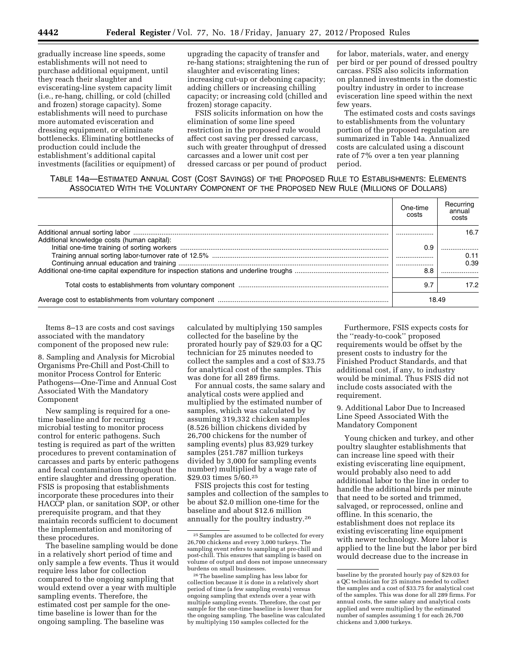gradually increase line speeds, some establishments will not need to purchase additional equipment, until they reach their slaughter and eviscerating-line system capacity limit (i.e., re-hang, chilling, or cold (chilled and frozen) storage capacity). Some establishments will need to purchase more automated evisceration and dressing equipment, or eliminate bottlenecks. Eliminating bottlenecks of production could include the establishment's additional capital investments (facilities or equipment) of upgrading the capacity of transfer and re-hang stations; straightening the run of slaughter and eviscerating lines; increasing cut-up or deboning capacity; adding chillers or increasing chilling capacity; or increasing cold (chilled and frozen) storage capacity.

FSIS solicits information on how the elimination of some line speed restriction in the proposed rule would affect cost saving per dressed carcass, such with greater throughput of dressed carcasses and a lower unit cost per dressed carcass or per pound of product

for labor, materials, water, and energy per bird or per pound of dressed poultry carcass. FSIS also solicits information on planned investments in the domestic poultry industry in order to increase evisceration line speed within the next few years.

The estimated costs and costs savings to establishments from the voluntary portion of the proposed regulation are summarized in Table 14a. Annualized costs are calculated using a discount rate of 7% over a ten year planning period.

## TABLE 14a—ESTIMATED ANNUAL COST (COST SAVINGS) OF THE PROPOSED RULE TO ESTABLISHMENTS: ELEMENTS ASSOCIATED WITH THE VOLUNTARY COMPONENT OF THE PROPOSED NEW RULE (MILLIONS OF DOLLARS)

|                                             | One-time<br>costs | Recurring<br>annual<br>costs |
|---------------------------------------------|-------------------|------------------------------|
| Additional knowledge costs (human capital): |                   | 16.7                         |
|                                             | 0.9               | 0.11                         |
|                                             |                   | 0.39                         |
|                                             | 8.8               |                              |
|                                             | 9.7               | 17.2                         |
|                                             | 18.49             |                              |

Items 8–13 are costs and cost savings associated with the mandatory component of the proposed new rule:

8. Sampling and Analysis for Microbial Organisms Pre-Chill and Post-Chill to monitor Process Control for Enteric Pathogens—One-Time and Annual Cost Associated With the Mandatory Component

New sampling is required for a onetime baseline and for recurring microbial testing to monitor process control for enteric pathogens. Such testing is required as part of the written procedures to prevent contamination of carcasses and parts by enteric pathogens and fecal contamination throughout the entire slaughter and dressing operation. FSIS is proposing that establishments incorporate these procedures into their HACCP plan, or sanitation SOP, or other prerequisite program, and that they maintain records sufficient to document the implementation and monitoring of these procedures.

The baseline sampling would be done in a relatively short period of time and only sample a few events. Thus it would require less labor for collection compared to the ongoing sampling that would extend over a year with multiple sampling events. Therefore, the estimated cost per sample for the onetime baseline is lower than for the ongoing sampling. The baseline was

calculated by multiplying 150 samples collected for the baseline by the prorated hourly pay of \$29.03 for a QC technician for 25 minutes needed to collect the samples and a cost of \$33.75 for analytical cost of the samples. This was done for all 289 firms.

For annual costs, the same salary and analytical costs were applied and multiplied by the estimated number of samples, which was calculated by assuming 319,332 chicken samples (8.526 billion chickens divided by 26,700 chickens for the number of sampling events) plus 83,929 turkey samples (251.787 million turkeys divided by 3,000 for sampling events number) multiplied by a wage rate of \$29.03 times 5/60.25

FSIS projects this cost for testing samples and collection of the samples to be about \$2.0 million one-time for the baseline and about \$12.6 million annually for the poultry industry.26

Furthermore, FSIS expects costs for the ''ready-to-cook'' proposed requirements would be offset by the present costs to industry for the Finished Product Standards, and that additional cost, if any, to industry would be minimal. Thus FSIS did not include costs associated with the requirement.

9. Additional Labor Due to Increased Line Speed Associated With the Mandatory Component

Young chicken and turkey, and other poultry slaughter establishments that can increase line speed with their existing eviscerating line equipment, would probably also need to add additional labor to the line in order to handle the additional birds per minute that need to be sorted and trimmed, salvaged, or reprocessed, online and offline. In this scenario, the establishment does not replace its existing eviscerating line equipment with newer technology. More labor is applied to the line but the labor per bird would decrease due to the increase in

<sup>25</sup>Samples are assumed to be collected for every 26,700 chickens and every 3,000 turkeys. The sampling event refers to sampling at pre-chill and post-chill. This ensures that sampling is based on volume of output and does not impose unnecessary burdens on small businesses.

<sup>26</sup>The baseline sampling has less labor for collection because it is done in a relatively short period of time (a few sampling events) versus ongoing sampling that extends over a year with multiple sampling events. Therefore, the cost per sample for the one-time baseline is lower than for the ongoing sampling. The baseline was calculated by multiplying 150 samples collected for the

baseline by the prorated hourly pay of \$29.03 for a QC technician for 25 minutes needed to collect the samples and a cost of \$33.75 for analytical cost of the samples. This was done for all 289 firms. For annual costs, the same salary and analytical costs applied and were multiplied by the estimated number of samples assuming 1 for each 26,700 chickens and 3,000 turkeys.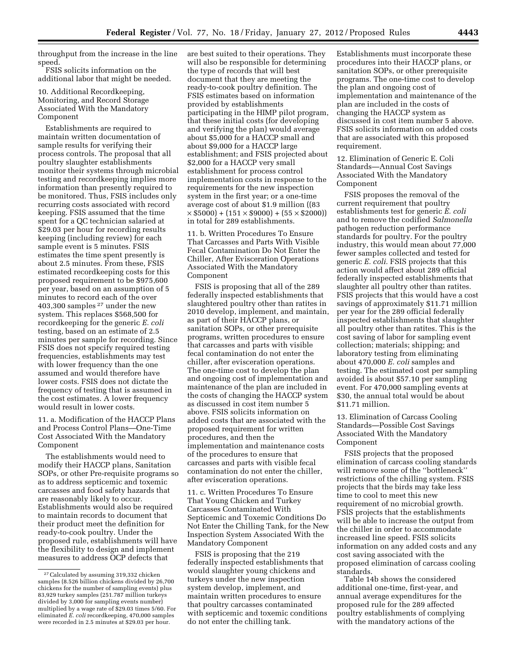throughput from the increase in the line speed.

FSIS solicits information on the additional labor that might be needed.

10. Additional Recordkeeping, Monitoring, and Record Storage Associated With the Mandatory Component

Establishments are required to maintain written documentation of sample results for verifying their process controls. The proposal that all poultry slaughter establishments monitor their systems through microbial testing and recordkeeping implies more information than presently required to be monitored. Thus, FSIS includes only recurring costs associated with record keeping. FSIS assumed that the time spent for a QC technician salaried at \$29.03 per hour for recording results keeping (including review) for each sample event is 5 minutes. FSIS estimates the time spent presently is about 2.5 minutes. From these, FSIS estimated recordkeeping costs for this proposed requirement to be \$975,600 per year, based on an assumption of 5 minutes to record each of the over 403,300 samples 27 under the new system. This replaces \$568,500 for recordkeeping for the generic *E. coli*  testing, based on an estimate of 2.5 minutes per sample for recording. Since FSIS does not specify required testing frequencies, establishments may test with lower frequency than the one assumed and would therefore have lower costs. FSIS does not dictate the frequency of testing that is assumed in the cost estimates. A lower frequency would result in lower costs.

11. a. Modification of the HACCP Plans and Process Control Plans—One-Time Cost Associated With the Mandatory Component

The establishments would need to modify their HACCP plans, Sanitation SOPs, or other Pre-requisite programs so as to address septicemic and toxemic carcasses and food safety hazards that are reasonably likely to occur. Establishments would also be required to maintain records to document that their product meet the definition for ready-to-cook poultry. Under the proposed rule, establishments will have the flexibility to design and implement measures to address OCP defects that

are best suited to their operations. They will also be responsible for determining the type of records that will best document that they are meeting the ready-to-cook poultry definition. The FSIS estimates based on information provided by establishments participating in the HIMP pilot program, that these initial costs (for developing and verifying the plan) would average about \$5,000 for a HACCP small and about \$9,000 for a HACCP large establishment; and FSIS projected about \$2,000 for a HACCP very small establishment for process control implementation costs in response to the requirements for the new inspection system in the first year; or a one-time average cost of about \$1.9 million ((83  $\times$  \$5000) + (151  $\times$  \$9000) + (55  $\times$  \$2000)) in total for 289 establishments.

11. b. Written Procedures To Ensure That Carcasses and Parts With Visible Fecal Contamination Do Not Enter the Chiller, After Evisceration Operations Associated With the Mandatory Component

FSIS is proposing that all of the 289 federally inspected establishments that slaughtered poultry other than ratites in 2010 develop, implement, and maintain, as part of their HACCP plans, or sanitation SOPs, or other prerequisite programs, written procedures to ensure that carcasses and parts with visible fecal contamination do not enter the chiller, after evisceration operations. The one-time cost to develop the plan and ongoing cost of implementation and maintenance of the plan are included in the costs of changing the HACCP system as discussed in cost item number 5 above. FSIS solicits information on added costs that are associated with the proposed requirement for written procedures, and then the implementation and maintenance costs of the procedures to ensure that carcasses and parts with visible fecal contamination do not enter the chiller, after evisceration operations.

11. c. Written Procedures To Ensure That Young Chicken and Turkey Carcasses Contaminated With Septicemic and Toxemic Conditions Do Not Enter the Chilling Tank, for the New Inspection System Associated With the Mandatory Component

FSIS is proposing that the 219 federally inspected establishments that would slaughter young chickens and turkeys under the new inspection system develop, implement, and maintain written procedures to ensure that poultry carcasses contaminated with septicemic and toxemic conditions do not enter the chilling tank.

Establishments must incorporate these procedures into their HACCP plans, or sanitation SOPs, or other prerequisite programs. The one-time cost to develop the plan and ongoing cost of implementation and maintenance of the plan are included in the costs of changing the HACCP system as discussed in cost item number 5 above. FSIS solicits information on added costs that are associated with this proposed requirement.

12. Elimination of Generic E. Coli Standards—Annual Cost Savings Associated With the Mandatory Component

FSIS proposes the removal of the current requirement that poultry establishments test for generic *E. coli*  and to remove the codified *Salmonella*  pathogen reduction performance standards for poultry. For the poultry industry, this would mean about 77,000 fewer samples collected and tested for generic *E. coli.* FSIS projects that this action would affect about 289 official federally inspected establishments that slaughter all poultry other than ratites. FSIS projects that this would have a cost savings of approximately \$11.71 million per year for the 289 official federally inspected establishments that slaughter all poultry other than ratites. This is the cost saving of labor for sampling event collection; materials; shipping; and laboratory testing from eliminating about 470,000 *E. coli* samples and testing. The estimated cost per sampling avoided is about \$57.10 per sampling event. For 470,000 sampling events at \$30, the annual total would be about \$11.71 million.

13. Elimination of Carcass Cooling Standards—Possible Cost Savings Associated With the Mandatory Component

FSIS projects that the proposed elimination of carcass cooling standards will remove some of the ''bottleneck'' restrictions of the chilling system. FSIS projects that the birds may take less time to cool to meet this new requirement of no microbial growth. FSIS projects that the establishments will be able to increase the output from the chiller in order to accommodate increased line speed. FSIS solicits information on any added costs and any cost saving associated with the proposed elimination of carcass cooling standards.

Table 14b shows the considered additional one-time, first-year, and annual average expenditures for the proposed rule for the 289 affected poultry establishments of complying with the mandatory actions of the

<sup>27</sup>Calculated by assuming 319,332 chicken samples (8.526 billion chickens divided by 26,700 chickens for the number of sampling events) plus 83,929 turkey samples (251.787 million turkeys divided by 3,000 for sampling events number) multiplied by a wage rate of \$29.03 times 5/60. For eliminated *E. coli* recordkeeping, 470,000 samples were recorded in 2.5 minutes at \$29.03 per hour.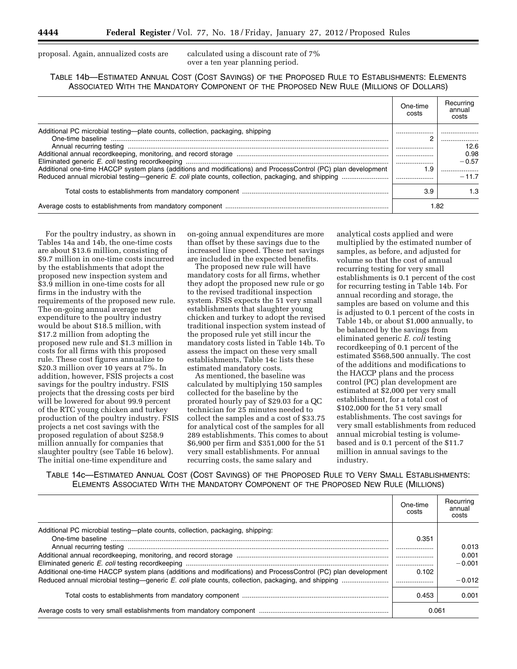proposal. Again, annualized costs are calculated using a discount rate of 7%

over a ten year planning period.

TABLE 14b—ESTIMATED ANNUAL COST (COST SAVINGS) OF THE PROPOSED RULE TO ESTABLISHMENTS: ELEMENTS ASSOCIATED WITH THE MANDATORY COMPONENT OF THE PROPOSED NEW RULE (MILLIONS OF DOLLARS)

|                                                                                                               | One-time<br>costs | Recurring<br>annual<br>costs |
|---------------------------------------------------------------------------------------------------------------|-------------------|------------------------------|
| Additional PC microbial testing—plate counts, collection, packaging, shipping                                 | ◠                 | .                            |
|                                                                                                               |                   | 12.6<br>0.98                 |
| Additional one-time HACCP system plans (additions and modifications) and ProcessControl (PC) plan development | 1.9               | $-0.57$                      |
|                                                                                                               |                   | $-11.7$                      |
|                                                                                                               | 3.9               | 1.3                          |
|                                                                                                               |                   | 1.82                         |

For the poultry industry, as shown in Tables 14a and 14b, the one-time costs are about \$13.6 million, consisting of \$9.7 million in one-time costs incurred by the establishments that adopt the proposed new inspection system and \$3.9 million in one-time costs for all firms in the industry with the requirements of the proposed new rule. The on-going annual average net expenditure to the poultry industry would be about \$18.5 million, with \$17.2 million from adopting the proposed new rule and \$1.3 million in costs for all firms with this proposed rule. These cost figures annualize to \$20.3 million over 10 years at 7%. In addition, however, FSIS projects a cost savings for the poultry industry. FSIS projects that the dressing costs per bird will be lowered for about 99.9 percent of the RTC young chicken and turkey production of the poultry industry. FSIS projects a net cost savings with the proposed regulation of about \$258.9 million annually for companies that slaughter poultry (see Table 16 below). The initial one-time expenditure and

on-going annual expenditures are more than offset by these savings due to the increased line speed. These net savings are included in the expected benefits.

The proposed new rule will have mandatory costs for all firms, whether they adopt the proposed new rule or go to the revised traditional inspection system. FSIS expects the 51 very small establishments that slaughter young chicken and turkey to adopt the revised traditional inspection system instead of the proposed rule yet still incur the mandatory costs listed in Table 14b. To assess the impact on these very small establishments, Table 14c lists these estimated mandatory costs.

As mentioned, the baseline was calculated by multiplying 150 samples collected for the baseline by the prorated hourly pay of \$29.03 for a QC technician for 25 minutes needed to collect the samples and a cost of \$33.75 for analytical cost of the samples for all 289 establishments. This comes to about \$6,900 per firm and \$351,000 for the 51 very small establishments. For annual recurring costs, the same salary and

analytical costs applied and were multiplied by the estimated number of samples, as before, and adjusted for volume so that the cost of annual recurring testing for very small establishments is 0.1 percent of the cost for recurring testing in Table 14b. For annual recording and storage, the samples are based on volume and this is adjusted to 0.1 percent of the costs in Table 14b, or about \$1,000 annually, to be balanced by the savings from eliminated generic *E. coli* testing recordkeeping of 0.1 percent of the estimated \$568,500 annually. The cost of the additions and modifications to the HACCP plans and the process control (PC) plan development are estimated at \$2,000 per very small establishment, for a total cost of \$102,000 for the 51 very small establishments. The cost savings for very small establishments from reduced annual microbial testing is volumebased and is 0.1 percent of the \$11.7 million in annual savings to the industry.

TABLE 14c—ESTIMATED ANNUAL COST (COST SAVINGS) OF THE PROPOSED RULE TO VERY SMALL ESTABLISHMENTS: ELEMENTS ASSOCIATED WITH THE MANDATORY COMPONENT OF THE PROPOSED NEW RULE (MILLIONS)

|                                                                                                               | One-time<br>costs | Recurring<br>annual<br>costs |
|---------------------------------------------------------------------------------------------------------------|-------------------|------------------------------|
| Additional PC microbial testing—plate counts, collection, packaging, shipping:                                | 0.351             | 0.013                        |
|                                                                                                               | .                 | 0.001                        |
|                                                                                                               |                   | $-0.001$                     |
| Additional one-time HACCP system plans (additions and modifications) and ProcessControl (PC) plan development | 0.102             |                              |
|                                                                                                               |                   | $-0.012$                     |
|                                                                                                               | 0.453             | 0.001                        |
|                                                                                                               | 0.061             |                              |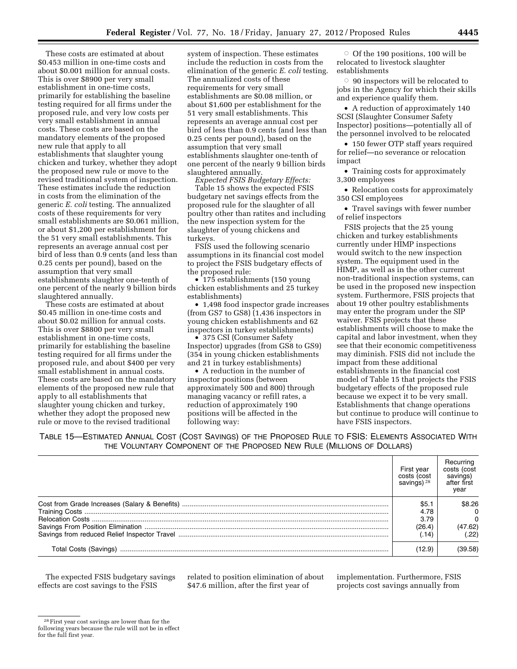These costs are estimated at about \$0.453 million in one-time costs and about \$0.001 million for annual costs. This is over \$8900 per very small establishment in one-time costs, primarily for establishing the baseline testing required for all firms under the proposed rule, and very low costs per very small establishment in annual costs. These costs are based on the mandatory elements of the proposed new rule that apply to all establishments that slaughter young chicken and turkey, whether they adopt the proposed new rule or move to the revised traditional system of inspection. These estimates include the reduction in costs from the elimination of the generic *E. coli* testing. The annualized costs of these requirements for very small establishments are \$0.061 million, or about \$1,200 per establishment for the 51 very small establishments. This represents an average annual cost per bird of less than 0.9 cents (and less than 0.25 cents per pound), based on the assumption that very small establishments slaughter one-tenth of one percent of the nearly 9 billion birds slaughtered annually.

These costs are estimated at about \$0.45 million in one-time costs and about \$0.02 million for annual costs. This is over \$8800 per very small establishment in one-time costs, primarily for establishing the baseline testing required for all firms under the proposed rule, and about \$400 per very small establishment in annual costs. These costs are based on the mandatory elements of the proposed new rule that apply to all establishments that slaughter young chicken and turkey, whether they adopt the proposed new rule or move to the revised traditional

system of inspection. These estimates include the reduction in costs from the elimination of the generic *E. coli* testing. The annualized costs of these requirements for very small establishments are \$0.08 million, or about \$1,600 per establishment for the 51 very small establishments. This represents an average annual cost per bird of less than 0.9 cents (and less than 0.25 cents per pound), based on the assumption that very small establishments slaughter one-tenth of one percent of the nearly 9 billion birds slaughtered annually.

*Expected FSIS Budgetary Effects:*  Table 15 shows the expected FSIS budgetary net savings effects from the proposed rule for the slaughter of all poultry other than ratites and including the new inspection system for the slaughter of young chickens and turkeys.

FSIS used the following scenario assumptions in its financial cost model to project the FSIS budgetary effects of the proposed rule:

• 175 establishments (150 young chicken establishments and 25 turkey establishments)

• 1,498 food inspector grade increases (from GS7 to GS8) (1,436 inspectors in young chicken establishments and 62 inspectors in turkey establishments)

• 375 CSI (Consumer Safety Inspector) upgrades (from GS8 to GS9) (354 in young chicken establishments and 21 in turkey establishments)

• A reduction in the number of inspector positions (between approximately 500 and 800) through managing vacancy or refill rates, a reduction of approximately 190 positions will be affected in the following way:

O Of the 190 positions, 100 will be relocated to livestock slaughter establishments

 $\circ$  90 inspectors will be relocated to jobs in the Agency for which their skills and experience qualify them.

• A reduction of approximately 140 SCSI (Slaughter Consumer Safety Inspector) positions—potentially all of the personnel involved to be relocated

• 150 fewer OTP staff years required for relief—no severance or relocation impact

• Training costs for approximately 3,300 employees

• Relocation costs for approximately 350 CSI employees

• Travel savings with fewer number of relief inspectors

FSIS projects that the 25 young chicken and turkey establishments currently under HIMP inspections would switch to the new inspection system. The equipment used in the HIMP, as well as in the other current non-traditional inspection systems, can be used in the proposed new inspection system. Furthermore, FSIS projects that about 19 other poultry establishments may enter the program under the SIP waiver. FSIS projects that these establishments will choose to make the capital and labor investment, when they see that their economic competitiveness may diminish. FSIS did not include the impact from these additional establishments in the financial cost model of Table 15 that projects the FSIS budgetary effects of the proposed rule because we expect it to be very small. Establishments that change operations but continue to produce will continue to have FSIS inspectors.

TABLE 15—ESTIMATED ANNUAL COST (COST SAVINGS) OF THE PROPOSED RULE TO FSIS: ELEMENTS ASSOCIATED WITH THE VOLUNTARY COMPONENT OF THE PROPOSED NEW RULE (MILLIONS OF DOLLARS)

| First year<br>costs (cost<br>savings) $28$ | Recurring<br>costs (cost<br>savings)<br>after first<br>year |
|--------------------------------------------|-------------------------------------------------------------|
| \$5.1                                      | \$8.26                                                      |
| 4.78                                       | $\Omega$                                                    |
| 3.79                                       | $\Omega$                                                    |
| (26.4)                                     | (47.62)                                                     |
| .14)                                       | (.22)                                                       |
| (12.9)                                     | (39.58)                                                     |

The expected FSIS budgetary savings effects are cost savings to the FSIS

related to position elimination of about \$47.6 million, after the first year of

implementation. Furthermore, FSIS projects cost savings annually from

<sup>28</sup>First year cost savings are lower than for the following years because the rule will not be in effect for the full first year.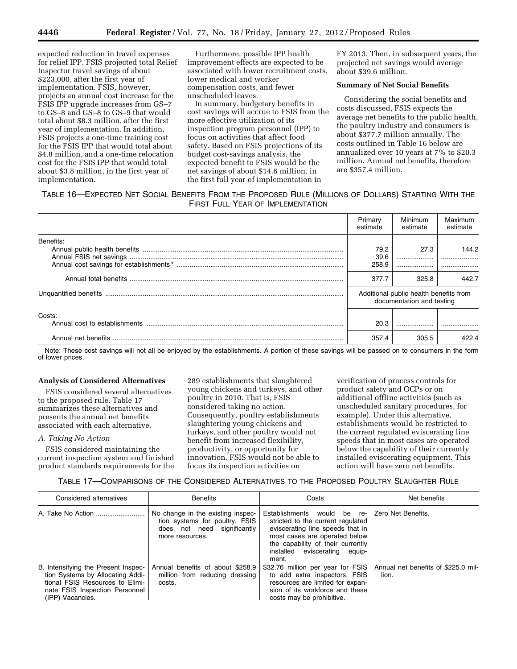expected reduction in travel expenses for relief IPP. FSIS projected total Relief Inspector travel savings of about \$223,000, after the first year of implementation. FSIS, however, projects an annual cost increase for the FSIS IPP upgrade increases from GS–7 to GS–8 and GS–8 to GS–9 that would total about \$8.3 million, after the first year of implementation. In addition, FSIS projects a one-time training cost for the FSIS IPP that would total about \$4.8 million, and a one-time relocation cost for the FSIS IPP that would total about \$3.8 million, in the first year of implementation.

Furthermore, possible IPP health improvement effects are expected to be associated with lower recruitment costs, lower medical and worker compensation costs, and fewer unscheduled leaves.

In summary, budgetary benefits in cost savings will accrue to FSIS from the more effective utilization of its inspection program personnel (IPP) to focus on activities that affect food safety. Based on FSIS projections of its budget cost-savings analysis, the expected benefit to FSIS would be the net savings of about \$14.6 million, in the first full year of implementation in

FY 2013. Then, in subsequent years, the projected net savings would average about \$39.6 million.

#### **Summary of Net Social Benefits**

Considering the social benefits and costs discussed, FSIS expects the average net benefits to the public health, the poultry industry and consumers is about \$377.7 million annually. The costs outlined in Table 16 below are annualized over 10 years at 7% to \$20.3 million. Annual net benefits, therefore are \$357.4 million.

## TABLE 16—EXPECTED NET SOCIAL BENEFITS FROM THE PROPOSED RULE (MILLIONS OF DOLLARS) STARTING WITH THE FIRST FULL YEAR OF IMPLEMENTATION

|           | Primary<br>estimate   | Minimum<br>estimate                                                 | Maximum<br>estimate |
|-----------|-----------------------|---------------------------------------------------------------------|---------------------|
| Benefits: | 79.2<br>39.6<br>258.9 | 27.3                                                                | 144.2               |
|           | 377.7                 | 325.8                                                               | 442.7               |
|           |                       | Additional public health benefits from<br>documentation and testing |                     |
| Costs:    | 20.3                  |                                                                     |                     |
|           | 357.4                 | 305.5                                                               | 422 4               |

Note: These cost savings will not all be enjoyed by the establishments. A portion of these savings will be passed on to consumers in the form of lower prices.

#### **Analysis of Considered Alternatives**

FSIS considered several alternatives to the proposed rule. Table 17 summarizes these alternatives and presents the annual net benefits associated with each alternative.

#### *A. Taking No Action*

FSIS considered maintaining the current inspection system and finished product standards requirements for the 289 establishments that slaughtered young chickens and turkeys, and other poultry in 2010. That is, FSIS considered taking no action. Consequently, poultry establishments slaughtering young chickens and turkeys, and other poultry would not benefit from increased flexibility, productivity, or opportunity for innovation. FSIS would not be able to focus its inspection activities on

verification of process controls for product safety and OCPs or on additional offline activities (such as unscheduled sanitary procedures, for example). Under this alternative, establishments would be restricted to the current regulated eviscerating line speeds that in most cases are operated below the capability of their currently installed eviscerating equipment. This action will have zero net benefits.

#### TABLE 17—COMPARISONS OF THE CONSIDERED ALTERNATIVES TO THE PROPOSED POULTRY SLAUGHTER RULE

| Considered alternatives                                                                                                                                          | <b>Benefits</b>                                                                                                       | Costs                                                                                                                                                                                                                | Net benefits                                 |
|------------------------------------------------------------------------------------------------------------------------------------------------------------------|-----------------------------------------------------------------------------------------------------------------------|----------------------------------------------------------------------------------------------------------------------------------------------------------------------------------------------------------------------|----------------------------------------------|
|                                                                                                                                                                  | No change in the existing inspec-<br>tion systems for poultry. FSIS<br>does not need significantly<br>more resources. | Establishments would be re-<br>stricted to the current regulated<br>eviscerating line speeds that in<br>most cases are operated below<br>the capability of their currently<br>installed eviscerating equip-<br>ment. | Zero Net Benefits.                           |
| B. Intensifying the Present Inspec-<br>tion Systems by Allocating Addi-<br>tional FSIS Resources to Elimi-<br>nate FSIS Inspection Personnel<br>(IPP) Vacancies. | Annual benefits of about \$258.9<br>million from reducing dressing<br>costs.                                          | \$32.76 million per year for FSIS<br>to add extra inspectors. FSIS<br>resources are limited for expan-<br>sion of its workforce and these<br>costs may be prohibitive.                                               | Annual net benefits of \$225.0 mil-<br>lion. |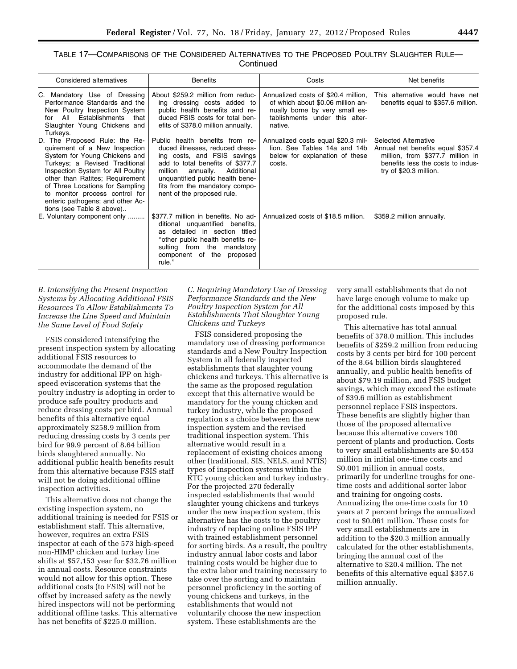| Table 17—Comparisons of the Considered Alternatives to the Proposed Poultry Slaughter Rule— |           |  |
|---------------------------------------------------------------------------------------------|-----------|--|
|                                                                                             | Continued |  |

| Considered alternatives                                                                                                                                                                                                                                                                                                                         | <b>Benefits</b>                                                                                                                                                                                                                                                                 | Costs                                                                                                                                                   | Net benefits                                                                                                                                                        |
|-------------------------------------------------------------------------------------------------------------------------------------------------------------------------------------------------------------------------------------------------------------------------------------------------------------------------------------------------|---------------------------------------------------------------------------------------------------------------------------------------------------------------------------------------------------------------------------------------------------------------------------------|---------------------------------------------------------------------------------------------------------------------------------------------------------|---------------------------------------------------------------------------------------------------------------------------------------------------------------------|
| C. Mandatory Use of Dressing<br>Performance Standards and the<br>New Poultry Inspection System<br>All<br>Establishments<br>that<br>for<br>Slaughter Young Chickens and<br>Turkeys.                                                                                                                                                              | About \$259.2 million from reduc-<br>ing dressing costs added to<br>public health benefits and re-<br>duced FSIS costs for total ben-<br>efits of \$378.0 million annually.                                                                                                     | Annualized costs of \$20.4 million,<br>of which about \$0.06 million an-<br>nually borne by very small es-<br>tablishments under this alter-<br>native. | This alternative would have net<br>benefits equal to \$357.6 million.                                                                                               |
| D. The Proposed Rule: the Re-<br>quirement of a New Inspection<br>System for Young Chickens and<br>Turkeys; a Revised Traditional<br>Inspection System for All Poultry<br>other than Ratites; Requirement<br>of Three Locations for Sampling<br>to monitor process control for<br>enteric pathogens; and other Ac-<br>tions (see Table 8 above) | Public health benefits from re-<br>duced illnesses, reduced dress-<br>ing costs, and FSIS savings<br>add to total benefits of \$377.7<br>million<br>Additional<br>annually.<br>unquantified public health bene-<br>fits from the mandatory compo-<br>nent of the proposed rule. | Annualized costs equal \$20.3 mil-<br>lion. See Tables 14a and 14b<br>below for explanation of these<br>costs.                                          | <b>Selected Alternative</b><br>Annual net benefits equal \$357.4<br>million, from \$377.7 million in<br>benefits less the costs to indus-<br>try of \$20.3 million. |
| E. Voluntary component only                                                                                                                                                                                                                                                                                                                     | \$377.7 million in benefits. No ad-<br>unquantified benefits,<br>ditional<br>detailed in section titled<br>as.<br>"other public health benefits re-<br>sulting from the<br>mandatory<br>component of the proposed<br>rule."                                                     | Annualized costs of \$18.5 million.                                                                                                                     | \$359.2 million annually.                                                                                                                                           |

*B. Intensifying the Present Inspection Systems by Allocating Additional FSIS Resources To Allow Establishments To Increase the Line Speed and Maintain the Same Level of Food Safety* 

FSIS considered intensifying the present inspection system by allocating additional FSIS resources to accommodate the demand of the industry for additional IPP on highspeed evisceration systems that the poultry industry is adopting in order to produce safe poultry products and reduce dressing costs per bird. Annual benefits of this alternative equal approximately \$258.9 million from reducing dressing costs by 3 cents per bird for 99.9 percent of 8.64 billion birds slaughtered annually. No additional public health benefits result from this alternative because FSIS staff will not be doing additional offline inspection activities.

This alternative does not change the existing inspection system, no additional training is needed for FSIS or establishment staff. This alternative, however, requires an extra FSIS inspector at each of the 573 high-speed non-HIMP chicken and turkey line shifts at \$57,153 year for \$32.76 million in annual costs. Resource constraints would not allow for this option. These additional costs (to FSIS) will not be offset by increased safety as the newly hired inspectors will not be performing additional offline tasks. This alternative has net benefits of \$225.0 million.

*C. Requiring Mandatory Use of Dressing Performance Standards and the New Poultry Inspection System for All Establishments That Slaughter Young Chickens and Turkeys* 

FSIS considered proposing the mandatory use of dressing performance standards and a New Poultry Inspection System in all federally inspected establishments that slaughter young chickens and turkeys. This alternative is the same as the proposed regulation except that this alternative would be mandatory for the young chicken and turkey industry, while the proposed regulation s a choice between the new inspection system and the revised traditional inspection system. This alternative would result in a replacement of existing choices among other (traditional, SIS, NELS, and NTIS) types of inspection systems within the RTC young chicken and turkey industry. For the projected 270 federally inspected establishments that would slaughter young chickens and turkeys under the new inspection system, this alternative has the costs to the poultry industry of replacing online FSIS IPP with trained establishment personnel for sorting birds. As a result, the poultry industry annual labor costs and labor training costs would be higher due to the extra labor and training necessary to take over the sorting and to maintain personnel proficiency in the sorting of young chickens and turkeys, in the establishments that would not voluntarily choose the new inspection system. These establishments are the

very small establishments that do not have large enough volume to make up for the additional costs imposed by this proposed rule.

This alternative has total annual benefits of 378.0 million. This includes benefits of \$259.2 million from reducing costs by 3 cents per bird for 100 percent of the 8.64 billion birds slaughtered annually, and public health benefits of about \$79.19 million, and FSIS budget savings, which may exceed the estimate of \$39.6 million as establishment personnel replace FSIS inspectors. These benefits are slightly higher than those of the proposed alternative because this alternative covers 100 percent of plants and production. Costs to very small establishments are \$0.453 million in initial one-time costs and \$0.001 million in annual costs, primarily for underline troughs for onetime costs and additional sorter labor and training for ongoing costs. Annualizing the one-time costs for 10 years at 7 percent brings the annualized cost to \$0.061 million. These costs for very small establishments are in addition to the \$20.3 million annually calculated for the other establishments, bringing the annual cost of the alternative to \$20.4 million. The net benefits of this alternative equal \$357.6 million annually.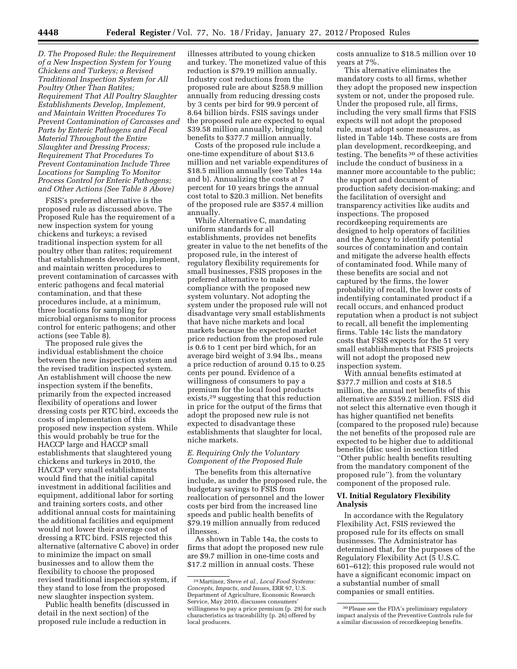*D. The Proposed Rule: the Requirement of a New Inspection System for Young Chickens and Turkeys; a Revised Traditional Inspection System for All Poultry Other Than Ratites; Requirement That All Poultry Slaughter Establishments Develop, Implement, and Maintain Written Procedures To Prevent Contamination of Carcasses and Parts by Enteric Pathogens and Fecal Material Throughout the Entire Slaughter and Dressing Process; Requirement That Procedures To Prevent Contamination Include Three Locations for Sampling To Monitor Process Control for Enteric Pathogens; and Other Actions (See Table 8 Above)* 

FSIS's preferred alternative is the proposed rule as discussed above. The Proposed Rule has the requirement of a new inspection system for young chickens and turkeys; a revised traditional inspection system for all poultry other than ratites; requirement that establishments develop, implement, and maintain written procedures to prevent contamination of carcasses with enteric pathogens and fecal material contamination, and that these procedures include, at a minimum, three locations for sampling for microbial organisms to monitor process control for enteric pathogens; and other actions (see Table 8).

The proposed rule gives the individual establishment the choice between the new inspection system and the revised tradition inspected system. An establishment will choose the new inspection system if the benefits, primarily from the expected increased flexibility of operations and lower dressing costs per RTC bird, exceeds the costs of implementation of this proposed new inspection system. While this would probably be true for the HACCP large and HACCP small establishments that slaughtered young chickens and turkeys in 2010, the HACCP very small establishments would find that the initial capital investment in additional facilities and equipment, additional labor for sorting and training sorters costs, and other additional annual costs for maintaining the additional facilities and equipment would not lower their average cost of dressing a RTC bird. FSIS rejected this alternative (alternative C above) in order to minimize the impact on small businesses and to allow them the flexibility to choose the proposed revised traditional inspection system, if they stand to lose from the proposed new slaughter inspection system.

Public health benefits (discussed in detail in the next section) of the proposed rule include a reduction in

illnesses attributed to young chicken and turkey. The monetized value of this reduction is \$79.19 million annually. Industry cost reductions from the proposed rule are about \$258.9 million annually from reducing dressing costs by 3 cents per bird for 99.9 percent of 8.64 billion birds. FSIS savings under the proposed rule are expected to equal \$39.58 million annually, bringing total benefits to \$377.7 million annually.

Costs of the proposed rule include a one-time expenditure of about \$13.6 million and net variable expenditures of \$18.5 million annually (see Tables 14a and b). Annualizing the costs at 7 percent for 10 years brings the annual cost total to \$20.3 million. Net benefits of the proposed rule are \$357.4 million annually.

While Alternative C, mandating uniform standards for all establishments, provides net benefits greater in value to the net benefits of the proposed rule, in the interest of regulatory flexibility requirements for small businesses, FSIS proposes in the preferred alternative to make compliance with the proposed new system voluntary. Not adopting the system under the proposed rule will not disadvantage very small establishments that have niche markets and local markets because the expected market price reduction from the proposed rule is 0.6 to 1 cent per bird which, for an average bird weight of 3.94 lbs., means a price reduction of around 0.15 to 0.25 cents per pound. Evidence of a willingness of consumers to pay a premium for the local food products exists,29 suggesting that this reduction in price for the output of the firms that adopt the proposed new rule is not expected to disadvantage these establishments that slaughter for local, niche markets.

#### *E. Requiring Only the Voluntary Component of the Proposed Rule*

The benefits from this alternative include, as under the proposed rule, the budgetary savings to FSIS from reallocation of personnel and the lower costs per bird from the increased line speeds and public health benefits of \$79.19 million annually from reduced illnesses.

As shown in Table 14a, the costs to firms that adopt the proposed new rule are \$9.7 million in one-time costs and \$17.2 million in annual costs. These

costs annualize to \$18.5 million over 10 years at 7%.

This alternative eliminates the mandatory costs to all firms, whether they adopt the proposed new inspection system or not, under the proposed rule. Under the proposed rule, all firms, including the very small firms that FSIS expects will not adopt the proposed rule, must adopt some measures, as listed in Table 14b. These costs are from plan development, recordkeeping, and testing. The benefits 30 of these activities include the conduct of business in a manner more accountable to the public; the support and document of production safety decision-making; and the facilitation of oversight and transparency activities like audits and inspections. The proposed recordkeeping requirements are designed to help operators of facilities and the Agency to identify potential sources of contamination and contain and mitigate the adverse health effects of contaminated food. While many of these benefits are social and not captured by the firms, the lower probability of recall, the lower costs of indentifying contaminated product if a recall occurs, and enhanced product reputation when a product is not subject to recall, all benefit the implementing firms. Table 14c lists the mandatory costs that FSIS expects for the 51 very small establishments that FSIS projects will not adopt the proposed new inspection system.

With annual benefits estimated at \$377.7 million and costs at \$18.5 million, the annual net benefits of this alternative are \$359.2 million. FSIS did not select this alternative even though it has higher quantified net benefits (compared to the proposed rule) because the net benefits of the proposed rule are expected to be higher due to additional benefits (disc used in section titled ''Other public health benefits resulting from the mandatory component of the proposed rule''). from the voluntary component of the proposed rule.

#### **VI. Initial Regulatory Flexibility Analysis**

In accordance with the Regulatory Flexibility Act, FSIS reviewed the proposed rule for its effects on small businesses. The Administrator has determined that, for the purposes of the Regulatory Flexibility Act (5 U.S.C. 601–612); this proposed rule would not have a significant economic impact on a substantial number of small companies or small entities.

<sup>29</sup>Martinez, Steve *et al., Local Food Systems: Concepts, Impacts, and Issues,* ERR 97, U.S. Department of Agriculture, Economic Research Service, May 2010, discusses consumers' willingness to pay a price premium (p. 29) for such characteristics as traceabililty (p. 26) offered by local producers.

<sup>30</sup>Please see the FDA's preliminary regulatory impact analysis of the Preventive Controls rule for a similar discussion of recordkeeping benefits.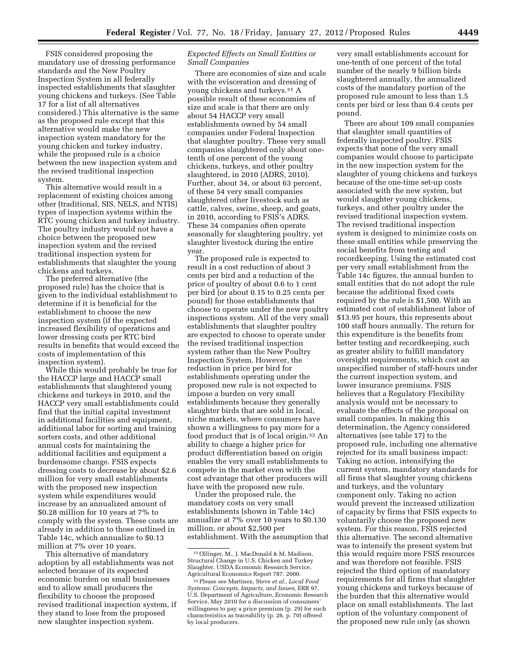FSIS considered proposing the mandatory use of dressing performance standards and the New Poultry Inspection System in all federally inspected establishments that slaughter young chickens and turkeys. (See Table 17 for a list of all alternatives considered.) This alternative is the same as the proposed rule except that this alternative would make the new inspection system mandatory for the young chicken and turkey industry, while the proposed rule is a choice between the new inspection system and the revised traditional inspection system.

This alternative would result in a replacement of existing choices among other (traditional, SIS, NELS, and NTIS) types of inspection systems within the RTC young chicken and turkey industry. The poultry industry would not have a choice between the proposed new inspection system and the revised traditional inspection system for establishments that slaughter the young chickens and turkeys.

The preferred alternative (the proposed rule) has the choice that is given to the individual establishment to determine if it is beneficial for the establishment to choose the new inspection system (if the expected increased flexibility of operations and lower dressing costs per RTC bird results in benefits that would exceed the costs of implementation of this inspection system).

While this would probably be true for the HACCP large and HACCP small establishments that slaughtered young chickens and turkeys in 2010, and the HACCP very small establishments could find that the initial capital investment in additional facilities and equipment, additional labor for sorting and training sorters costs, and other additional annual costs for maintaining the additional facilities and equipment a burdensome change. FSIS expects dressing costs to decrease by about \$2.6 million for very small establishments with the proposed new inspection system while expenditures would increase by an annualized amount of \$0.28 million for 10 years at 7% to comply with the system. These costs are already in addition to those outlined in Table 14c, which annualize to \$0.13 million at 7% over 10 years.

This alternative of mandatory adoption by all establishments was not selected because of its expected economic burden on small businesses and to allow small producers the flexibility to choose the proposed revised traditional inspection system, if they stand to lose from the proposed new slaughter inspection system.

#### *Expected Effects on Small Entities or Small Companies*

There are economies of size and scale with the evisceration and dressing of young chickens and turkeys.31 A possible result of these economies of size and scale is that there are only about 54 HACCP very small establishments owned by 54 small companies under Federal Inspection that slaughter poultry. These very small companies slaughtered only about onetenth of one percent of the young chickens, turkeys, and other poultry slaughtered, in 2010 (ADRS, 2010). Further, about 34, or about 63 percent, of these 54 very small companies slaughtered other livestock such as cattle, calves, swine, sheep, and goats, in 2010, according to FSIS's ADRS. These 34 companies often operate seasonally for slaughtering poultry, yet slaughter livestock during the entire year.

The proposed rule is expected to result in a cost reduction of about 3 cents per bird and a reduction of the price of poultry of about 0.6 to 1 cent per bird (or about 0.15 to 0.25 cents per pound) for those establishments that choose to operate under the new poultry inspections system. All of the very small establishments that slaughter poultry are expected to choose to operate under the revised traditional inspection system rather than the New Poultry Inspection System. However, the reduction in price per bird for establishments operating under the proposed new rule is not expected to impose a burden on very small establishments because they generally slaughter birds that are sold in local, niche markets, where consumers have shown a willingness to pay more for a food product that is of local origin.32 An ability to charge a higher price for product differentiation based on origin enables the very small establishments to compete in the market even with the cost advantage that other producers will have with the proposed new rule.

Under the proposed rule, the mandatory costs on very small establishments (shown in Table 14c) annualize at 7% over 10 years to \$0.130 million, or about \$2,500 per establishment. With the assumption that

very small establishments account for one-tenth of one percent of the total number of the nearly 9 billion birds slaughtered annually, the annualized costs of the mandatory portion of the proposed rule amount to less than 1.5 cents per bird or less than 0.4 cents per pound.

There are about 109 small companies that slaughter small quantities of federally inspected poultry. FSIS expects that none of the very small companies would choose to participate in the new inspection system for the slaughter of young chickens and turkeys because of the one-time set-up costs associated with the new system, but would slaughter young chickens, turkeys, and other poultry under the revised traditional inspection system. The revised traditional inspection system is designed to minimize costs on these small entities while preserving the social benefits from testing and recordkeeping. Using the estimated cost per very small establishment from the Table 14c figures, the annual burden to small entities that do not adopt the rule because the additional fixed costs required by the rule is \$1,500. With an estimated cost of establishment labor of \$13.95 per hours, this represents about 100 staff hours annually. The return for this expenditure is the benefits from better testing and recordkeeping, such as greater ability to fulfill mandatory oversight requirements, which cost an unspecified number of staff-hours under the current inspection system, and lower insurance premiums. FSIS believes that a Regulatory Flexibility analysis would not be necessary to evaluate the effects of the proposal on small companies. In making this determination, the Agency considered alternatives (see table 17) to the proposed rule, including one alternative rejected for its small business impact: Taking no action, intensifying the current system, mandatory standards for all firms that slaughter young chickens and turkeys, and the voluntary component only. Taking no action would prevent the increased utilization of capacity by firms that FSIS expects to voluntarily choose the proposed new system. For this reason, FSIS rejected this alternative. The second alternative was to intensify the present system but this would require more FSIS resources and was therefore not feasible. FSIS rejected the third option of mandatory requirements for all firms that slaughter young chickens and turkeys because of the burden that this alternative would place on small establishments. The last option of the voluntary component of the proposed new rule only (as shown

<sup>31</sup>Ollinger, M., J. MacDonald & M. Madison, Structural Change in U.S. Chicken and Turkey Slaughter. USDA Economic Research Service, Agricultural Economics Report 787. 2000.

<sup>32</sup>Please see Martinez, Steve *et al., Local Food Systems: Concepts, Impacts, and Issues,* ERR 97, U.S. Department of Agriculture, Economic Research Service, May 2010 for a discussion of consumers' willingness to pay a price premium (p. 29) for such characteristics as traceability (p. 26, p. 70) offered by local producers.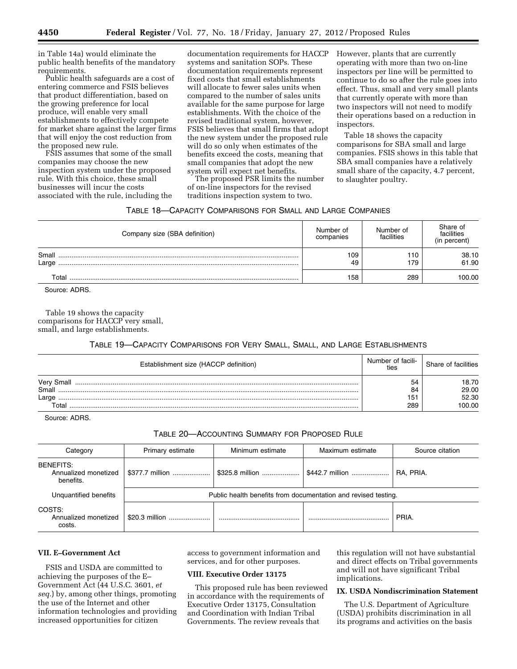in Table 14a) would eliminate the public health benefits of the mandatory requirements.

Public health safeguards are a cost of entering commerce and FSIS believes that product differentiation, based on the growing preference for local produce, will enable very small establishments to effectively compete for market share against the larger firms that will enjoy the cost reduction from the proposed new rule.

FSIS assumes that some of the small companies may choose the new inspection system under the proposed rule. With this choice, these small businesses will incur the costs associated with the rule, including the documentation requirements for HACCP systems and sanitation SOPs. These documentation requirements represent fixed costs that small establishments will allocate to fewer sales units when compared to the number of sales units available for the same purpose for large establishments. With the choice of the revised traditional system, however, FSIS believes that small firms that adopt the new system under the proposed rule will do so only when estimates of the benefits exceed the costs, meaning that small companies that adopt the new system will expect net benefits.

The proposed PSR limits the number of on-line inspectors for the revised traditions inspection system to two.

However, plants that are currently operating with more than two on-line inspectors per line will be permitted to continue to do so after the rule goes into effect. Thus, small and very small plants that currently operate with more than two inspectors will not need to modify their operations based on a reduction in inspectors.

Table 18 shows the capacity comparisons for SBA small and large companies. FSIS shows in this table that SBA small companies have a relatively small share of the capacity, 4.7 percent, to slaughter poultry.

#### TABLE 18—CAPACITY COMPARISONS FOR SMALL AND LARGE COMPANIES

| Company size (SBA definition) | Number of<br>companies | Number of<br>facilities | Share of<br>facilities<br>(in percent) |
|-------------------------------|------------------------|-------------------------|----------------------------------------|
| Small<br>Large                | 109<br>49              | 110<br>179              | 38.10<br>61.90                         |
| Total                         | 158                    | 289                     | 100.00                                 |

Source: ADRS.

Table 19 shows the capacity comparisons for HACCP very small, small, and large establishments.

#### TABLE 19—CAPACITY COMPARISONS FOR VERY SMALL, SMALL, AND LARGE ESTABLISHMENTS

| Establishment size (HACCP definition) | Number of facili-<br>ties | Share of facilities |
|---------------------------------------|---------------------------|---------------------|
| Very Small<br>Small                   | 54<br>84                  | 18.70<br>29.00      |
| Large<br>⊺otal                        | 151<br>289                | 52.30<br>00.OO      |

Source: ADRS.

#### TABLE 20—ACCOUNTING SUMMARY FOR PROPOSED RULE

| Category                                       | Primary estimate | Minimum estimate | Maximum estimate                                               | Source citation |
|------------------------------------------------|------------------|------------------|----------------------------------------------------------------|-----------------|
| BENEFITS:<br>Annualized monetized<br>benefits. | \$377.7 million  | \$325.8 million  | \$442.7 million                                                | RA. PRIA.       |
| Unquantified benefits                          |                  |                  | Public health benefits from documentation and revised testing. |                 |
| COSTS:<br>Annualized monetized<br>costs.       | \$20.3 million   |                  |                                                                | PRIA.           |

## **VII. E–Government Act**

FSIS and USDA are committed to achieving the purposes of the E– Government Act (44 U.S.C. 3601, *et seq.*) by, among other things, promoting the use of the Internet and other information technologies and providing increased opportunities for citizen

access to government information and services, and for other purposes.

#### **VIII. Executive Order 13175**

This proposed rule has been reviewed in accordance with the requirements of Executive Order 13175, Consultation and Coordination with Indian Tribal Governments. The review reveals that

this regulation will not have substantial and direct effects on Tribal governments and will not have significant Tribal implications.

#### **IX. USDA Nondiscrimination Statement**

The U.S. Department of Agriculture (USDA) prohibits discrimination in all its programs and activities on the basis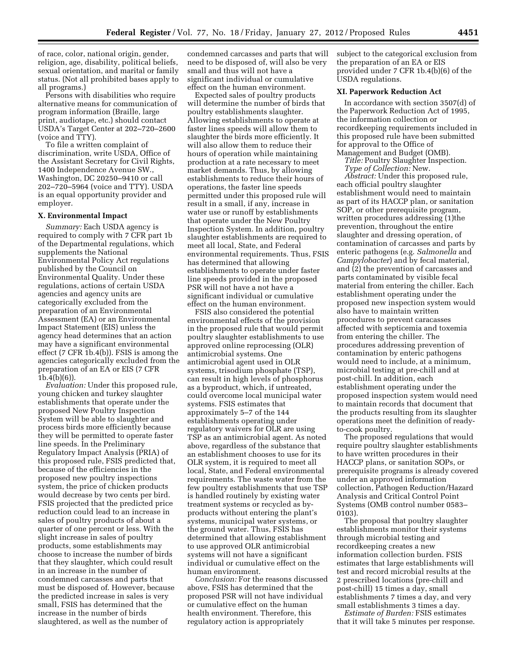of race, color, national origin, gender, religion, age, disability, political beliefs, sexual orientation, and marital or family status. (Not all prohibited bases apply to all programs.)

Persons with disabilities who require alternative means for communication of program information (Braille, large print, audiotape, etc.) should contact USDA's Target Center at 202–720–2600 (voice and TTY).

To file a written complaint of discrimination, write USDA, Office of the Assistant Secretary for Civil Rights, 1400 Independence Avenue SW., Washington, DC 20250–9410 or call 202–720–5964 (voice and TTY). USDA is an equal opportunity provider and employer.

#### **X. Environmental Impact**

*Summary:* Each USDA agency is required to comply with 7 CFR part 1b of the Departmental regulations, which supplements the National Environmental Policy Act regulations published by the Council on Environmental Quality. Under these regulations, actions of certain USDA agencies and agency units are categorically excluded from the preparation of an Environmental Assessment (EA) or an Environmental Impact Statement (EIS) unless the agency head determines that an action may have a significant environmental effect (7 CFR 1b.4(b)). FSIS is among the agencies categorically excluded from the preparation of an EA or EIS (7 CFR 1b.4(b)(6)).

*Evaluation:* Under this proposed rule, young chicken and turkey slaughter establishments that operate under the proposed New Poultry Inspection System will be able to slaughter and process birds more efficiently because they will be permitted to operate faster line speeds. In the Preliminary Regulatory Impact Analysis (PRIA) of this proposed rule, FSIS predicted that, because of the efficiencies in the proposed new poultry inspections system, the price of chicken products would decrease by two cents per bird. FSIS projected that the predicted price reduction could lead to an increase in sales of poultry products of about a quarter of one percent or less. With the slight increase in sales of poultry products, some establishments may choose to increase the number of birds that they slaughter, which could result in an increase in the number of condemned carcasses and parts that must be disposed of. However, because the predicted increase in sales is very small, FSIS has determined that the increase in the number of birds slaughtered, as well as the number of

condemned carcasses and parts that will need to be disposed of, will also be very small and thus will not have a significant individual or cumulative effect on the human environment.

Expected sales of poultry products will determine the number of birds that poultry establishments slaughter. Allowing establishments to operate at faster lines speeds will allow them to slaughter the birds more efficiently. It will also allow them to reduce their hours of operation while maintaining production at a rate necessary to meet market demands. Thus, by allowing establishments to reduce their hours of operations, the faster line speeds permitted under this proposed rule will result in a small, if any, increase in water use or runoff by establishments that operate under the New Poultry Inspection System. In addition, poultry slaughter establishments are required to meet all local, State, and Federal environmental requirements. Thus, FSIS has determined that allowing establishments to operate under faster line speeds provided in the proposed PSR will not have a not have a significant individual or cumulative effect on the human environment.

FSIS also considered the potential environmental effects of the provision in the proposed rule that would permit poultry slaughter establishments to use approved online reprocessing (OLR) antimicrobial systems. One antimicrobial agent used in OLR systems, trisodium phosphate (TSP), can result in high levels of phosphorus as a byproduct, which, if untreated, could overcome local municipal water systems. FSIS estimates that approximately 5–7 of the 144 establishments operating under regulatory waivers for OLR are using TSP as an antimicrobial agent. As noted above, regardless of the substance that an establishment chooses to use for its OLR system, it is required to meet all local, State, and Federal environmental requirements. The waste water from the few poultry establishments that use TSP is handled routinely by existing water treatment systems or recycled as byproducts without entering the plant's systems, municipal water systems, or the ground water. Thus, FSIS has determined that allowing establishment to use approved OLR antimicrobial systems will not have a significant individual or cumulative effect on the human environment.

*Conclusion:* For the reasons discussed above, FSIS has determined that the proposed PSR will not have individual or cumulative effect on the human health environment. Therefore, this regulatory action is appropriately

subject to the categorical exclusion from the preparation of an EA or EIS provided under 7 CFR 1b.4(b)(6) of the USDA regulations.

#### **XI. Paperwork Reduction Act**

In accordance with section 3507(d) of the Paperwork Reduction Act of 1995, the information collection or recordkeeping requirements included in this proposed rule have been submitted for approval to the Office of Management and Budget (OMB).

*Title:* Poultry Slaughter Inspection. *Type of Collection:* New.

*Abstract:* Under this proposed rule, each official poultry slaughter establishment would need to maintain as part of its HACCP plan, or sanitation SOP, or other prerequisite program, written procedures addressing (1)the prevention, throughout the entire slaughter and dressing operation, of contamination of carcasses and parts by enteric pathogens (e.g. *Salmonella* and *Campylobacter*) and by fecal material, and (2) the prevention of carcasses and parts contaminated by visible fecal material from entering the chiller. Each establishment operating under the proposed new inspection system would also have to maintain written procedures to prevent caracasses affected with septicemia and toxemia from entering the chiller. The procedures addressing prevention of contamination by enteric pathogens would need to include, at a minimum, microbial testing at pre-chill and at post-chill. In addition, each establishment operating under the proposed inspection system would need to maintain records that document that the products resulting from its slaughter operations meet the definition of readyto-cook poultry.

The proposed regulations that would require poultry slaughter establishments to have written procedures in their HACCP plans, or sanitation SOPs, or prerequisite programs is already covered under an approved information collection, Pathogen Reduction/Hazard Analysis and Critical Control Point Systems (OMB control number 0583– 0103).

The proposal that poultry slaughter establishments monitor their systems through microbial testing and recordkeeping creates a new information collection burden. FSIS estimates that large establishments will test and record microbial results at the 2 prescribed locations (pre-chill and post-chill) 15 times a day, small establishments 7 times a day, and very small establishments 3 times a day.

*Estimate of Burden:* FSIS estimates that it will take 5 minutes per response.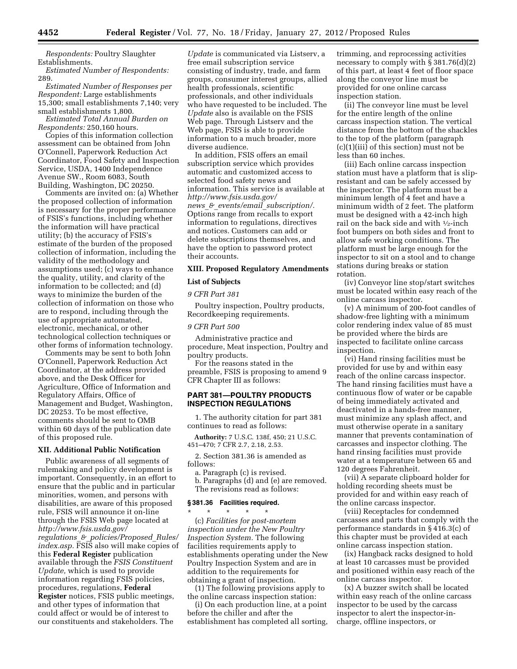*Respondents:* Poultry Slaughter Establishments.

*Estimated Number of Respondents:*  289.

*Estimated Number of Responses per Respondent:* Large establishments 15,300; small establishments 7,140; very small establishments 1,800.

*Estimated Total Annual Burden on Respondents:* 250,160 hours.

Copies of this information collection assessment can be obtained from John O'Connell, Paperwork Reduction Act Coordinator, Food Safety and Inspection Service, USDA, 1400 Independence Avenue SW., Room 6083, South Building, Washington, DC 20250.

Comments are invited on: (a) Whether the proposed collection of information is necessary for the proper performance of FSIS's functions, including whether the information will have practical utility; (b) the accuracy of FSIS's estimate of the burden of the proposed collection of information, including the validity of the methodology and assumptions used; (c) ways to enhance the quality, utility, and clarity of the information to be collected; and (d) ways to minimize the burden of the collection of information on those who are to respond, including through the use of appropriate automated, electronic, mechanical, or other technological collection techniques or other forms of information technology.

Comments may be sent to both John O'Connell, Paperwork Reduction Act Coordinator, at the address provided above, and the Desk Officer for Agriculture, Office of Information and Regulatory Affairs, Office of Management and Budget, Washington, DC 20253. To be most effective, comments should be sent to OMB within 60 days of the publication date of this proposed rule.

#### **XII. Additional Public Notification**

Public awareness of all segments of rulemaking and policy development is important. Consequently, in an effort to ensure that the public and in particular minorities, women, and persons with disabilities, are aware of this proposed rule, FSIS will announce it on-line through the FSIS Web page located at *[http://www.fsis.usda.gov/](http://www.fsis.usda.gov/regulations_&_policies/Proposed_Rules/index.asp)  regulations*\_*&*\_*[policies/Proposed](http://www.fsis.usda.gov/regulations_&_policies/Proposed_Rules/index.asp)*\_*Rules/ [index.asp.](http://www.fsis.usda.gov/regulations_&_policies/Proposed_Rules/index.asp)* FSIS also will make copies of this **Federal Register** publication available through the *FSIS Constituent Update,* which is used to provide information regarding FSIS policies, procedures, regulations, **Federal Register** notices, FSIS public meetings, and other types of information that could affect or would be of interest to our constituents and stakeholders. The

*Update* is communicated via Listserv, a free email subscription service consisting of industry, trade, and farm groups, consumer interest groups, allied health professionals, scientific professionals, and other individuals who have requested to be included. The *Update* also is available on the FSIS Web page. Through Listserv and the Web page, FSIS is able to provide information to a much broader, more diverse audience.

In addition, FSIS offers an email subscription service which provides automatic and customized access to selected food safety news and information. This service is available at *[http://www.fsis.usda.gov/](http://www.fsis.usda.gov/news_&_events/email_subscription/)  news*\_*&*\_*events/email*\_*[subscription/.](http://www.fsis.usda.gov/news_&_events/email_subscription/)*  Options range from recalls to export information to regulations, directives and notices. Customers can add or delete subscriptions themselves, and have the option to password protect their accounts.

#### **XIII. Proposed Regulatory Amendments**

#### **List of Subjects**

#### *9 CFR Part 381*

Poultry inspection, Poultry products, Recordkeeping requirements.

#### *9 CFR Part 500*

Administrative practice and procedure, Meat inspection, Poultry and poultry products.

For the reasons stated in the preamble, FSIS is proposing to amend 9 CFR Chapter III as follows:

#### **PART 381—POULTRY PRODUCTS INSPECTION REGULATIONS**

1. The authority citation for part 381 continues to read as follows:

**Authority:** 7 U.S.C. 138f, 450; 21 U.S.C. 451–470; 7 CFR 2.7, 2.18, 2.53.

2. Section 381.36 is amended as follows:

a. Paragraph (c) is revised.

b. Paragraphs (d) and (e) are removed. The revisions read as follows:

#### **§ 381.36 Facilities required.**

\* \* \* \* \* (c) *Facilities for post-mortem inspection under the New Poultry Inspection System.* The following facilities requirements apply to establishments operating under the New Poultry Inspection System and are in addition to the requirements for obtaining a grant of inspection.

(1) The following provisions apply to the online carcass inspection station:

(i) On each production line, at a point before the chiller and after the establishment has completed all sorting,

trimming, and reprocessing activities necessary to comply with § 381.76(d)(2) of this part, at least 4 feet of floor space along the conveyor line must be provided for one online carcass inspection station.

(ii) The conveyor line must be level for the entire length of the online carcass inspection station. The vertical distance from the bottom of the shackles to the top of the platform (paragraph (c)(1)(iii) of this section) must not be less than 60 inches.

(iii) Each online carcass inspection station must have a platform that is slipresistant and can be safely accessed by the inspector. The platform must be a minimum length of 4 feet and have a minimum width of 2 feet. The platform must be designed with a 42-inch high rail on the back side and with 1⁄2-inch foot bumpers on both sides and front to allow safe working conditions. The platform must be large enough for the inspector to sit on a stool and to change stations during breaks or station rotation.

(iv) Conveyor line stop/start switches must be located within easy reach of the online carcass inspector.

(v) A minimum of 200-foot candles of shadow-free lighting with a minimum color rendering index value of 85 must be provided where the birds are inspected to facilitate online carcass inspection.

(vi) Hand rinsing facilities must be provided for use by and within easy reach of the online carcass inspector. The hand rinsing facilities must have a continuous flow of water or be capable of being immediately activated and deactivated in a hands-free manner, must minimize any splash affect, and must otherwise operate in a sanitary manner that prevents contamination of carcasses and inspector clothing. The hand rinsing facilities must provide water at a temperature between 65 and 120 degrees Fahrenheit.

(vii) A separate clipboard holder for holding recording sheets must be provided for and within easy reach of the online carcass inspector.

(viii) Receptacles for condemned carcasses and parts that comply with the performance standards in § 416.3(c) of this chapter must be provided at each online carcass inspection station.

(ix) Hangback racks designed to hold at least 10 carcasses must be provided and positioned within easy reach of the online carcass inspector.

(x) A buzzer switch shall be located within easy reach of the online carcass inspector to be used by the carcass inspector to alert the inspector-incharge, offline inspectors, or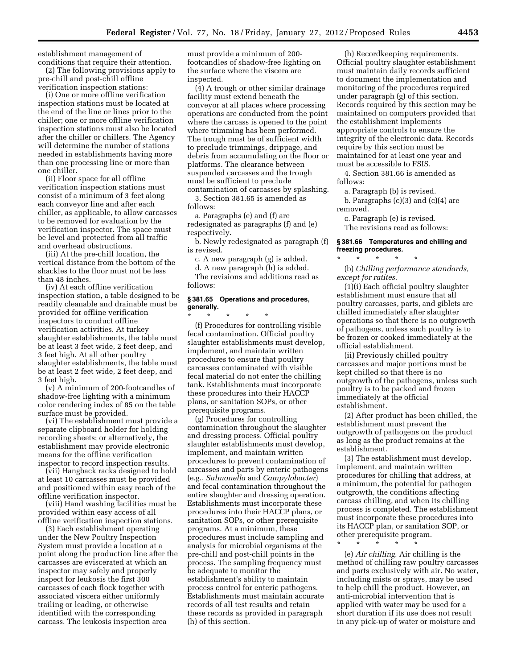establishment management of

conditions that require their attention. (2) The following provisions apply to pre-chill and post-chill offline verification inspection stations:

(i) One or more offline verification inspection stations must be located at the end of the line or lines prior to the chiller; one or more offline verification inspection stations must also be located after the chiller or chillers. The Agency will determine the number of stations needed in establishments having more than one processing line or more than one chiller.

(ii) Floor space for all offline verification inspection stations must consist of a minimum of 3 feet along each conveyor line and after each chiller, as applicable, to allow carcasses to be removed for evaluation by the verification inspector. The space must be level and protected from all traffic and overhead obstructions.

(iii) At the pre-chill location, the vertical distance from the bottom of the shackles to the floor must not be less than 48 inches.

(iv) At each offline verification inspection station, a table designed to be readily cleanable and drainable must be provided for offline verification inspectors to conduct offline verification activities. At turkey slaughter establishments, the table must be at least 3 feet wide, 2 feet deep, and 3 feet high. At all other poultry slaughter establishments, the table must be at least 2 feet wide, 2 feet deep, and 3 feet high.

(v) A minimum of 200-footcandles of shadow-free lighting with a minimum color rendering index of 85 on the table surface must be provided.

(vi) The establishment must provide a separate clipboard holder for holding recording sheets; or alternatively, the establishment may provide electronic means for the offline verification inspector to record inspection results.

(vii) Hangback racks designed to hold at least 10 carcasses must be provided and positioned within easy reach of the offline verification inspector.

(viii) Hand washing facilities must be provided within easy access of all offline verification inspection stations.

(3) Each establishment operating under the New Poultry Inspection System must provide a location at a point along the production line after the carcasses are eviscerated at which an inspector may safely and properly inspect for leukosis the first 300 carcasses of each flock together with associated viscera either uniformly trailing or leading, or otherwise identified with the corresponding carcass. The leukosis inspection area

must provide a minimum of 200 footcandles of shadow-free lighting on the surface where the viscera are inspected.

(4) A trough or other similar drainage facility must extend beneath the conveyor at all places where processing operations are conducted from the point where the carcass is opened to the point where trimming has been performed. The trough must be of sufficient width to preclude trimmings, drippage, and debris from accumulating on the floor or platforms. The clearance between suspended carcasses and the trough must be sufficient to preclude contamination of carcasses by splashing.

3. Section 381.65 is amended as follows:

a. Paragraphs (e) and (f) are redesignated as paragraphs (f) and (e) respectively.

b. Newly redesignated as paragraph (f) is revised.

c. A new paragraph (g) is added.

d. A new paragraph (h) is added. The revisions and additions read as follows:

#### **§ 381.65 Operations and procedures, generally.**

\* \* \* \* \* (f) Procedures for controlling visible fecal contamination. Official poultry slaughter establishments must develop, implement, and maintain written procedures to ensure that poultry carcasses contaminated with visible fecal material do not enter the chilling tank. Establishments must incorporate these procedures into their HACCP plans, or sanitation SOPs, or other prerequisite programs.

(g) Procedures for controlling contamination throughout the slaughter and dressing process. Official poultry slaughter establishments must develop, implement, and maintain written procedures to prevent contamination of carcasses and parts by enteric pathogens (e.g., *Salmonella* and *Campylobacter*) and fecal contamination throughout the entire slaughter and dressing operation. Establishments must incorporate these procedures into their HACCP plans, or sanitation SOPs, or other prerequisite programs. At a minimum, these procedures must include sampling and analysis for microbial organisms at the pre-chill and post-chill points in the process. The sampling frequency must be adequate to monitor the establishment's ability to maintain process control for enteric pathogens. Establishments must maintain accurate records of all test results and retain these records as provided in paragraph (h) of this section.

(h) Recordkeeping requirements. Official poultry slaughter establishment must maintain daily records sufficient to document the implementation and monitoring of the procedures required under paragraph (g) of this section. Records required by this section may be maintained on computers provided that the establishment implements appropriate controls to ensure the integrity of the electronic data. Records require by this section must be maintained for at least one year and must be accessible to FSIS.

4. Section 381.66 is amended as follows:

a. Paragraph (b) is revised.

b. Paragraphs (c)(3) and (c)(4) are removed.

c. Paragraph (e) is revised. The revisions read as follows:

#### **§ 381.66 Temperatures and chilling and freezing procedures.**

\* \* \* \* \* (b) *Chilling performance standards, except for ratites*.

(1)(i) Each official poultry slaughter establishment must ensure that all poultry carcasses, parts, and giblets are chilled immediately after slaughter operations so that there is no outgrowth of pathogens, unless such poultry is to be frozen or cooked immediately at the official establishment.

(ii) Previously chilled poultry carcasses and major portions must be kept chilled so that there is no outgrowth of the pathogens, unless such poultry is to be packed and frozen immediately at the official establishment.

(2) After product has been chilled, the establishment must prevent the outgrowth of pathogens on the product as long as the product remains at the establishment.

(3) The establishment must develop, implement, and maintain written procedures for chilling that address, at a minimum, the potential for pathogen outgrowth, the conditions affecting carcass chilling, and when its chilling process is completed. The establishment must incorporate these procedures into its HACCP plan, or sanitation SOP, or other prerequisite program. \* \* \* \* \*

(e) *Air chilling*. Air chilling is the method of chilling raw poultry carcasses and parts exclusively with air. No water, including mists or sprays, may be used to help chill the product. However, an anti-microbial intervention that is applied with water may be used for a short duration if its use does not result in any pick-up of water or moisture and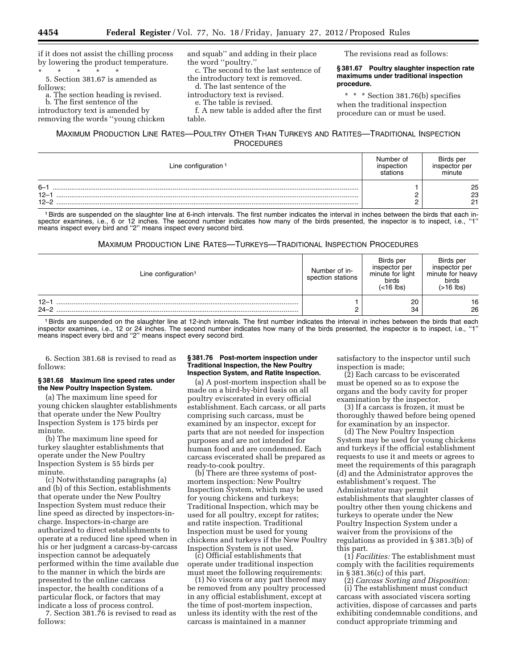if it does not assist the chilling process by lowering the product temperature. \* \* \* \* \*

5. Section 381.67 is amended as follows:

a. The section heading is revised. b. The first sentence of the introductory text is amended by

removing the words ''young chicken

#### and squab'' and adding in their place the word ''poultry.''

c. The second to the last sentence of the introductory text is removed.

d. The last sentence of the

- introductory text is revised.
- e. The table is revised.

f. A new table is added after the first

table.

## MAXIMUM PRODUCTION LINE RATES—POULTRY OTHER THAN TURKEYS AND RATITES—TRADITIONAL INSPECTION **PROCEDURES**

| Line configuration <sup>1</sup> | Number of<br>inspection<br>stations | Birds per<br>inspector per<br>minute |
|---------------------------------|-------------------------------------|--------------------------------------|
| $6 - 1$<br>$12 - 1$<br>$12 - 2$ |                                     | 25<br>23<br>21                       |

1Birds are suspended on the slaughter line at 6-inch intervals. The first number indicates the interval in inches between the birds that each inspector examines, i.e., 6 or 12 inches. The second number indicates how many of the birds presented, the inspector is to inspect, i.e., "1" means inspect every bird and ''2'' means inspect every second bird.

#### MAXIMUM PRODUCTION LINE RATES—TURKEYS—TRADITIONAL INSPECTION PROCEDURES

| Line configuration <sup>1</sup> | Number of in-<br>spection stations | Birds per<br>inspector per<br>minute for light<br>birds<br>$(<$ 16 lbs) | Birds per<br>inspector per<br>minute for heavy<br>birds<br>$($ >16 lbs) |
|---------------------------------|------------------------------------|-------------------------------------------------------------------------|-------------------------------------------------------------------------|
| $12 - 1$<br>$24 - 2$            |                                    | 20<br>34                                                                | 16<br>26                                                                |

1Birds are suspended on the slaughter line at 12-inch intervals. The first number indicates the interval in inches between the birds that each inspector examines, i.e., 12 or 24 inches. The second number indicates how many of the birds presented, the inspector is to inspect, i.e., ''1'' means inspect every bird and "2" means inspect every second bird.

6. Section 381.68 is revised to read as follows:

#### **§ 381.68 Maximum line speed rates under the New Poultry Inspection System.**

(a) The maximum line speed for young chicken slaughter establishments that operate under the New Poultry Inspection System is 175 birds per minute.

(b) The maximum line speed for turkey slaughter establishments that operate under the New Poultry Inspection System is 55 birds per minute.

(c) Notwithstanding paragraphs (a) and (b) of this Section, establishments that operate under the New Poultry Inspection System must reduce their line speed as directed by inspectors-incharge. Inspectors-in-charge are authorized to direct establishments to operate at a reduced line speed when in his or her judgment a carcass-by-carcass inspection cannot be adequately performed within the time available due to the manner in which the birds are presented to the online carcass inspector, the health conditions of a particular flock, or factors that may indicate a loss of process control.

7. Section 381.76 is revised to read as follows:

#### **§ 381.76 Post-mortem inspection under Traditional Inspection, the New Poultry Inspection System, and Ratite Inspection.**

(a) A post-mortem inspection shall be made on a bird-by-bird basis on all poultry eviscerated in every official establishment. Each carcass, or all parts comprising such carcass, must be examined by an inspector, except for parts that are not needed for inspection purposes and are not intended for human food and are condemned. Each carcass eviscerated shall be prepared as

ready-to-cook poultry. (b) There are three systems of postmortem inspection: New Poultry Inspection System, which may be used for young chickens and turkeys; Traditional Inspection, which may be used for all poultry, except for ratites; and ratite inspection. Traditional Inspection must be used for young chickens and turkeys if the New Poultry

(c) Official establishments that operate under traditional inspection

must meet the following requirements: (1) No viscera or any part thereof may be removed from any poultry processed in any official establishment, except at the time of post-mortem inspection, unless its identity with the rest of the carcass is maintained in a manner

satisfactory to the inspector until such inspection is made;

The revisions read as follows:

**procedure.** 

**§ 381.67 Poultry slaughter inspection rate maximums under traditional inspection** 

\* \* \* Section 381.76(b) specifies when the traditional inspection procedure can or must be used.

(2) Each carcass to be eviscerated must be opened so as to expose the organs and the body cavity for proper examination by the inspector.

(3) If a carcass is frozen, it must be thoroughly thawed before being opened for examination by an inspector.

(d) The New Poultry Inspection System may be used for young chickens and turkeys if the official establishment requests to use it and meets or agrees to meet the requirements of this paragraph (d) and the Administrator approves the establishment's request. The Administrator may permit establishments that slaughter classes of poultry other then young chickens and turkeys to operate under the New Poultry Inspection System under a waiver from the provisions of the regulations as provided in § 381.3(b) of this part.

(1) *Facilities:* The establishment must comply with the facilities requirements in § 381.36(c) of this part.

(2) *Carcass Sorting and Disposition:*  (i) The establishment must conduct carcass with associated viscera sorting activities, dispose of carcasses and parts exhibiting condemnable conditions, and conduct appropriate trimming and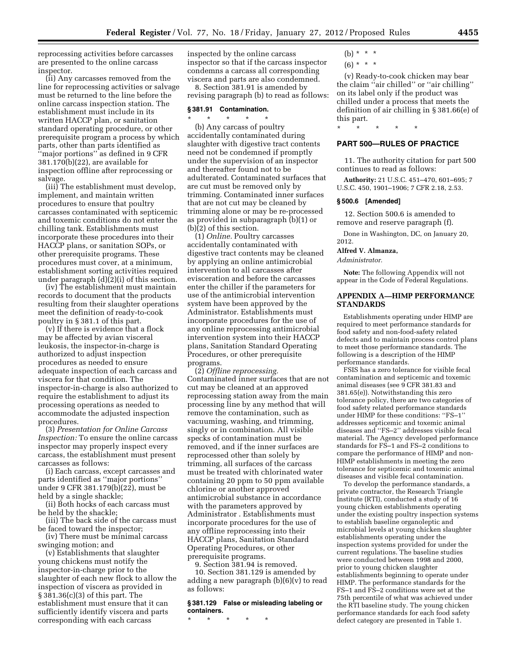reprocessing activities before carcasses are presented to the online carcass inspector.

(ii) Any carcasses removed from the line for reprocessing activities or salvage must be returned to the line before the online carcass inspection station. The establishment must include in its written HACCP plan, or sanitation standard operating procedure, or other prerequisite program a process by which parts, other than parts identified as ''major portions'' as defined in 9 CFR 381.170(b)(22), are available for inspection offline after reprocessing or salvage.

(iii) The establishment must develop, implement, and maintain written procedures to ensure that poultry carcasses contaminated with septicemic and toxemic conditions do not enter the chilling tank. Establishments must incorporate these procedures into their HACCP plans, or sanitation SOPs, or other prerequisite programs. These procedures must cover, at a minimum, establishment sorting activities required under paragraph (d)(2)(i) of this section.

(iv) The establishment must maintain records to document that the products resulting from their slaughter operations meet the definition of ready-to-cook poultry in § 381.1 of this part.

(v) If there is evidence that a flock may be affected by avian visceral leukosis, the inspector-in-charge is authorized to adjust inspection procedures as needed to ensure adequate inspection of each carcass and viscera for that condition. The inspector-in-charge is also authorized to require the establishment to adjust its processing operations as needed to accommodate the adjusted inspection procedures.

(3) *Presentation for Online Carcass Inspection:* To ensure the online carcass inspector may properly inspect every carcass, the establishment must present carcasses as follows:

(i) Each carcass, except carcasses and parts identified as ''major portions'' under 9 CFR 381.179(b)(22), must be held by a single shackle;

(ii) Both hocks of each carcass must be held by the shackle;

(iii) The back side of the carcass must be faced toward the inspector;

(iv) There must be minimal carcass swinging motion; and

(v) Establishments that slaughter young chickens must notify the inspector-in-charge prior to the slaughter of each new flock to allow the inspection of viscera as provided in § 381.36(c)(3) of this part. The establishment must ensure that it can sufficiently identify viscera and parts corresponding with each carcass

inspected by the online carcass inspector so that if the carcass inspector condemns a carcass all corresponding viscera and parts are also condemned.

8. Section 381.91 is amended by revising paragraph (b) to read as follows:

#### **§ 381.91 Contamination.**

\* \* \* \* \* (b) Any carcass of poultry accidentally contaminated during slaughter with digestive tract contents need not be condemned if promptly under the supervision of an inspector and thereafter found not to be adulterated. Contaminated surfaces that are cut must be removed only by trimming. Contaminated inner surfaces that are not cut may be cleaned by

trimming alone or may be re-processed as provided in subparagraph (b)(1) or

(b)(2) of this section. (1) *Online.* Poultry carcasses accidentally contaminated with digestive tract contents may be cleaned by applying an online antimicrobial intervention to all carcasses after evisceration and before the carcasses enter the chiller if the parameters for use of the antimicrobial intervention system have been approved by the Administrator. Establishments must incorporate procedures for the use of any online reprocessing antimicrobial intervention system into their HACCP plans, Sanitation Standard Operating Procedures, or other prerequisite programs.

(2) *Offline reprocessing.*  Contaminated inner surfaces that are not cut may be cleaned at an approved reprocessing station away from the main processing line by any method that will remove the contamination, such as vacuuming, washing, and trimming, singly or in combination. All visible specks of contamination must be removed, and if the inner surfaces are reprocessed other than solely by trimming, all surfaces of the carcass must be treated with chlorinated water containing 20 ppm to 50 ppm available chlorine or another approved antimicrobial substance in accordance with the parameters approved by Administrator . Establishments must incorporate procedures for the use of any offline reprocessing into their HACCP plans, Sanitation Standard Operating Procedures, or other prerequisite programs.

9. Section 381.94 is removed.

10. Section 381.129 is amended by adding a new paragraph (b)(6)(v) to read as follows:

#### **§ 381.129 False or misleading labeling or containers.**

\* \* \* \* \*

- (b)  $* * * *$
- $(6) * * * *$

(v) Ready-to-cook chicken may bear the claim ''air chilled'' or ''air chilling'' on its label only if the product was chilled under a process that meets the definition of air chilling in § 381.66(e) of this part.

#### **PART 500—RULES OF PRACTICE**

\* \* \* \* \*

11. The authority citation for part 500 continues to read as follows:

**Authority:** 21 U.S.C. 451–470, 601–695; 7 U.S.C. 450, 1901–1906; 7 CFR 2.18, 2.53.

#### **§ 500.6 [Amended]**

12. Section 500.6 is amended to remove and reserve paragraph (f).

Done in Washington, DC, on January 20, 2012.

**Alfred V. Almanza,** 

*Administrator.* 

**Note:** The following Appendix will not appear in the Code of Federal Regulations.

#### **APPENDIX A—HIMP PERFORMANCE STANDARDS**

Establishments operating under HIMP are required to meet performance standards for food safety and non-food-safety related defects and to maintain process control plans to meet those performance standards. The following is a description of the HIMP performance standards.

FSIS has a zero tolerance for visible fecal contamination and septicemic and toxemic animal diseases (see 9 CFR 381.83 and 381.65(e)). Notwithstanding this zero tolerance policy, there are two categories of food safety related performance standards under HIMP for these conditions: ''FS–1'' addresses septicemic and toxemic animal diseases and ''FS–2'' addresses visible fecal material. The Agency developed performance standards for FS–1 and FS–2 conditions to compare the performance of HIMP and non-HIMP establishments in meeting the zero tolerance for septicemic and toxemic animal diseases and visible fecal contamination.

To develop the performance standards, a private contractor, the Research Triangle Institute (RTI), conducted a study of 16 young chicken establishments operating under the existing poultry inspection systems to establish baseline organoleptic and microbial levels at young chicken slaughter establishments operating under the inspection systems provided for under the current regulations. The baseline studies were conducted between 1998 and 2000, prior to young chicken slaughter establishments beginning to operate under HIMP. The performance standards for the FS–1 and FS–2 conditions were set at the 75th percentile of what was achieved under the RTI baseline study. The young chicken performance standards for each food safety defect category are presented in Table 1.